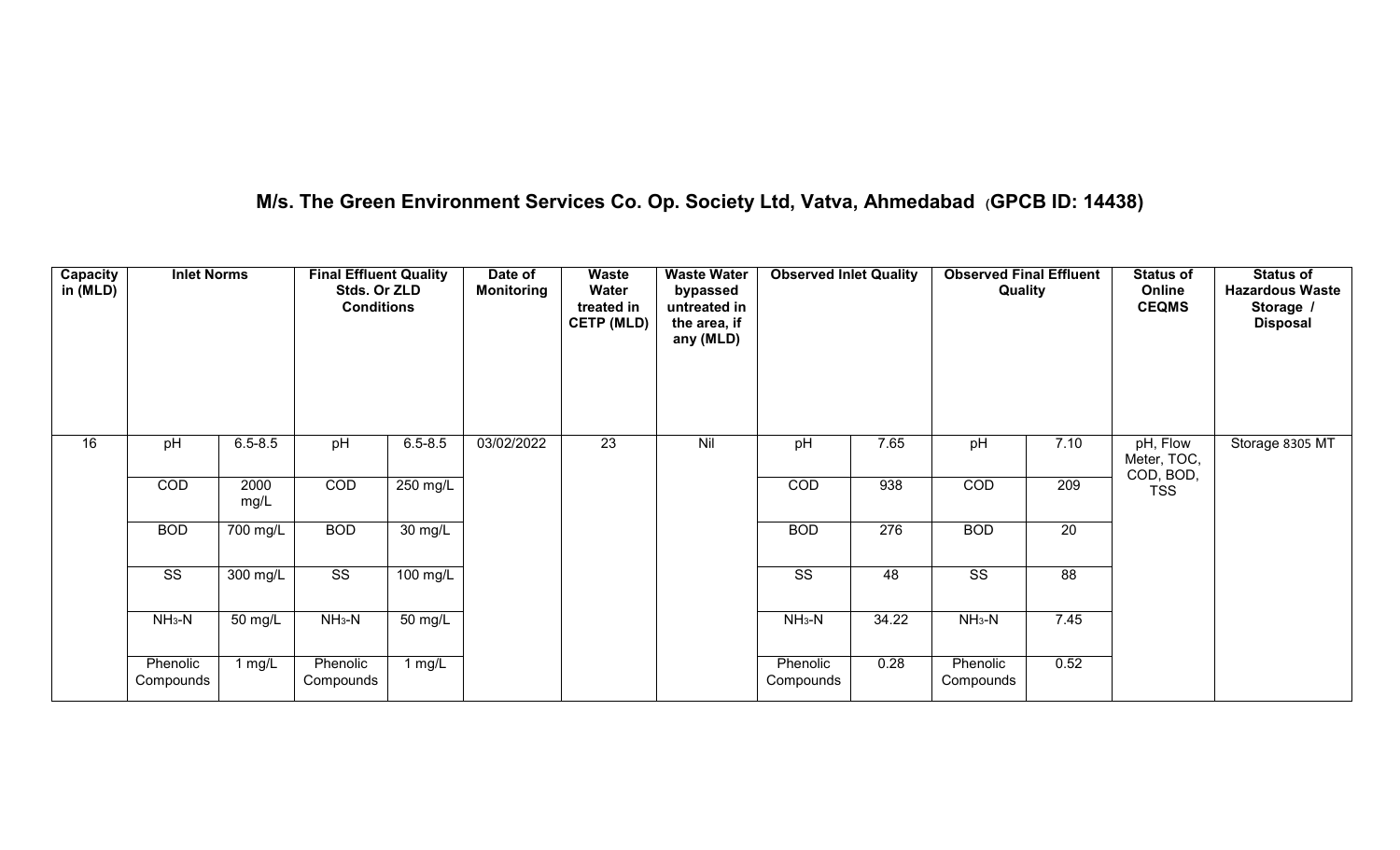# **M/s. The Green Environment Services Co. Op. Society Ltd, Vatva, Ahmedabad (GPCB ID: 14438)**

| Capacity<br>in (MLD) | <b>Inlet Norms</b>     |              | <b>Final Effluent Quality</b><br>Stds. Or ZLD<br><b>Conditions</b> |                      | Date of<br><b>Monitoring</b> | Waste<br>Water<br>treated in<br><b>CETP (MLD)</b> | <b>Waste Water</b><br>bypassed<br>untreated in<br>the area, if<br>any (MLD) | <b>Observed Inlet Quality</b> |                  | <b>Observed Final Effluent</b><br>Quality |                 | <b>Status of</b><br>Online<br><b>CEQMS</b> | <b>Status of</b><br><b>Hazardous Waste</b><br>Storage /<br><b>Disposal</b> |
|----------------------|------------------------|--------------|--------------------------------------------------------------------|----------------------|------------------------------|---------------------------------------------------|-----------------------------------------------------------------------------|-------------------------------|------------------|-------------------------------------------|-----------------|--------------------------------------------|----------------------------------------------------------------------------|
| 16                   | pH                     | $6.5 - 8.5$  | pH                                                                 | $6.5 - 8.5$          | 03/02/2022                   | $\overline{23}$                                   | Nil                                                                         | pH                            | 7.65             | pH                                        | 7.10            | pH, Flow<br>Meter, TOC,<br>COD, BOD,       | Storage 8305 MT                                                            |
|                      | COD                    | 2000<br>mg/L | COD                                                                | 250 mg/L             |                              |                                                   |                                                                             | COD                           | 938              | COD                                       | 209             | <b>TSS</b>                                 |                                                                            |
|                      | <b>BOD</b>             | 700 mg/L     | <b>BOD</b>                                                         | 30 mg/L              |                              |                                                   |                                                                             | <b>BOD</b>                    | $\overline{276}$ | <b>BOD</b>                                | $\overline{20}$ |                                            |                                                                            |
|                      | $\overline{\text{ss}}$ | $300$ mg/L   | $\overline{\text{SS}}$                                             | $100$ mg/L           |                              |                                                   |                                                                             | $\overline{\text{ss}}$        | 48               | $\overline{\text{SS}}$                    | 88              |                                            |                                                                            |
|                      | $NH3-N$                | 50 mg/L      | $NH3-N$                                                            | $\overline{50}$ mg/L |                              |                                                   |                                                                             | $NH_3-N$                      | 34.22            | $NH3-N$                                   | 7.45            |                                            |                                                                            |
|                      | Phenolic<br>Compounds  | 1 $mg/L$     | Phenolic<br>Compounds                                              | 1 mg/L               |                              |                                                   |                                                                             | Phenolic<br>Compounds         | 0.28             | Phenolic<br>Compounds                     | 0.52            |                                            |                                                                            |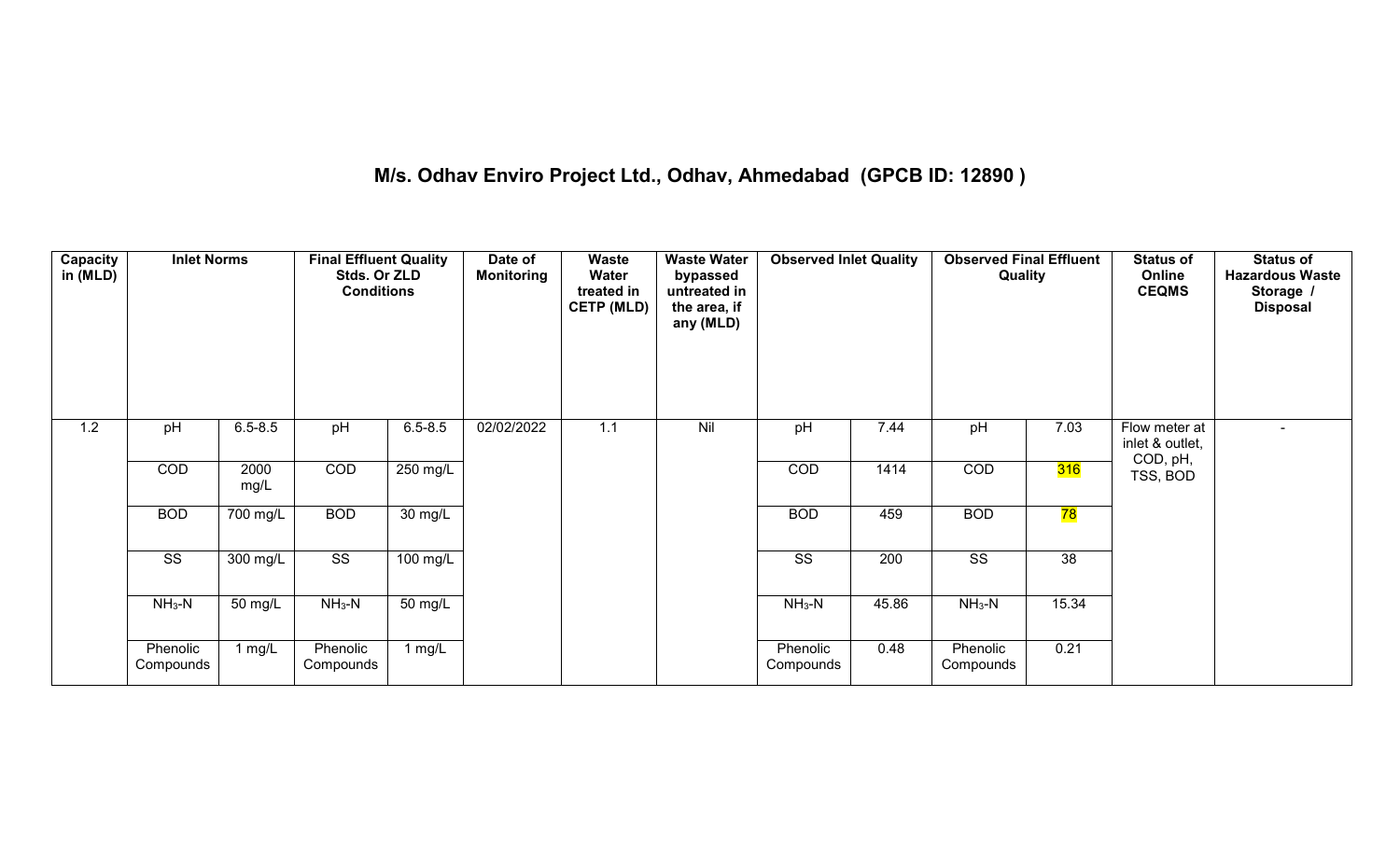# **M/s. Odhav Enviro Project Ltd., Odhav, Ahmedabad (GPCB ID: 12890 )**

| Capacity<br>in (MLD) | <b>Inlet Norms</b>     |                       | <b>Final Effluent Quality</b><br>Stds. Or ZLD<br><b>Conditions</b> |                      | Date of<br><b>Monitoring</b> | <b>Waste</b><br>Water<br>treated in<br><b>CETP (MLD)</b> | <b>Waste Water</b><br>bypassed<br>untreated in<br>the area, if<br>any (MLD) | <b>Observed Inlet Quality</b> |                  | <b>Observed Final Effluent</b><br>Quality |                 | <b>Status of</b><br>Online<br><b>CEQMS</b>   | <b>Status of</b><br><b>Hazardous Waste</b><br>Storage /<br><b>Disposal</b> |
|----------------------|------------------------|-----------------------|--------------------------------------------------------------------|----------------------|------------------------------|----------------------------------------------------------|-----------------------------------------------------------------------------|-------------------------------|------------------|-------------------------------------------|-----------------|----------------------------------------------|----------------------------------------------------------------------------|
| 1.2                  | pH                     | $6.5 - 8.5$           | pH                                                                 | $6.5 - 8.5$          | 02/02/2022                   | 1.1                                                      | Nil                                                                         | pH                            | 7.44             | pH                                        | 7.03            | Flow meter at<br>inlet & outlet,<br>COD, pH, | $\overline{a}$                                                             |
|                      | COD                    | 2000<br>mg/L          | COD                                                                | 250 mg/L             |                              |                                                          |                                                                             | COD                           | 1414             | COD                                       | 316             | TSS, BOD                                     |                                                                            |
|                      | <b>BOD</b>             | $\overline{700}$ mg/L | <b>BOD</b>                                                         | $\overline{30}$ mg/L |                              |                                                          |                                                                             | <b>BOD</b>                    | 459              | <b>BOD</b>                                | 78              |                                              |                                                                            |
|                      | $\overline{\text{ss}}$ | $300$ mg/L            | $\overline{\text{ss}}$                                             | $100$ mg/L           |                              |                                                          |                                                                             | $\overline{\text{ss}}$        | $\overline{200}$ | $\overline{\text{ss}}$                    | $\overline{38}$ |                                              |                                                                            |
|                      | $NH_3-N$               | 50 mg/L               | $NH3-N$                                                            | $\overline{50}$ mg/L |                              |                                                          |                                                                             | $NH_3-N$                      | 45.86            | $NH3-N$                                   | 15.34           |                                              |                                                                            |
|                      | Phenolic<br>Compounds  | 1 mg/L                | Phenolic<br>Compounds                                              | 1 $mg/L$             |                              |                                                          |                                                                             | Phenolic<br>Compounds         | 0.48             | Phenolic<br>Compounds                     | 0.21            |                                              |                                                                            |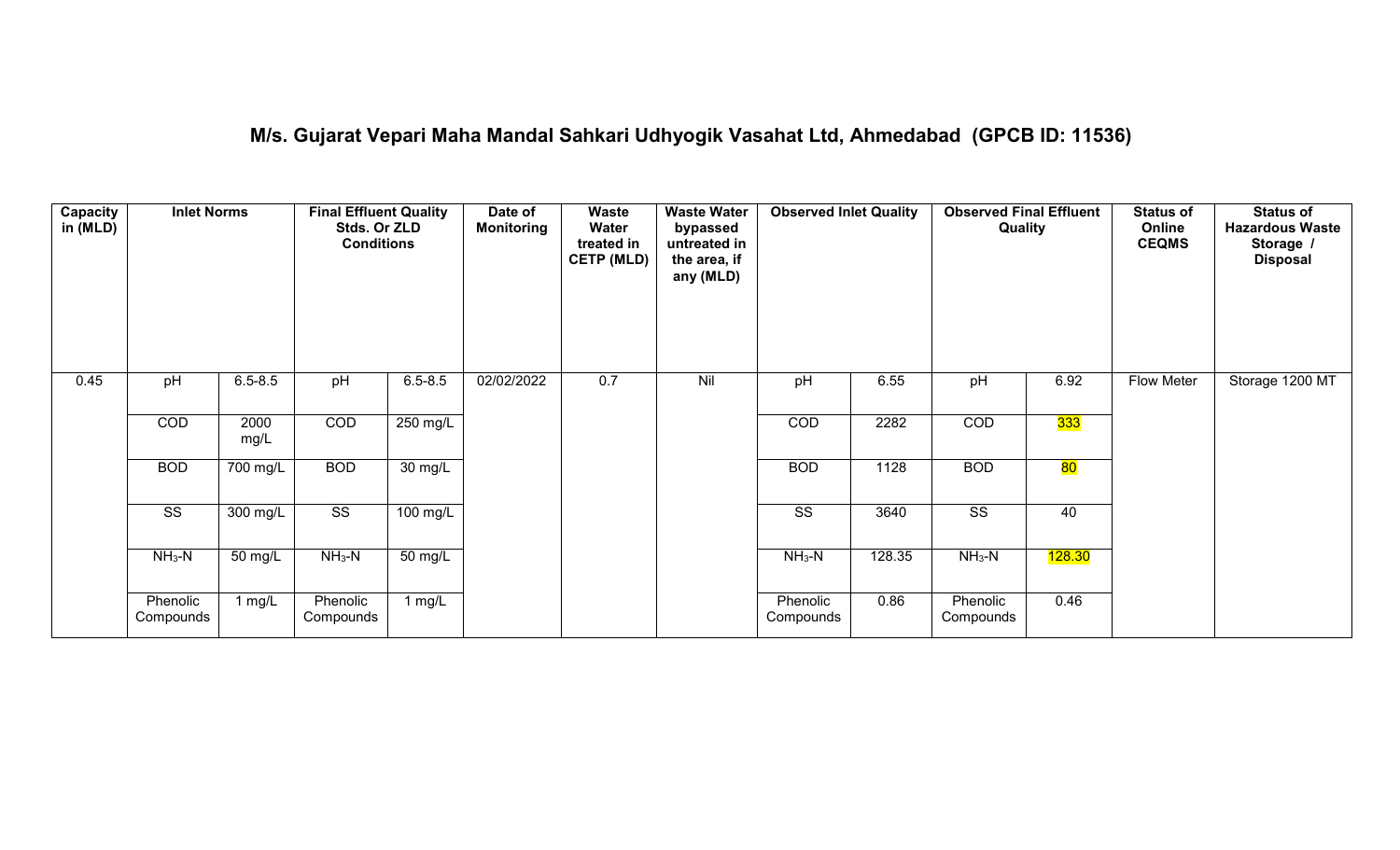# **M/s. Gujarat Vepari Maha Mandal Sahkari Udhyogik Vasahat Ltd, Ahmedabad (GPCB ID: 11536)**

| <b>Capacity</b><br>in (MLD) | <b>Inlet Norms</b>     |                       | <b>Final Effluent Quality</b><br>Stds. Or ZLD<br><b>Conditions</b> |                   | Date of<br><b>Monitoring</b> | Waste<br>Water<br>treated in<br><b>CETP (MLD)</b> | <b>Waste Water</b><br>bypassed<br>untreated in<br>the area, if<br>any (MLD) | <b>Observed Inlet Quality</b> |        | <b>Observed Final Effluent</b><br>Quality |        | <b>Status of</b><br>Online<br><b>CEQMS</b> | <b>Status of</b><br><b>Hazardous Waste</b><br>Storage<br><b>Disposal</b> |
|-----------------------------|------------------------|-----------------------|--------------------------------------------------------------------|-------------------|------------------------------|---------------------------------------------------|-----------------------------------------------------------------------------|-------------------------------|--------|-------------------------------------------|--------|--------------------------------------------|--------------------------------------------------------------------------|
| 0.45                        | pH                     | $6.5 - 8.5$           | pH                                                                 | $6.5 - 8.5$       | 02/02/2022                   | 0.7                                               | Nil                                                                         | pH                            | 6.55   | pH                                        | 6.92   | Flow Meter                                 | Storage 1200 MT                                                          |
|                             | COD                    | 2000<br>mg/L          | COD                                                                | 250 mg/L          |                              |                                                   |                                                                             | COD                           | 2282   | COD                                       | 333    |                                            |                                                                          |
|                             | <b>BOD</b>             | $\overline{700}$ mg/L | <b>BOD</b>                                                         | $30 \text{ mg/L}$ |                              |                                                   |                                                                             | <b>BOD</b>                    | 1128   | <b>BOD</b>                                | 80     |                                            |                                                                          |
|                             | $\overline{\text{ss}}$ | 300 mg/L              | $\overline{\text{SS}}$                                             | $100$ mg/L        |                              |                                                   |                                                                             | $\overline{\text{ss}}$        | 3640   | $\overline{\text{SS}}$                    | 40     |                                            |                                                                          |
|                             | $NH_3-N$               | 50 mg/L               | $NH3-N$                                                            | 50 mg/L           |                              |                                                   |                                                                             | $NH3-N$                       | 128.35 | $NH3-N$                                   | 128.30 |                                            |                                                                          |
|                             | Phenolic<br>Compounds  | 1 mg/L                | Phenolic<br>Compounds                                              | 1 mg/L            |                              |                                                   |                                                                             | Phenolic<br>Compounds         | 0.86   | Phenolic<br>Compounds                     | 0.46   |                                            |                                                                          |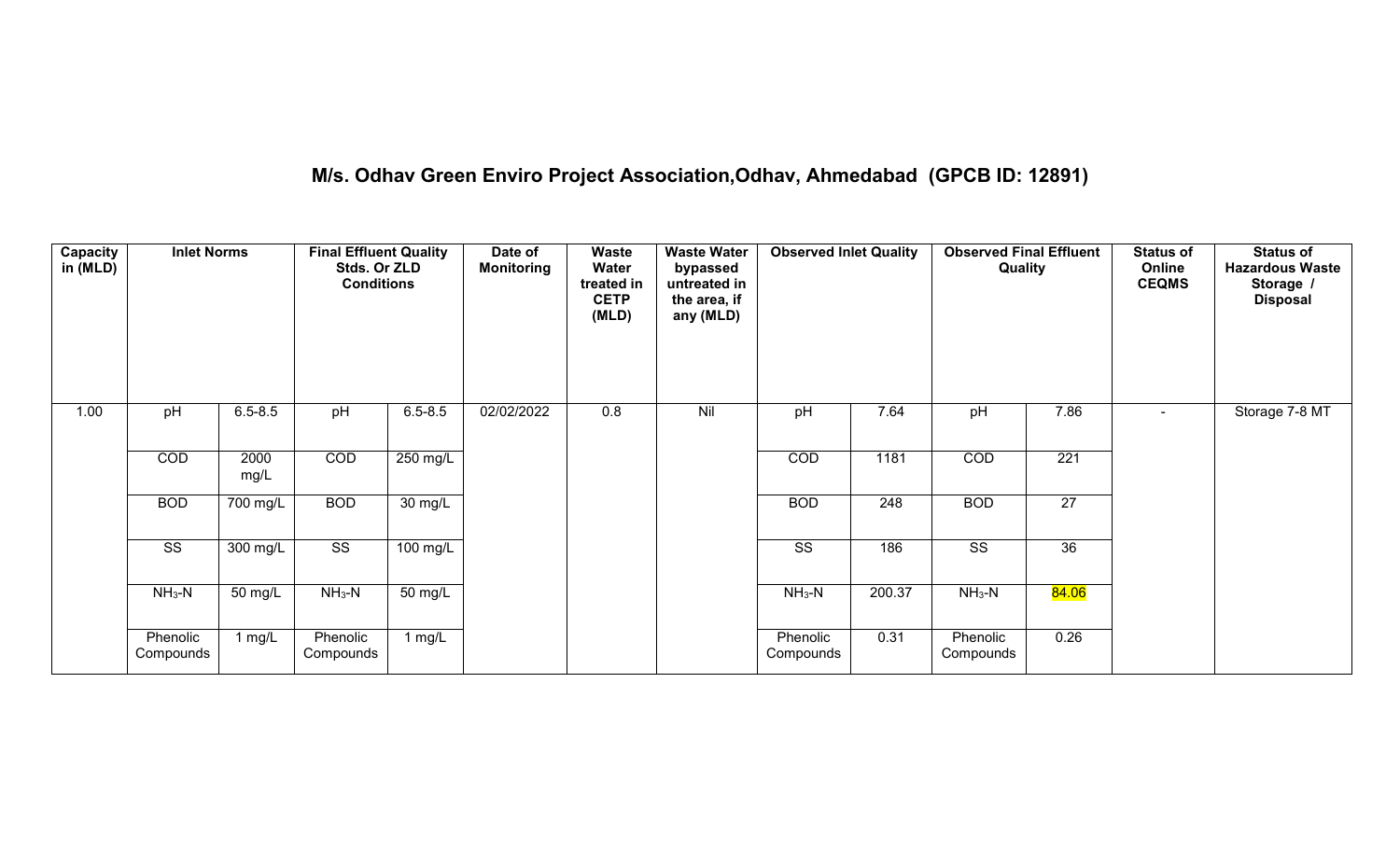# **M/s. Odhav Green Enviro Project Association,Odhav, Ahmedabad (GPCB ID: 12891)**

| Capacity<br>in (MLD) | <b>Inlet Norms</b>     |              | <b>Final Effluent Quality</b><br>Stds. Or ZLD<br><b>Conditions</b> |                      | Date of<br><b>Monitoring</b> | Waste<br>Water<br>treated in<br><b>CETP</b><br>(MLD) | <b>Waste Water</b><br>bypassed<br>untreated in<br>the area, if<br>any (MLD) | <b>Observed Inlet Quality</b> |        | <b>Observed Final Effluent</b><br>Quality |                 | <b>Status of</b><br>Online<br><b>CEQMS</b> | <b>Status of</b><br><b>Hazardous Waste</b><br>Storage /<br><b>Disposal</b> |
|----------------------|------------------------|--------------|--------------------------------------------------------------------|----------------------|------------------------------|------------------------------------------------------|-----------------------------------------------------------------------------|-------------------------------|--------|-------------------------------------------|-----------------|--------------------------------------------|----------------------------------------------------------------------------|
| 1.00                 | pH                     | $6.5 - 8.5$  | pH                                                                 | $6.5 - 8.5$          | 02/02/2022                   | 0.8                                                  | Nil                                                                         | pH                            | 7.64   | pH                                        | 7.86            | $\sim$                                     | Storage 7-8 MT                                                             |
|                      | COD                    | 2000<br>mg/L | COD                                                                | 250 mg/L             |                              |                                                      |                                                                             | COD                           | 1181   | COD                                       | 221             |                                            |                                                                            |
|                      | <b>BOD</b>             | 700 mg/L     | <b>BOD</b>                                                         | $30 \text{ mg/L}$    |                              |                                                      |                                                                             | <b>BOD</b>                    | 248    | <b>BOD</b>                                | $\overline{27}$ |                                            |                                                                            |
|                      | $\overline{\text{ss}}$ | $300$ mg/L   | $\overline{\text{ss}}$                                             | 100 mg/L             |                              |                                                      |                                                                             | $\overline{\text{ss}}$        | 186    | $\overline{\text{ss}}$                    | 36              |                                            |                                                                            |
|                      | $NH3-N$                | 50 mg/L      | $NH3-N$                                                            | $\overline{50}$ mg/L |                              |                                                      |                                                                             | $NH3-N$                       | 200.37 | $NH3-N$                                   | 84.06           |                                            |                                                                            |
|                      | Phenolic<br>Compounds  | 1 mg/L       | Phenolic<br>Compounds                                              | 1 $mg/L$             |                              |                                                      |                                                                             | Phenolic<br>Compounds         | 0.31   | Phenolic<br>Compounds                     | 0.26            |                                            |                                                                            |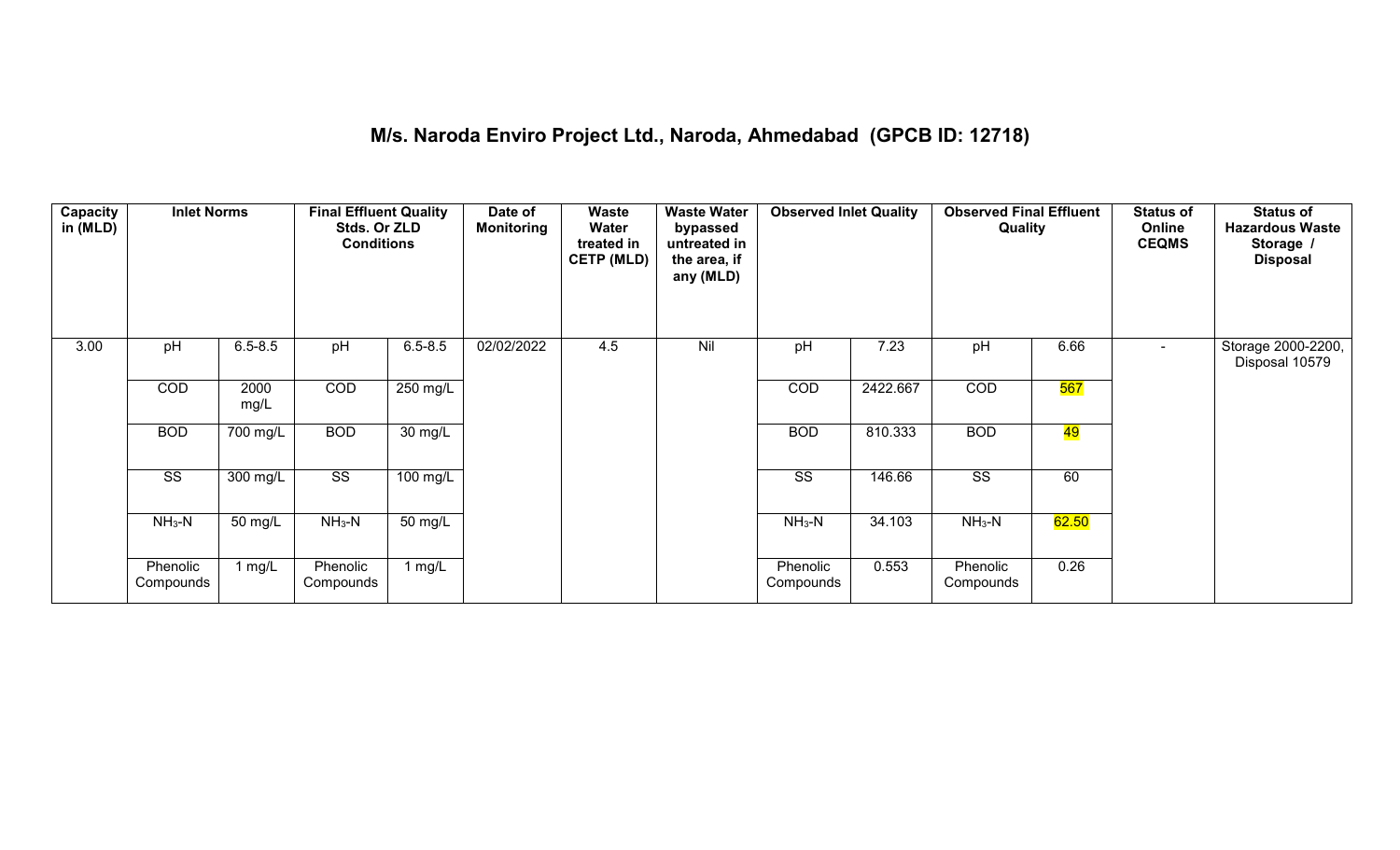#### **M/s. Naroda Enviro Project Ltd., Naroda, Ahmedabad (GPCB ID: 12718)**

| Capacity<br>in (MLD) | <b>Inlet Norms</b>     |              | <b>Final Effluent Quality</b><br>Stds. Or ZLD<br><b>Conditions</b> |                      | Date of<br><b>Monitoring</b> | Waste<br>Water<br>treated in<br><b>CETP (MLD)</b> | <b>Waste Water</b><br>bypassed<br>untreated in<br>the area, if<br>any (MLD) | <b>Observed Inlet Quality</b> |          | <b>Observed Final Effluent</b><br>Quality |            | <b>Status of</b><br>Online<br><b>CEQMS</b> | <b>Status of</b><br><b>Hazardous Waste</b><br>Storage /<br><b>Disposal</b> |
|----------------------|------------------------|--------------|--------------------------------------------------------------------|----------------------|------------------------------|---------------------------------------------------|-----------------------------------------------------------------------------|-------------------------------|----------|-------------------------------------------|------------|--------------------------------------------|----------------------------------------------------------------------------|
| 3.00                 | pH                     | $6.5 - 8.5$  | pH                                                                 | $6.5 - 8.5$          | 02/02/2022                   | 4.5                                               | Nil                                                                         | pH                            | 7.23     | pH                                        | 6.66       |                                            | Storage 2000-2200,<br>Disposal 10579                                       |
|                      | COD                    | 2000<br>mg/L | <b>COD</b>                                                         | 250 mg/L             |                              |                                                   |                                                                             | COD                           | 2422.667 | COD                                       | <b>567</b> |                                            |                                                                            |
|                      | <b>BOD</b>             | 700 mg/L     | <b>BOD</b>                                                         | $\overline{30}$ mg/L |                              |                                                   |                                                                             | <b>BOD</b>                    | 810.333  | <b>BOD</b>                                | 49         |                                            |                                                                            |
|                      | $\overline{\text{ss}}$ | 300 mg/L     | $\overline{\text{ss}}$                                             | 100 mg/L             |                              |                                                   |                                                                             | $\overline{\text{SS}}$        | 146.66   | $\overline{\text{SS}}$                    | 60         |                                            |                                                                            |
|                      | $NH3-N$                | 50 mg/L      | $NH3-N$                                                            | 50 mg/L              |                              |                                                   |                                                                             | $NH_3-N$                      | 34.103   | $NH3-N$                                   | 62.50      |                                            |                                                                            |
|                      | Phenolic<br>Compounds  | 1 $mg/L$     | Phenolic<br>Compounds                                              | 1 $mg/L$             |                              |                                                   |                                                                             | Phenolic<br>Compounds         | 0.553    | Phenolic<br>Compounds                     | 0.26       |                                            |                                                                            |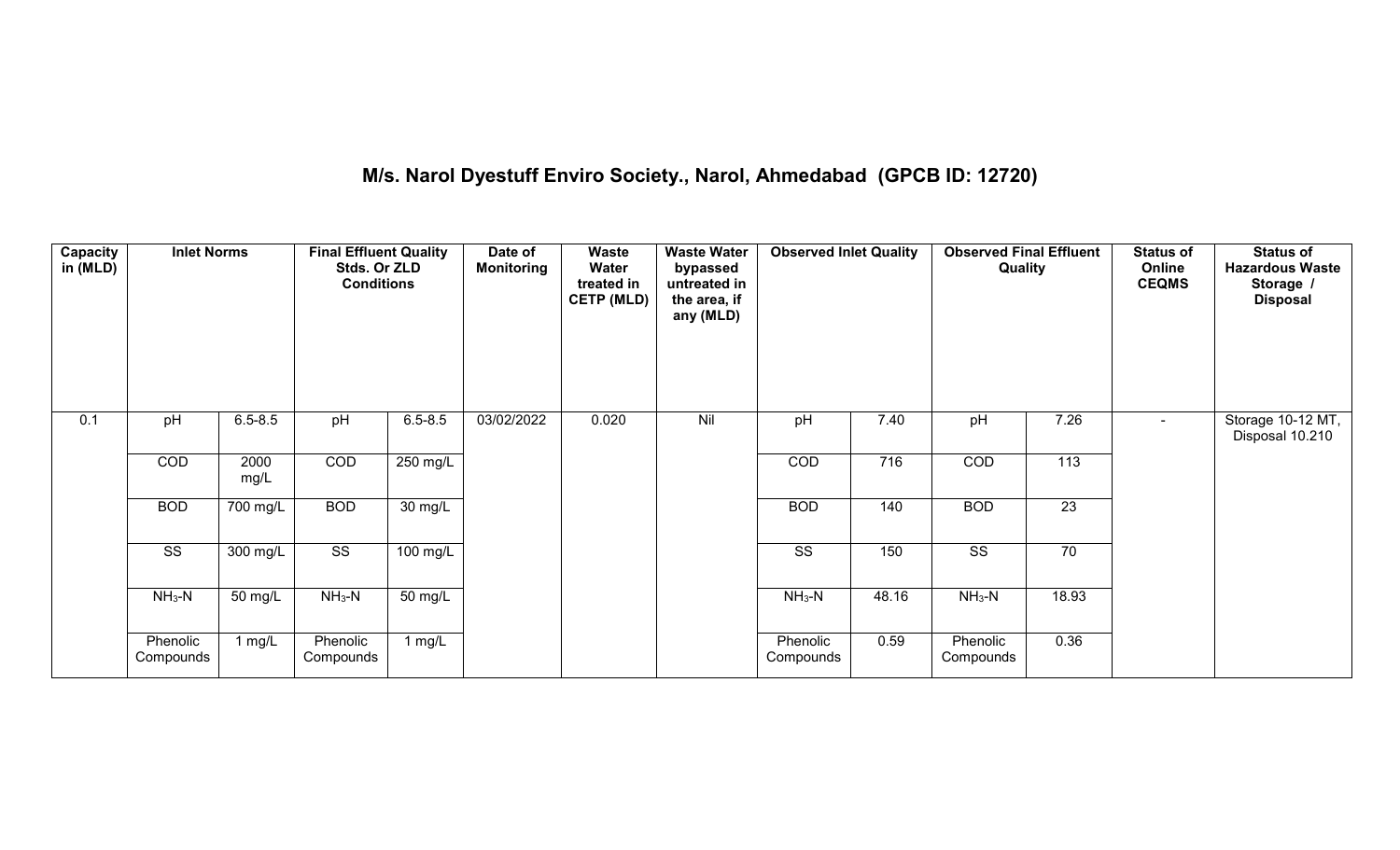# **M/s. Narol Dyestuff Enviro Society., Narol, Ahmedabad (GPCB ID: 12720)**

| <b>Capacity</b><br>in (MLD) | <b>Inlet Norms</b>     |                       | <b>Final Effluent Quality</b><br>Stds. Or ZLD<br><b>Conditions</b> |                   | Date of<br><b>Monitoring</b> | <b>Waste</b><br>Water<br>treated in<br><b>CETP (MLD)</b> | <b>Waste Water</b><br>bypassed<br>untreated in<br>the area, if<br>any (MLD) | <b>Observed Inlet Quality</b> |       | <b>Observed Final Effluent</b><br>Quality |                 | <b>Status of</b><br>Online<br><b>CEQMS</b> | <b>Status of</b><br><b>Hazardous Waste</b><br>Storage /<br><b>Disposal</b> |
|-----------------------------|------------------------|-----------------------|--------------------------------------------------------------------|-------------------|------------------------------|----------------------------------------------------------|-----------------------------------------------------------------------------|-------------------------------|-------|-------------------------------------------|-----------------|--------------------------------------------|----------------------------------------------------------------------------|
| 0.1                         | pH                     | $6.5 - 8.5$           | pH                                                                 | $6.5 - 8.5$       | 03/02/2022                   | 0.020                                                    | Nil                                                                         | pH                            | 7.40  | pH                                        | 7.26            | $\sim$                                     | Storage 10-12 MT,<br>Disposal 10.210                                       |
|                             | COD                    | 2000<br>mg/L          | COD                                                                | 250 mg/L          |                              |                                                          |                                                                             | COD                           | 716   | COD                                       | 113             |                                            |                                                                            |
|                             | <b>BOD</b>             | $\overline{700}$ mg/L | <b>BOD</b>                                                         | $30 \text{ mg/L}$ |                              |                                                          |                                                                             | <b>BOD</b>                    | 140   | <b>BOD</b>                                | $\overline{23}$ |                                            |                                                                            |
|                             | $\overline{\text{ss}}$ | 300 mg/L              | $\overline{\text{SS}}$                                             | 100 mg/L          |                              |                                                          |                                                                             | $\overline{\text{ss}}$        | 150   | $\overline{\text{SS}}$                    | 70              |                                            |                                                                            |
|                             | $NH3-N$                | 50 mg/L               | $NH3-N$                                                            | $50 \text{ mg/L}$ |                              |                                                          |                                                                             | $NH3-N$                       | 48.16 | $NH3-N$                                   | 18.93           |                                            |                                                                            |
|                             | Phenolic<br>Compounds  | 1 $mg/L$              | Phenolic<br>Compounds                                              | $1$ mg/L          |                              |                                                          |                                                                             | Phenolic<br>Compounds         | 0.59  | Phenolic<br>Compounds                     | 0.36            |                                            |                                                                            |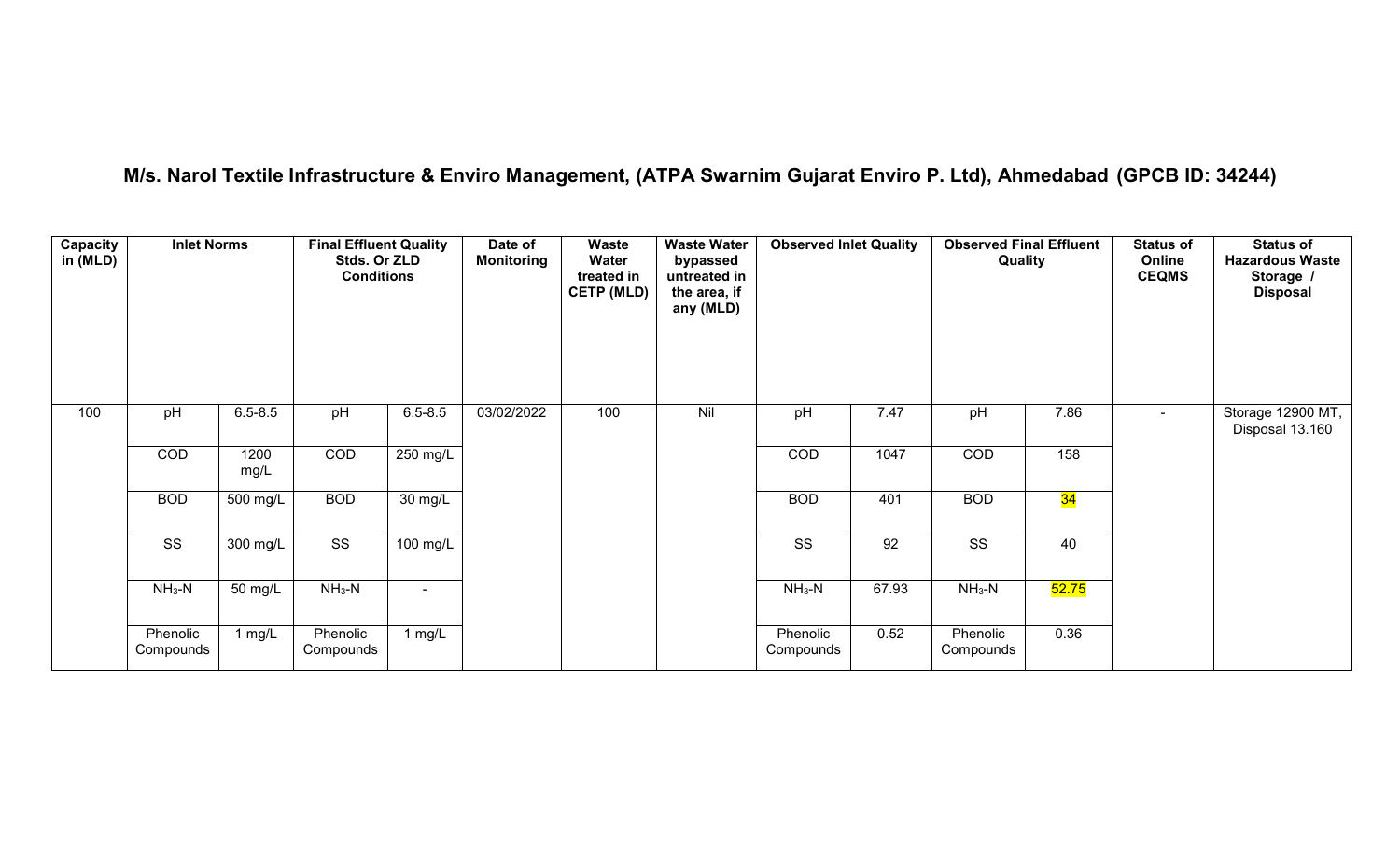# **M/s. Narol Textile Infrastructure & Enviro Management, (ATPA Swarnim Gujarat Enviro P. Ltd), Ahmedabad (GPCB ID: 34244)**

| Capacity<br>in $(MLD)$ | <b>Inlet Norms</b>     |                          | <b>Final Effluent Quality</b><br>Stds. Or ZLD<br><b>Conditions</b> |                      | Date of<br><b>Monitoring</b> | Waste<br>Water<br>treated in<br><b>CETP (MLD)</b> | <b>Waste Water</b><br>bypassed<br>untreated in<br>the area, if<br>any (MLD) | <b>Observed Inlet Quality</b> |       | <b>Observed Final Effluent</b><br>Quality |       | <b>Status of</b><br>Online<br><b>CEQMS</b> | <b>Status of</b><br><b>Hazardous Waste</b><br>Storage /<br><b>Disposal</b> |
|------------------------|------------------------|--------------------------|--------------------------------------------------------------------|----------------------|------------------------------|---------------------------------------------------|-----------------------------------------------------------------------------|-------------------------------|-------|-------------------------------------------|-------|--------------------------------------------|----------------------------------------------------------------------------|
| 100                    | pH                     | $6.5 - 8.5$              | pH                                                                 | $6.5 - 8.5$          | 03/02/2022                   | 100                                               | Nil                                                                         | pH                            | 7.47  | pH                                        | 7.86  | $\sim$                                     | Storage 12900 MT,<br>Disposal 13.160                                       |
|                        | COD                    | 1200<br>mg/L             | COD                                                                | 250 mg/L             |                              |                                                   |                                                                             | COD                           | 1047  | COD                                       | 158   |                                            |                                                                            |
|                        | <b>BOD</b>             | $500$ mg/L $\frac{1}{2}$ | <b>BOD</b>                                                         | $\overline{30}$ mg/L |                              |                                                   |                                                                             | <b>BOD</b>                    | 401   | <b>BOD</b>                                | 34    |                                            |                                                                            |
|                        | $\overline{\text{ss}}$ | 300 mg/L                 | $\overline{\text{ss}}$                                             | $100 \text{ mg/L}$   |                              |                                                   |                                                                             | $\overline{\text{ss}}$        | 92    | $\overline{\text{ss}}$                    | 40    |                                            |                                                                            |
|                        | $NH3-N$                | 50 mg/L                  | $NH3-N$                                                            | $\blacksquare$       |                              |                                                   |                                                                             | $NH_3-N$                      | 67.93 | $NH3-N$                                   | 52.75 |                                            |                                                                            |
|                        | Phenolic<br>Compounds  | 1 mg/ $L$                | Phenolic<br>Compounds                                              | 1 $mg/L$             |                              |                                                   |                                                                             | Phenolic<br>Compounds         | 0.52  | Phenolic<br>Compounds                     | 0.36  |                                            |                                                                            |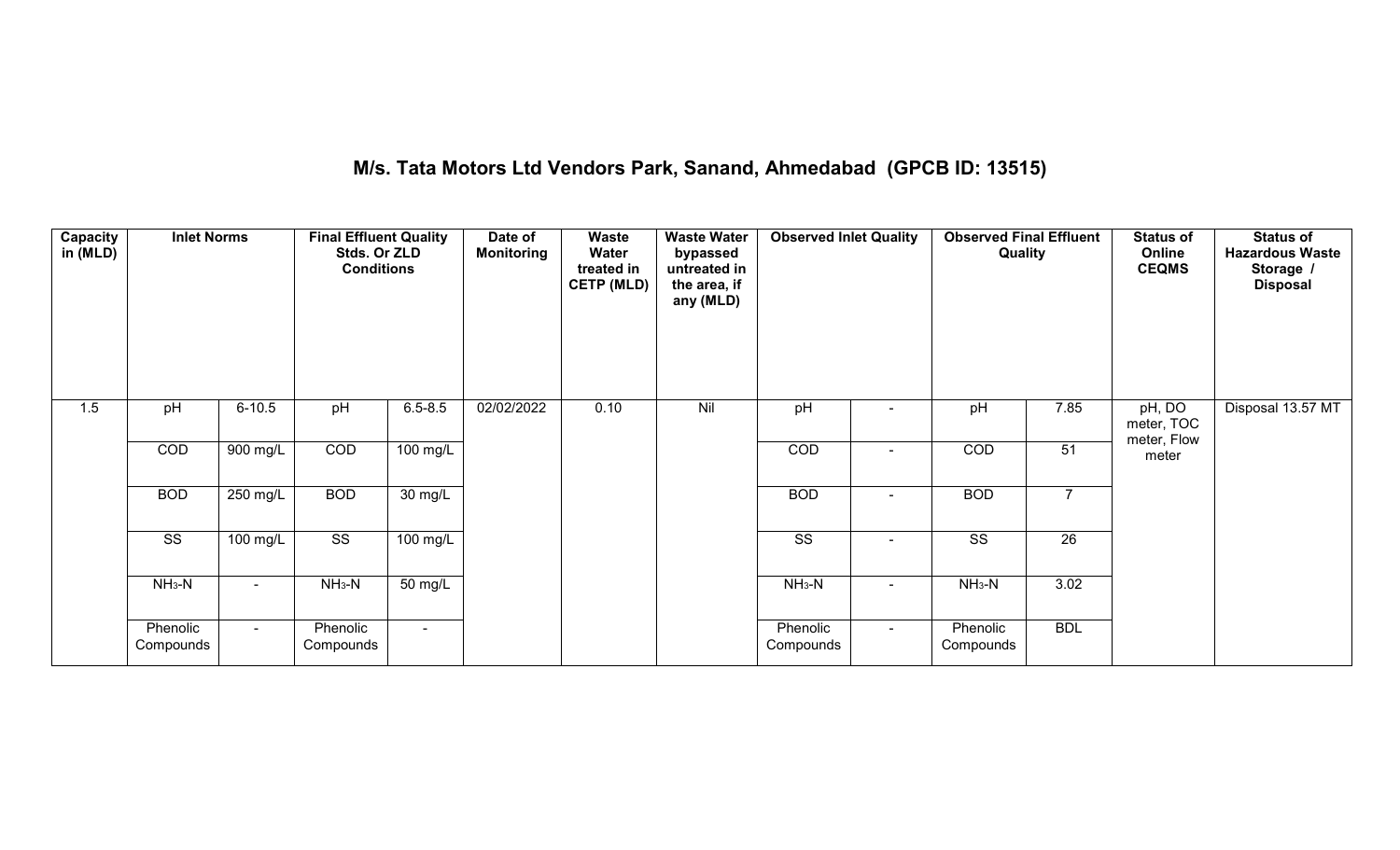# **M/s. Tata Motors Ltd Vendors Park, Sanand, Ahmedabad (GPCB ID: 13515)**

| Capacity<br>in (MLD) | <b>Inlet Norms</b>     |                | <b>Final Effluent Quality</b><br>Stds. Or ZLD<br><b>Conditions</b> |                      | Date of<br><b>Monitoring</b> | <b>Waste</b><br>Water<br>treated in<br><b>CETP (MLD)</b> | <b>Waste Water</b><br>bypassed<br>untreated in<br>the area, if<br>any (MLD) | <b>Observed Inlet Quality</b> |        | <b>Observed Final Effluent</b><br>Quality |                 | <b>Status of</b><br>Online<br><b>CEQMS</b> | <b>Status of</b><br><b>Hazardous Waste</b><br>Storage /<br><b>Disposal</b> |
|----------------------|------------------------|----------------|--------------------------------------------------------------------|----------------------|------------------------------|----------------------------------------------------------|-----------------------------------------------------------------------------|-------------------------------|--------|-------------------------------------------|-----------------|--------------------------------------------|----------------------------------------------------------------------------|
| 1.5                  | pH                     | $6 - 10.5$     | pH                                                                 | $6.5 - 8.5$          | 02/02/2022                   | 0.10                                                     | Nil                                                                         | pH                            |        | pH                                        | 7.85            | pH, DO<br>meter, TOC<br>meter, Flow        | Disposal 13.57 MT                                                          |
|                      | COD                    | $900$ mg/L     | COD                                                                | 100 mg/L             |                              |                                                          |                                                                             | COD                           |        | COD                                       | 51              | meter                                      |                                                                            |
|                      | <b>BOD</b>             | 250 mg/L       | <b>BOD</b>                                                         | $\overline{30}$ mg/L |                              |                                                          |                                                                             | <b>BOD</b>                    | $\sim$ | <b>BOD</b>                                | $\overline{7}$  |                                            |                                                                            |
|                      | $\overline{\text{ss}}$ | 100 mg/L       | $\overline{\text{ss}}$                                             | $100$ mg/L           |                              |                                                          |                                                                             | $\overline{\text{ss}}$        | $\sim$ | $\overline{\text{ss}}$                    | $\overline{26}$ |                                            |                                                                            |
|                      | $NH_3-N$               |                | $NH3-N$                                                            | 50 mg/L              |                              |                                                          |                                                                             | $NH3-N$                       |        | $NH3-N$                                   | 3.02            |                                            |                                                                            |
|                      | Phenolic<br>Compounds  | $\sim$ 10 $\,$ | Phenolic<br>Compounds                                              | $\sim$               |                              |                                                          |                                                                             | Phenolic<br>Compounds         | $\sim$ | Phenolic<br>Compounds                     | <b>BDL</b>      |                                            |                                                                            |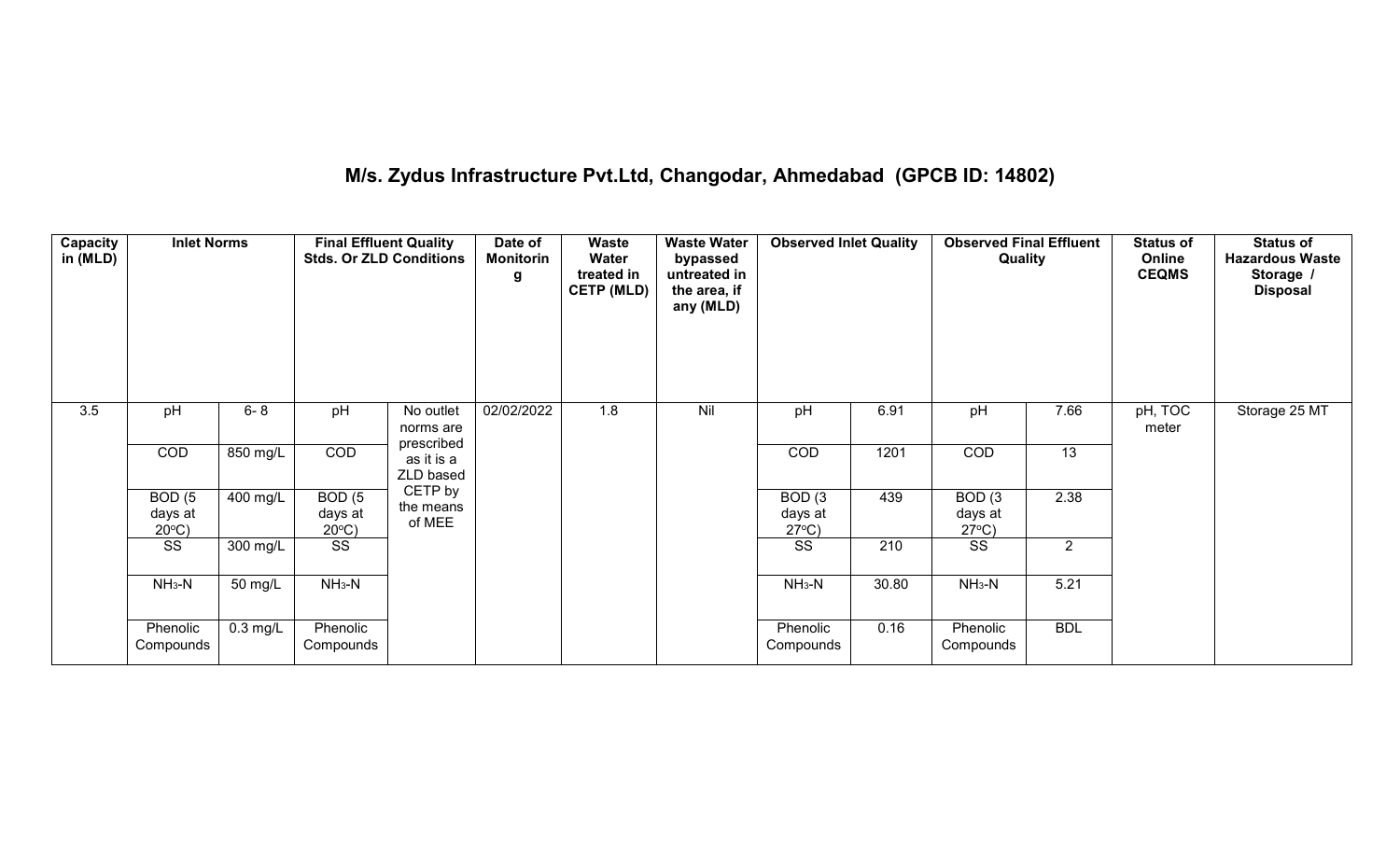# **M/s. Zydus Infrastructure Pvt.Ltd, Changodar, Ahmedabad (GPCB ID: 14802)**

| Capacity<br>in (MLD) | <b>Inlet Norms</b>                              |                    | <b>Final Effluent Quality</b><br><b>Stds. Or ZLD Conditions</b> |                                      | Date of<br>Monitorin<br>g | <b>Waste</b><br>Water<br>treated in<br><b>CETP (MLD)</b> | <b>Waste Water</b><br>bypassed<br>untreated in<br>the area, if<br>any (MLD) | <b>Observed Inlet Quality</b>                   |       | <b>Observed Final Effluent</b><br>Quality       |                | <b>Status of</b><br>Online<br><b>CEQMS</b> | <b>Status of</b><br><b>Hazardous Waste</b><br>Storage /<br><b>Disposal</b> |
|----------------------|-------------------------------------------------|--------------------|-----------------------------------------------------------------|--------------------------------------|---------------------------|----------------------------------------------------------|-----------------------------------------------------------------------------|-------------------------------------------------|-------|-------------------------------------------------|----------------|--------------------------------------------|----------------------------------------------------------------------------|
| $\overline{3.5}$     | pH                                              | $6 - 8$            | pH                                                              | No outlet<br>norms are<br>prescribed | 02/02/2022                | 1.8                                                      | Nil                                                                         | pH                                              | 6.91  | pH                                              | 7.66           | pH, TOC<br>meter                           | Storage 25 MT                                                              |
|                      | COD                                             | 850 mg/L           | COD                                                             | as it is a<br>ZLD based              |                           |                                                          |                                                                             | COD                                             | 1201  | COD                                             | 13             |                                            |                                                                            |
|                      | BOD <sub>(5</sub><br>days at<br>$20^{\circ}$ C) | 400 mg/L           | BOD(5)<br>days at<br>$20^{\circ}$ C)                            | CETP by<br>the means<br>of MEE       |                           |                                                          |                                                                             | BOD <sub>(3</sub><br>days at<br>$27^{\circ}C$ ) | 439   | BOD <sub>(3</sub><br>days at<br>$27^{\circ}C$ ) | 2.38           |                                            |                                                                            |
|                      | SS                                              | 300 mg/L           | SS                                                              |                                      |                           |                                                          |                                                                             | SS                                              | 210   | SS                                              | $\overline{2}$ |                                            |                                                                            |
|                      | $NH3-N$                                         | 50 mg/L            | $NH3-N$                                                         |                                      |                           |                                                          |                                                                             | $NH3-N$                                         | 30.80 | $NH3-N$                                         | 5.21           |                                            |                                                                            |
|                      | Phenolic<br>Compounds                           | $0.3 \text{ mg/L}$ | Phenolic<br>Compounds                                           |                                      |                           |                                                          |                                                                             | Phenolic<br>Compounds                           | 0.16  | Phenolic<br>Compounds                           | <b>BDL</b>     |                                            |                                                                            |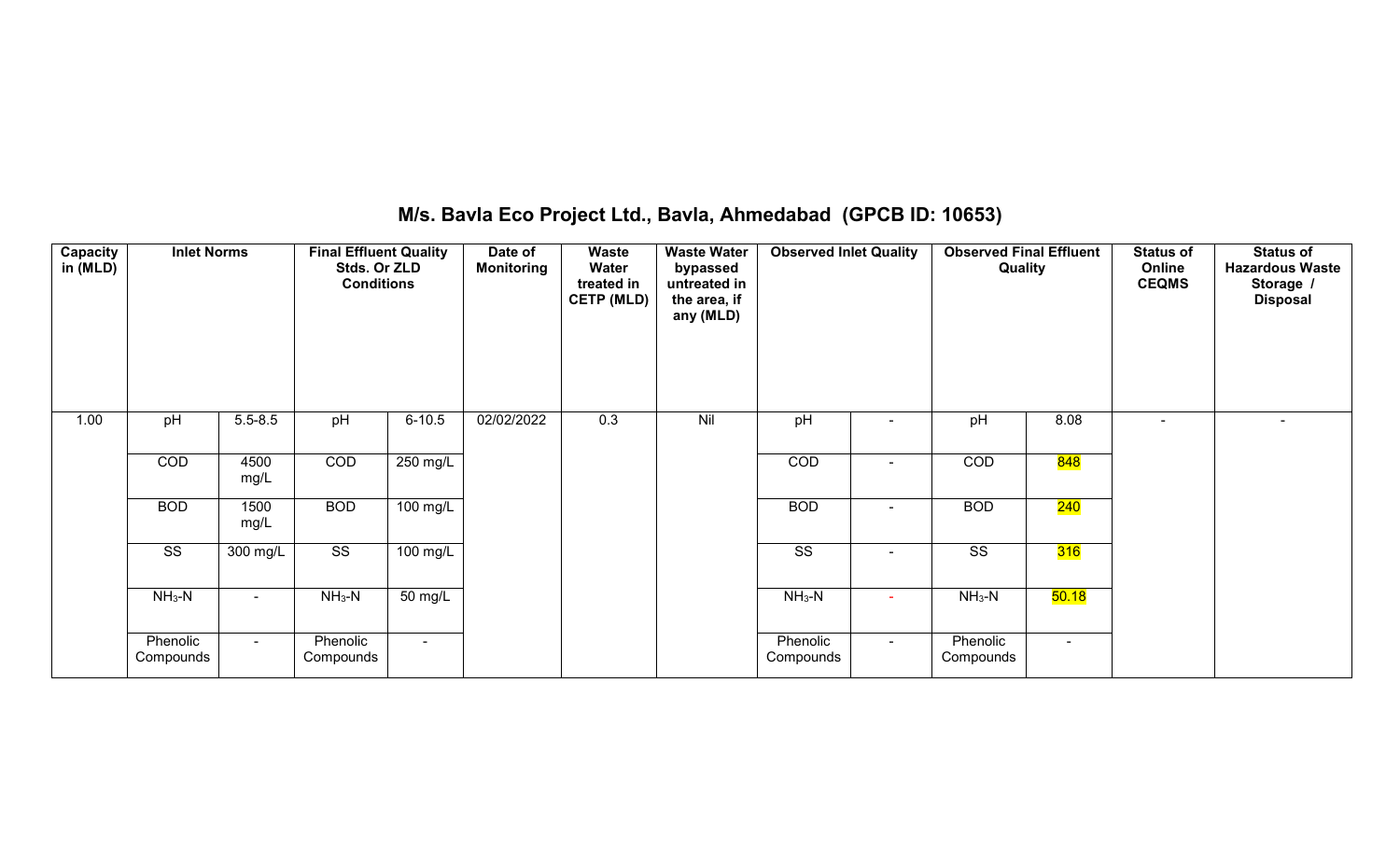### **M/s. Bavla Eco Project Ltd., Bavla, Ahmedabad (GPCB ID: 10653)**

| <b>Capacity</b><br>in (MLD) | <b>Inlet Norms</b>     |              | <b>Final Effluent Quality</b><br>Stds. Or ZLD<br><b>Conditions</b> |                | Date of<br><b>Monitoring</b> | Waste<br>Water<br>treated in<br><b>CETP (MLD)</b> | <b>Waste Water</b><br>bypassed<br>untreated in<br>the area, if<br>any (MLD) | <b>Observed Inlet Quality</b> |        | <b>Observed Final Effluent</b><br>Quality |            | <b>Status of</b><br>Online<br><b>CEQMS</b> | <b>Status of</b><br><b>Hazardous Waste</b><br>Storage /<br><b>Disposal</b> |
|-----------------------------|------------------------|--------------|--------------------------------------------------------------------|----------------|------------------------------|---------------------------------------------------|-----------------------------------------------------------------------------|-------------------------------|--------|-------------------------------------------|------------|--------------------------------------------|----------------------------------------------------------------------------|
| 1.00                        | pH                     | $5.5 - 8.5$  | pH                                                                 | $6 - 10.5$     | 02/02/2022                   | 0.3                                               | Nil                                                                         | pH                            |        | pH                                        | 8.08       | $\overline{\phantom{0}}$                   | $\sim$                                                                     |
|                             | COD                    | 4500<br>mg/L | COD                                                                | 250 mg/L       |                              |                                                   |                                                                             | COD                           |        | COD                                       | <b>848</b> |                                            |                                                                            |
|                             | <b>BOD</b>             | 1500<br>mg/L | <b>BOD</b>                                                         | 100 mg/L       |                              |                                                   |                                                                             | <b>BOD</b>                    | ۰.     | <b>BOD</b>                                | 240        |                                            |                                                                            |
|                             | $\overline{\text{ss}}$ | 300 mg/L     | $\overline{\text{ss}}$                                             | 100 mg/L       |                              |                                                   |                                                                             | $\overline{\text{ss}}$        | $\sim$ | $\overline{\text{SS}}$                    | 316        |                                            |                                                                            |
|                             | $NH3-N$                | $\sim$       | $NH3-N$                                                            | 50 mg/L        |                              |                                                   |                                                                             | $NH3-N$                       |        | $NH3-N$                                   | 50.18      |                                            |                                                                            |
|                             | Phenolic<br>Compounds  | $\sim$       | Phenolic<br>Compounds                                              | $\blacksquare$ |                              |                                                   |                                                                             | Phenolic<br>Compounds         | $\sim$ | Phenolic<br>Compounds                     | $\sim$     |                                            |                                                                            |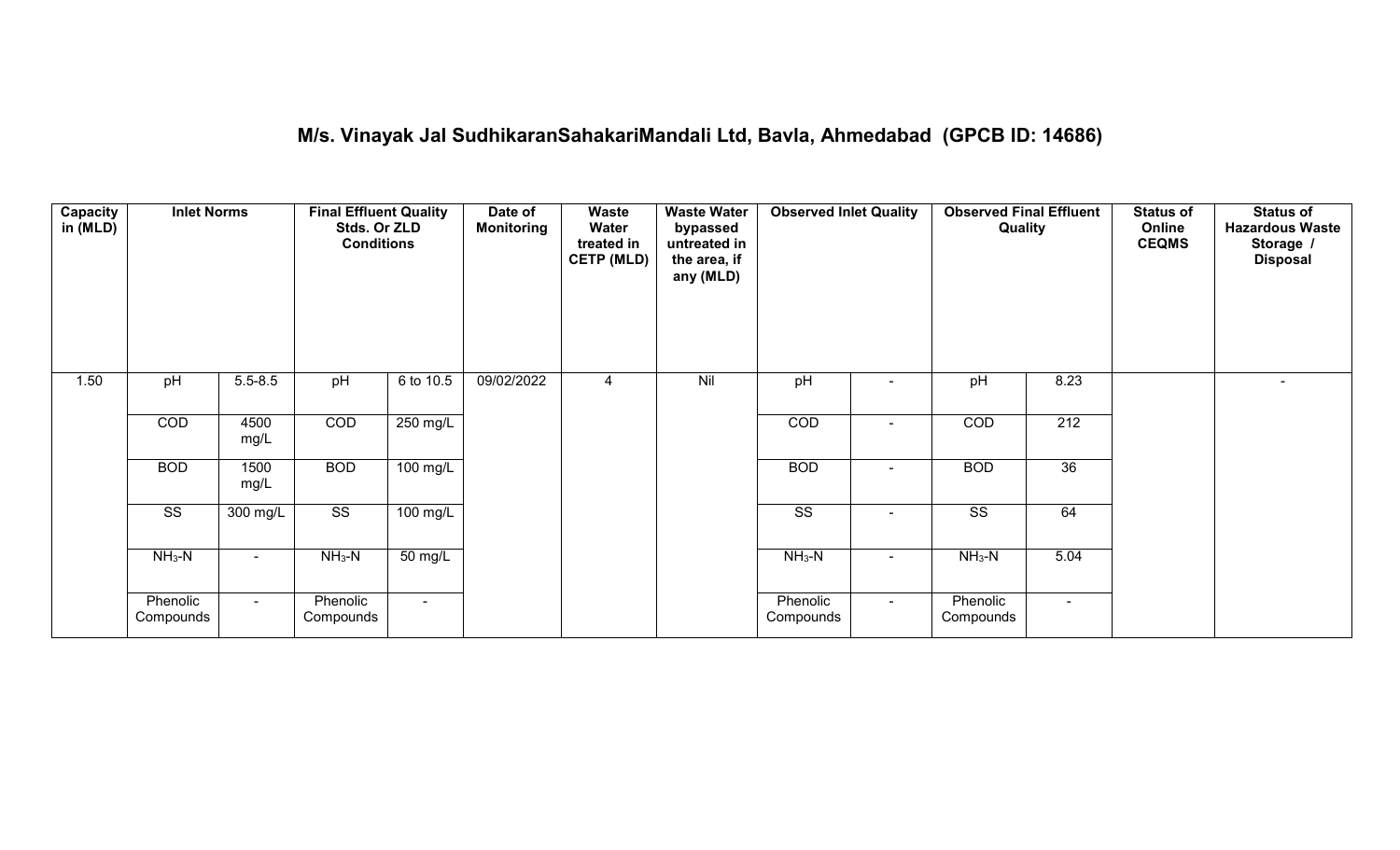#### **M/s. Vinayak Jal SudhikaranSahakariMandali Ltd, Bavla, Ahmedabad (GPCB ID: 14686)**

| <b>Capacity</b><br>in (MLD) | <b>Inlet Norms</b>     |                    | <b>Final Effluent Quality</b><br>Stds. Or ZLD<br><b>Conditions</b> |                      | Date of<br><b>Monitoring</b> | <b>Waste</b><br>Water<br>treated in<br><b>CETP (MLD)</b> | <b>Waste Water</b><br>bypassed<br>untreated in<br>the area, if<br>any (MLD) | <b>Observed Inlet Quality</b> |        | <b>Observed Final Effluent</b><br>Quality |        | <b>Status of</b><br>Online<br><b>CEQMS</b> | <b>Status of</b><br><b>Hazardous Waste</b><br>Storage /<br><b>Disposal</b> |
|-----------------------------|------------------------|--------------------|--------------------------------------------------------------------|----------------------|------------------------------|----------------------------------------------------------|-----------------------------------------------------------------------------|-------------------------------|--------|-------------------------------------------|--------|--------------------------------------------|----------------------------------------------------------------------------|
| 1.50                        | pH                     | $5.5 - 8.5$        | pH                                                                 | 6 to 10.5            | 09/02/2022                   | 4                                                        | Nil                                                                         | pH                            | $\sim$ | pH                                        | 8.23   |                                            | $\overline{\phantom{a}}$                                                   |
|                             | COD                    | 4500<br>mg/L       | COD                                                                | 250 mg/L             |                              |                                                          |                                                                             | COD                           | $\sim$ | COD                                       | 212    |                                            |                                                                            |
|                             | <b>BOD</b>             | 1500<br>mg/L       | <b>BOD</b>                                                         | 100 mg/L             |                              |                                                          |                                                                             | <b>BOD</b>                    | $\sim$ | <b>BOD</b>                                | 36     |                                            |                                                                            |
|                             | $\overline{\text{ss}}$ | $300 \text{ mg/L}$ | $\overline{\text{SS}}$                                             | $100$ mg/L           |                              |                                                          |                                                                             | $\overline{\text{SS}}$        | ۰      | $\overline{\text{ss}}$                    | 64     |                                            |                                                                            |
|                             | $NH_3-N$               |                    | $NH_3-N$                                                           | $\overline{50}$ mg/L |                              |                                                          |                                                                             | $NH3-N$                       | $\sim$ | $NH3-N$                                   | 5.04   |                                            |                                                                            |
|                             | Phenolic<br>Compounds  | $\sim$             | Phenolic<br>Compounds                                              | $\sim$               |                              |                                                          |                                                                             | Phenolic<br>Compounds         | $\sim$ | Phenolic<br>Compounds                     | $\sim$ |                                            |                                                                            |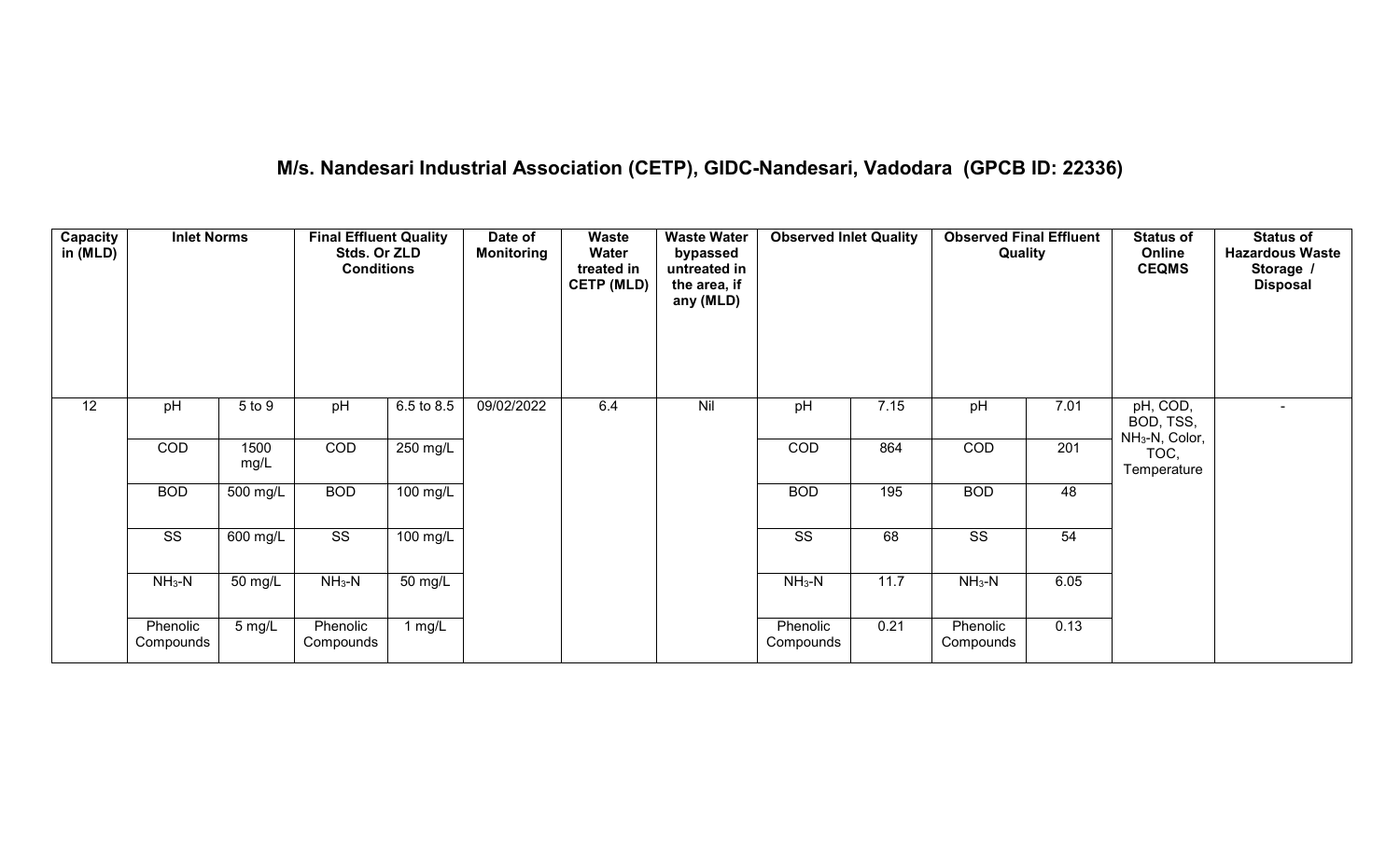# **M/s. Nandesari Industrial Association (CETP), GIDC-Nandesari, Vadodara (GPCB ID: 22336)**

| Capacity<br>in (MLD) | <b>Inlet Norms</b>     |                       | <b>Final Effluent Quality</b><br>Stds. Or ZLD<br><b>Conditions</b> |                        | Date of<br><b>Monitoring</b> | <b>Waste</b><br>Water<br>treated in<br><b>CETP (MLD)</b> | <b>Waste Water</b><br>bypassed<br>untreated in<br>the area, if<br>any (MLD) | <b>Observed Inlet Quality</b> |      | <b>Observed Final Effluent</b><br>Quality |      | <b>Status of</b><br>Online<br><b>CEQMS</b>          | <b>Status of</b><br><b>Hazardous Waste</b><br>Storage /<br><b>Disposal</b> |
|----------------------|------------------------|-----------------------|--------------------------------------------------------------------|------------------------|------------------------------|----------------------------------------------------------|-----------------------------------------------------------------------------|-------------------------------|------|-------------------------------------------|------|-----------------------------------------------------|----------------------------------------------------------------------------|
| 12                   | pH                     | 5 to 9                | pH                                                                 | 6.5 to 8.5             | 09/02/2022                   | 6.4                                                      | Nil                                                                         | pH                            | 7.15 | pH                                        | 7.01 | pH, COD,<br>BOD, TSS,<br>NH <sub>3</sub> -N, Color, | $\sim$                                                                     |
|                      | COD                    | 1500<br>mg/L          | COD                                                                | 250 mg/L               |                              |                                                          |                                                                             | COD                           | 864  | COD                                       | 201  | TOC,<br>Temperature                                 |                                                                            |
|                      | <b>BOD</b>             | $\overline{500}$ mg/L | <b>BOD</b>                                                         | 100 mg/L               |                              |                                                          |                                                                             | <b>BOD</b>                    | 195  | <b>BOD</b>                                | 48   |                                                     |                                                                            |
|                      | $\overline{\text{ss}}$ | $600$ mg/L            | $\overline{\text{ss}}$                                             | $\frac{100}{100}$ mg/L |                              |                                                          |                                                                             | $\overline{\text{ss}}$        | 68   | $\overline{\text{ss}}$                    | 54   |                                                     |                                                                            |
|                      | $NH3-N$                | 50 mg/L               | $NH3-N$                                                            | 50 mg/L                |                              |                                                          |                                                                             | $NH3-N$                       | 11.7 | $NH_3-N$                                  | 6.05 |                                                     |                                                                            |
|                      | Phenolic<br>Compounds  | $5 \text{ mg/L}$      | Phenolic<br>Compounds                                              | 1 mg/L                 |                              |                                                          |                                                                             | Phenolic<br>Compounds         | 0.21 | Phenolic<br>Compounds                     | 0.13 |                                                     |                                                                            |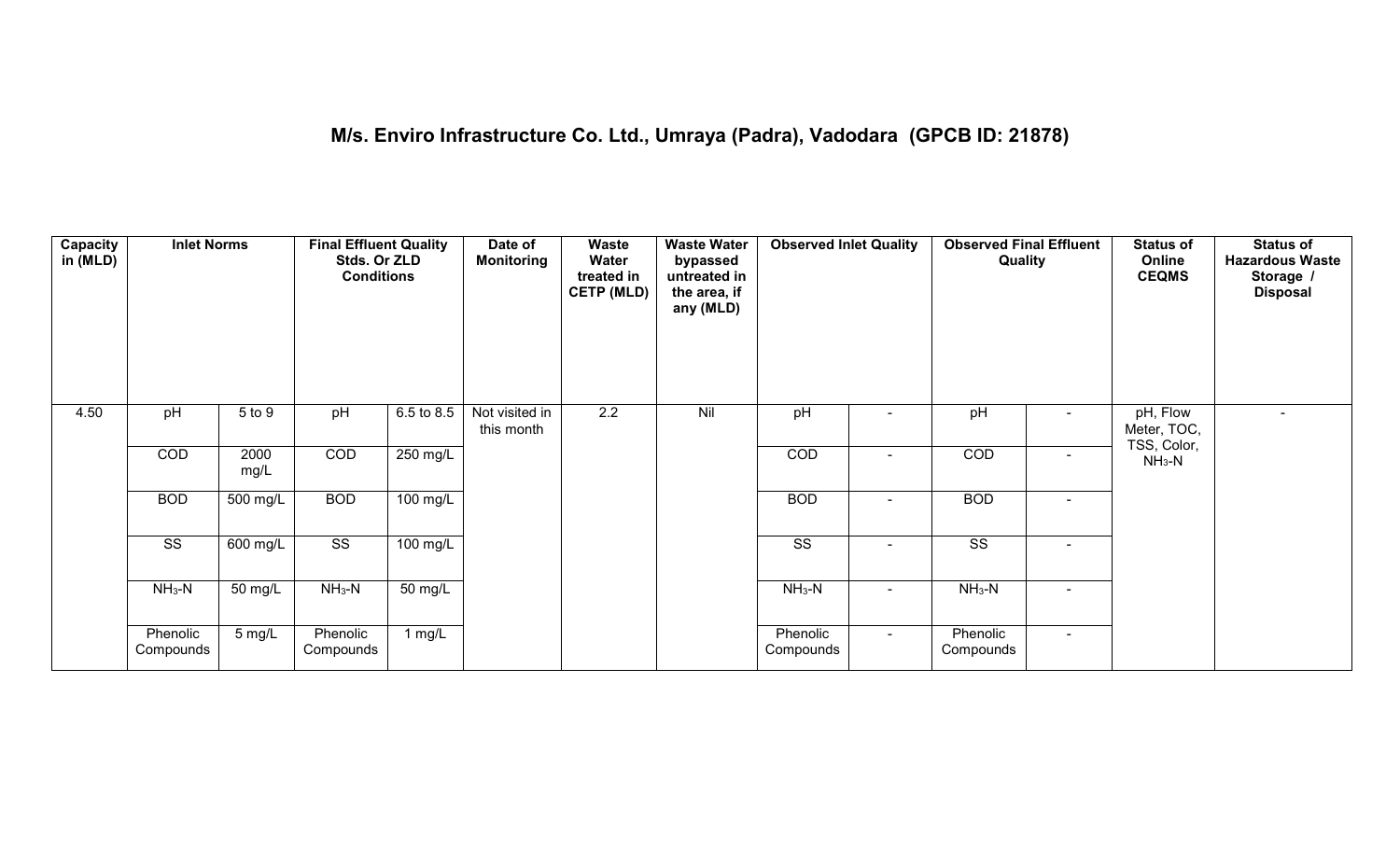| Capacity<br>in (MLD) | <b>Inlet Norms</b>    |              | <b>Final Effluent Quality</b><br>Stds. Or ZLD<br><b>Conditions</b> |                    | Date of<br><b>Monitoring</b> | <b>Waste</b><br>Water<br>treated in<br><b>CETP (MLD)</b> | <b>Waste Water</b><br>bypassed<br>untreated in<br>the area, if<br>any (MLD) | <b>Observed Inlet Quality</b> |                | <b>Observed Final Effluent</b><br>Quality |                          | <b>Status of</b><br>Online<br><b>CEQMS</b> | <b>Status of</b><br><b>Hazardous Waste</b><br>Storage /<br><b>Disposal</b> |
|----------------------|-----------------------|--------------|--------------------------------------------------------------------|--------------------|------------------------------|----------------------------------------------------------|-----------------------------------------------------------------------------|-------------------------------|----------------|-------------------------------------------|--------------------------|--------------------------------------------|----------------------------------------------------------------------------|
| 4.50                 | pH                    | 5 to 9       | pH                                                                 | 6.5 to 8.5         | Not visited in<br>this month | 2.2                                                      | Nil                                                                         | pH                            |                | pH                                        |                          | pH, Flow<br>Meter, TOC,<br>TSS, Color,     |                                                                            |
|                      | COD                   | 2000<br>mg/L | COD                                                                | 250 mg/L           |                              |                                                          |                                                                             | COD                           |                | COD                                       | $\overline{\phantom{0}}$ | $NH3-N$                                    |                                                                            |
|                      | <b>BOD</b>            | 500 mg/L     | <b>BOD</b>                                                         | $100$ mg/L         |                              |                                                          |                                                                             | <b>BOD</b>                    | $\sim$         | <b>BOD</b>                                | $\blacksquare$           |                                            |                                                                            |
|                      | SS                    | 600 mg/L     | $\overline{\text{SS}}$                                             | $100 \text{ mg/L}$ |                              |                                                          |                                                                             | SS                            | $\blacksquare$ | SS                                        | $\blacksquare$           |                                            |                                                                            |
|                      | $NH3-N$               | 50 mg/L      | $NH3-N$                                                            | 50 mg/L            |                              |                                                          |                                                                             | $NH_3-N$                      |                | $NH3-N$                                   |                          |                                            |                                                                            |
|                      | Phenolic<br>Compounds | 5 mg/L       | Phenolic<br>Compounds                                              | 1 $mg/L$           |                              |                                                          |                                                                             | Phenolic<br>Compounds         | $\sim$         | Phenolic<br>Compounds                     | $\sim$                   |                                            |                                                                            |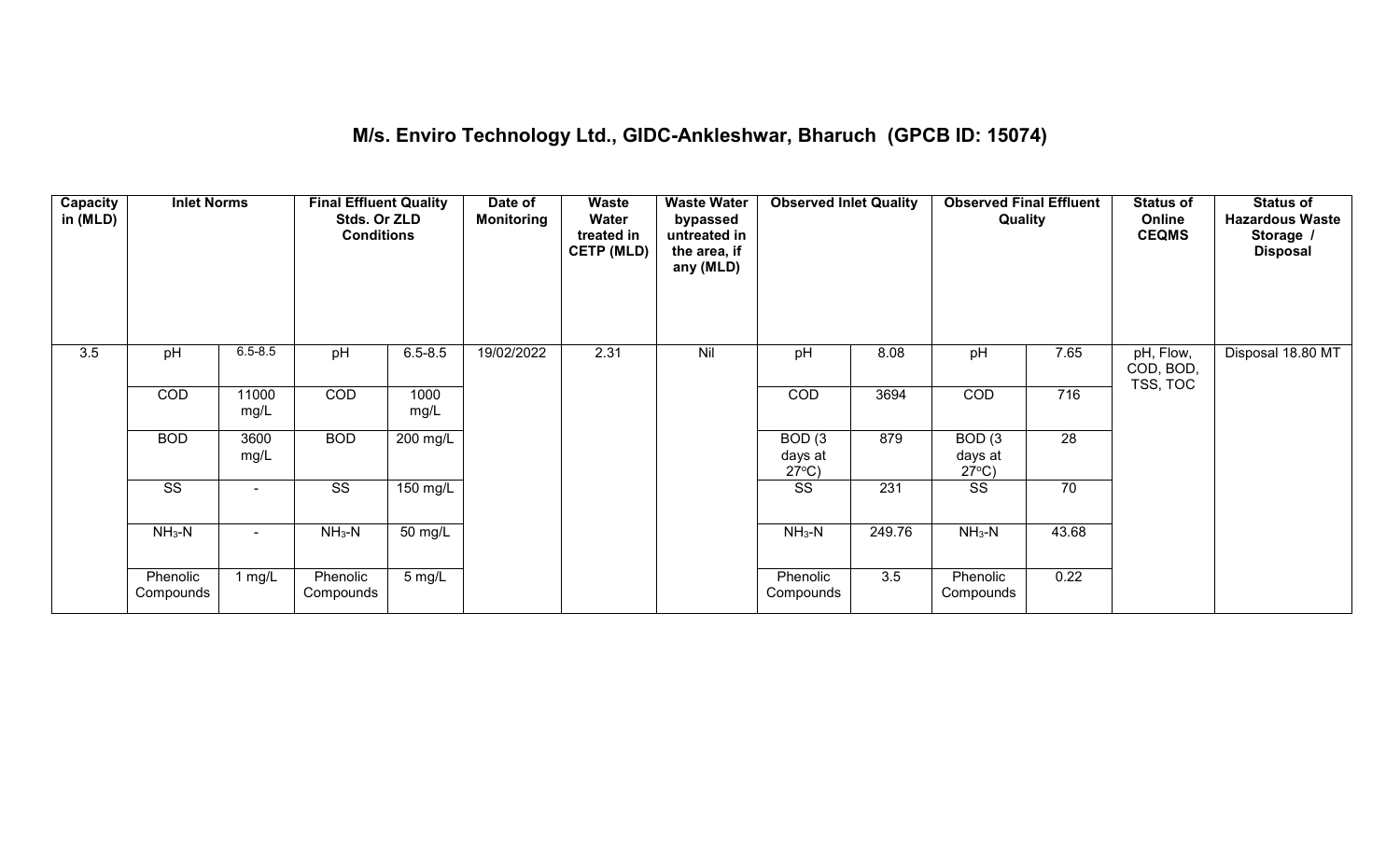# **M/s. Enviro Technology Ltd., GIDC-Ankleshwar, Bharuch (GPCB ID: 15074)**

| <b>Capacity</b><br>in (MLD) | <b>Inlet Norms</b>     |               | <b>Final Effluent Quality</b><br>Stds. Or ZLD<br><b>Conditions</b> |              | Date of<br><b>Monitoring</b> | <b>Waste</b><br>Water<br>treated in<br><b>CETP (MLD)</b> | <b>Waste Water</b><br>bypassed<br>untreated in<br>the area, if<br>any (MLD) | <b>Observed Inlet Quality</b>        |        | <b>Observed Final Effluent</b><br>Quality |                  | <b>Status of</b><br>Online<br><b>CEQMS</b> | <b>Status of</b><br><b>Hazardous Waste</b><br>Storage /<br><b>Disposal</b> |
|-----------------------------|------------------------|---------------|--------------------------------------------------------------------|--------------|------------------------------|----------------------------------------------------------|-----------------------------------------------------------------------------|--------------------------------------|--------|-------------------------------------------|------------------|--------------------------------------------|----------------------------------------------------------------------------|
| 3.5                         | pH                     | $6.5 - 8.5$   | pH                                                                 | $6.5 - 8.5$  | 19/02/2022                   | 2.31                                                     | Nil                                                                         | pH                                   | 8.08   | pH                                        | 7.65             | pH, Flow,<br>COD, BOD,<br>TSS, TOC         | Disposal 18.80 MT                                                          |
|                             | COD                    | 11000<br>mg/L | COD                                                                | 1000<br>mg/L |                              |                                                          |                                                                             | COD                                  | 3694   | COD                                       | $\overline{716}$ |                                            |                                                                            |
|                             | <b>BOD</b>             | 3600<br>mg/L  | <b>BOD</b>                                                         | $200$ mg/L   |                              |                                                          |                                                                             | BOD(3)<br>days at<br>$27^{\circ}C$ ) | 879    | BOD(3)<br>days at<br>$27^{\circ}C$ )      | $\overline{28}$  |                                            |                                                                            |
|                             | $\overline{\text{ss}}$ | $\sim$        | $\overline{\text{SS}}$                                             | 150 mg/L     |                              |                                                          |                                                                             | $\overline{\text{SS}}$               | 231    | $\overline{\text{SS}}$                    | 70               |                                            |                                                                            |
|                             | $NH3-N$                | $\sim$        | $NH3-N$                                                            | 50 mg/L      |                              |                                                          |                                                                             | $NH3-N$                              | 249.76 | $NH3-N$                                   | 43.68            |                                            |                                                                            |
|                             | Phenolic<br>Compounds  | 1 $mg/L$      | Phenolic<br>Compounds                                              | 5 mg/L       |                              |                                                          |                                                                             | Phenolic<br>Compounds                | 3.5    | Phenolic<br>Compounds                     | 0.22             |                                            |                                                                            |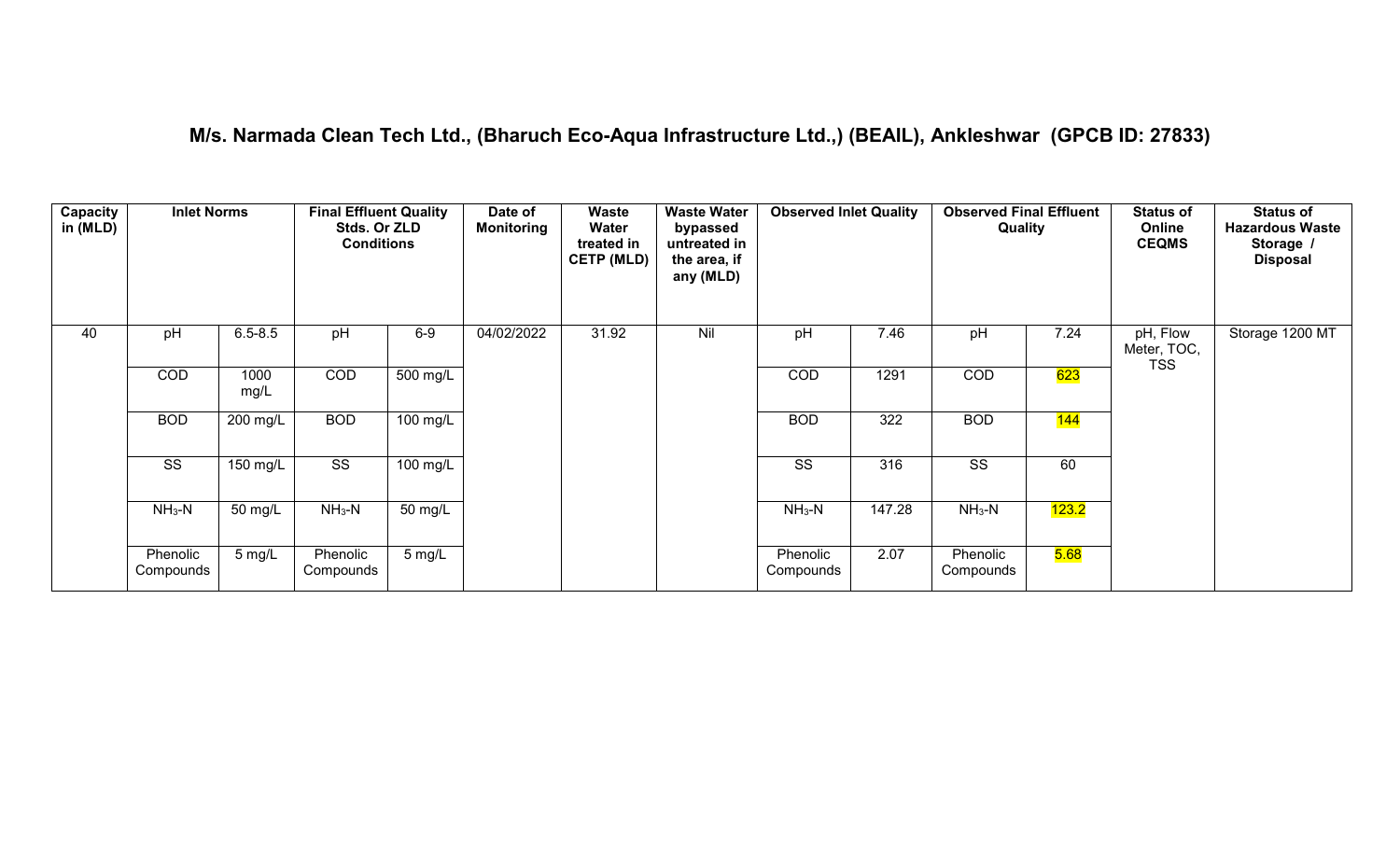# **M/s. Narmada Clean Tech Ltd., (Bharuch Eco-Aqua Infrastructure Ltd.,) (BEAIL), Ankleshwar (GPCB ID: 27833)**

| Capacity<br>in (MLD) | <b>Inlet Norms</b>     |              | <b>Final Effluent Quality</b><br>Stds. Or ZLD<br><b>Conditions</b> |          | Date of<br><b>Monitoring</b> | Waste<br>Water<br>treated in<br><b>CETP (MLD)</b> | <b>Waste Water</b><br>bypassed<br>untreated in<br>the area, if<br>any (MLD) | <b>Observed Inlet Quality</b> |        | <b>Observed Final Effluent</b><br>Quality |       | <b>Status of</b><br>Online<br><b>CEQMS</b> | <b>Status of</b><br><b>Hazardous Waste</b><br>Storage /<br><b>Disposal</b> |
|----------------------|------------------------|--------------|--------------------------------------------------------------------|----------|------------------------------|---------------------------------------------------|-----------------------------------------------------------------------------|-------------------------------|--------|-------------------------------------------|-------|--------------------------------------------|----------------------------------------------------------------------------|
| 40                   | pH                     | $6.5 - 8.5$  | pH                                                                 | $6-9$    | 04/02/2022                   | 31.92                                             | Nil                                                                         | pH                            | 7.46   | pH                                        | 7.24  | pH, Flow<br>Meter, TOC,                    | Storage 1200 MT                                                            |
|                      | COD                    | 1000<br>mg/L | COD                                                                | 500 mg/L |                              |                                                   |                                                                             | <b>COD</b>                    | 1291   | COD                                       | 623   | <b>TSS</b>                                 |                                                                            |
|                      | <b>BOD</b>             | 200 mg/L     | <b>BOD</b>                                                         | 100 mg/L |                              |                                                   |                                                                             | <b>BOD</b>                    | 322    | <b>BOD</b>                                | 144   |                                            |                                                                            |
|                      | $\overline{\text{ss}}$ | $150$ mg/L   | $\overline{\text{SS}}$                                             | 100 mg/L |                              |                                                   |                                                                             | SS                            | 316    | $\overline{\text{SS}}$                    | 60    |                                            |                                                                            |
|                      | $NH_3-N$               | 50 mg/L      | $NH3-N$                                                            | 50 mg/L  |                              |                                                   |                                                                             | $NH3-N$                       | 147.28 | $NH3-N$                                   | 123.2 |                                            |                                                                            |
|                      | Phenolic<br>Compounds  | 5 mg/L       | Phenolic<br>Compounds                                              | 5 mg/L   |                              |                                                   |                                                                             | Phenolic<br>Compounds         | 2.07   | Phenolic<br>Compounds                     | 5.68  |                                            |                                                                            |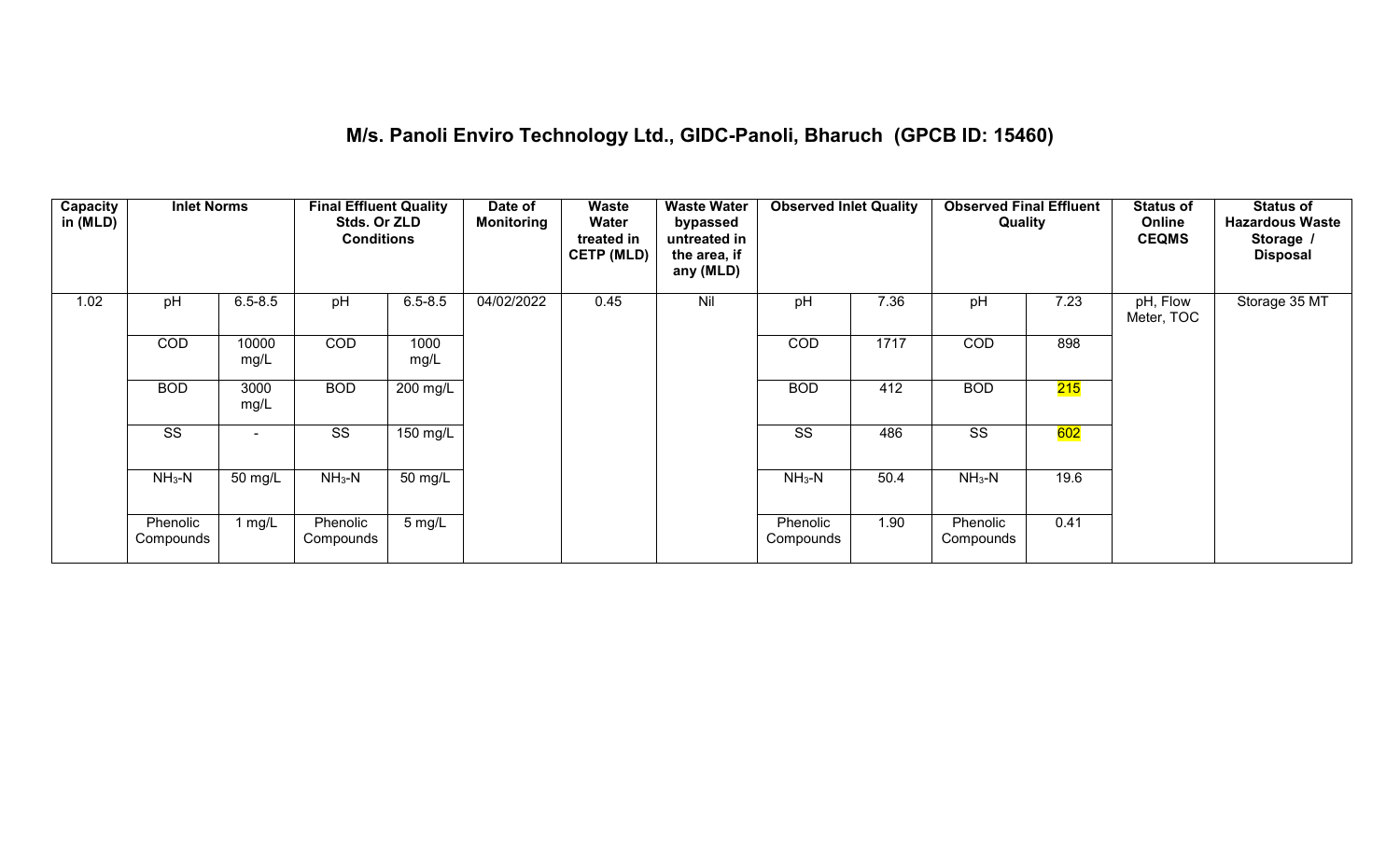# **M/s. Panoli Enviro Technology Ltd., GIDC-Panoli, Bharuch (GPCB ID: 15460)**

| Capacity<br>in (MLD) | <b>Inlet Norms</b>     |               | <b>Final Effluent Quality</b><br>Stds. Or ZLD<br><b>Conditions</b> |                  | Date of<br><b>Monitoring</b> | Waste<br>Water<br>treated in<br><b>CETP (MLD)</b> | <b>Waste Water</b><br>bypassed<br>untreated in<br>the area, if<br>any (MLD) | <b>Observed Inlet Quality</b> |      | <b>Observed Final Effluent</b><br>Quality |      | <b>Status of</b><br>Online<br><b>CEQMS</b> | <b>Status of</b><br><b>Hazardous Waste</b><br>Storage /<br><b>Disposal</b> |
|----------------------|------------------------|---------------|--------------------------------------------------------------------|------------------|------------------------------|---------------------------------------------------|-----------------------------------------------------------------------------|-------------------------------|------|-------------------------------------------|------|--------------------------------------------|----------------------------------------------------------------------------|
| 1.02                 | pH                     | $6.5 - 8.5$   | pH                                                                 | $6.5 - 8.5$      | 04/02/2022                   | 0.45                                              | Nil                                                                         | pH                            | 7.36 | pH                                        | 7.23 | pH, Flow<br>Meter, TOC                     | Storage 35 MT                                                              |
|                      | COD                    | 10000<br>mg/L | <b>COD</b>                                                         | 1000<br>mg/L     |                              |                                                   |                                                                             | COD                           | 1717 | COD                                       | 898  |                                            |                                                                            |
|                      | <b>BOD</b>             | 3000<br>mg/L  | <b>BOD</b>                                                         | 200 mg/L         |                              |                                                   |                                                                             | <b>BOD</b>                    | 412  | <b>BOD</b>                                | 215  |                                            |                                                                            |
|                      | $\overline{\text{ss}}$ | $\sim$        | $\overline{\text{SS}}$                                             | 150 mg/L         |                              |                                                   |                                                                             | SS                            | 486  | SS                                        | 602  |                                            |                                                                            |
|                      | $NH3-N$                | 50 mg/L       | $NH3-N$                                                            | 50 mg/L          |                              |                                                   |                                                                             | $NH3-N$                       | 50.4 | $NH3-N$                                   | 19.6 |                                            |                                                                            |
|                      | Phenolic<br>Compounds  | 1 $mg/L$      | Phenolic<br>Compounds                                              | $5 \text{ mg/L}$ |                              |                                                   |                                                                             | Phenolic<br>Compounds         | 1.90 | Phenolic<br>Compounds                     | 0.41 |                                            |                                                                            |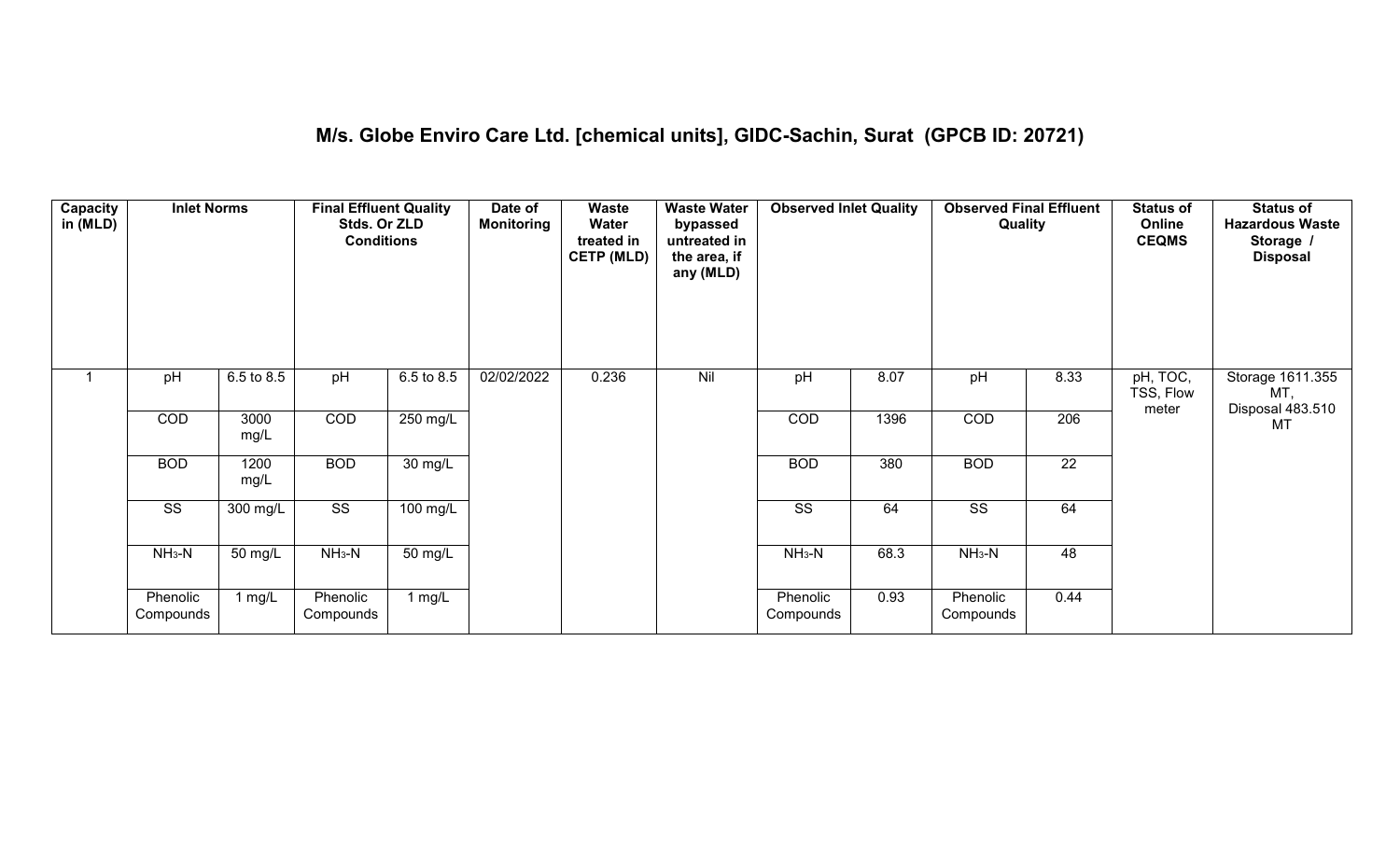# **M/s. Globe Enviro Care Ltd. [chemical units], GIDC-Sachin, Surat (GPCB ID: 20721)**

| Capacity<br>in (MLD) | <b>Inlet Norms</b>     |              | <b>Final Effluent Quality</b><br>Stds. Or ZLD<br><b>Conditions</b> |                            | Date of<br><b>Monitoring</b> | <b>Waste</b><br>Water<br>treated in<br><b>CETP (MLD)</b> | <b>Waste Water</b><br>bypassed<br>untreated in<br>the area, if<br>any (MLD) | <b>Observed Inlet Quality</b> |      | <b>Observed Final Effluent</b><br>Quality |                 | <b>Status of</b><br>Online<br><b>CEQMS</b> | <b>Status of</b><br><b>Hazardous Waste</b><br>Storage /<br><b>Disposal</b> |
|----------------------|------------------------|--------------|--------------------------------------------------------------------|----------------------------|------------------------------|----------------------------------------------------------|-----------------------------------------------------------------------------|-------------------------------|------|-------------------------------------------|-----------------|--------------------------------------------|----------------------------------------------------------------------------|
|                      | pH                     | 6.5 to 8.5   | pH                                                                 | 6.5 to 8.5                 | 02/02/2022                   | 0.236                                                    | Nil                                                                         | pH                            | 8.07 | pH                                        | 8.33            | pH, TOC,<br>TSS, Flow<br>meter             | Storage 1611.355<br>MT,<br>Disposal 483.510                                |
|                      | COD                    | 3000<br>mg/L | COD                                                                | 250 mg/L                   |                              |                                                          |                                                                             | COD                           | 1396 | COD                                       | 206             |                                            | <b>MT</b>                                                                  |
|                      | <b>BOD</b>             | 1200<br>mg/L | <b>BOD</b>                                                         | $\overline{30}$ mg/L       |                              |                                                          |                                                                             | <b>BOD</b>                    | 380  | <b>BOD</b>                                | $\overline{22}$ |                                            |                                                                            |
|                      | $\overline{\text{ss}}$ | $300$ mg/L   | $\overline{\text{ss}}$                                             | $\frac{100 \text{ mg}}{L}$ |                              |                                                          |                                                                             | $\overline{\text{ss}}$        | 64   | $\overline{\text{ss}}$                    | 64              |                                            |                                                                            |
|                      | $NH3-N$                | 50 mg/L      | $NH3-N$                                                            | 50 mg/L                    |                              |                                                          |                                                                             | $NH3-N$                       | 68.3 | $NH3-N$                                   | 48              |                                            |                                                                            |
|                      | Phenolic<br>Compounds  | 1 mg/L       | Phenolic<br>Compounds                                              | 1 $mg/L$                   |                              |                                                          |                                                                             | Phenolic<br>Compounds         | 0.93 | Phenolic<br>Compounds                     | 0.44            |                                            |                                                                            |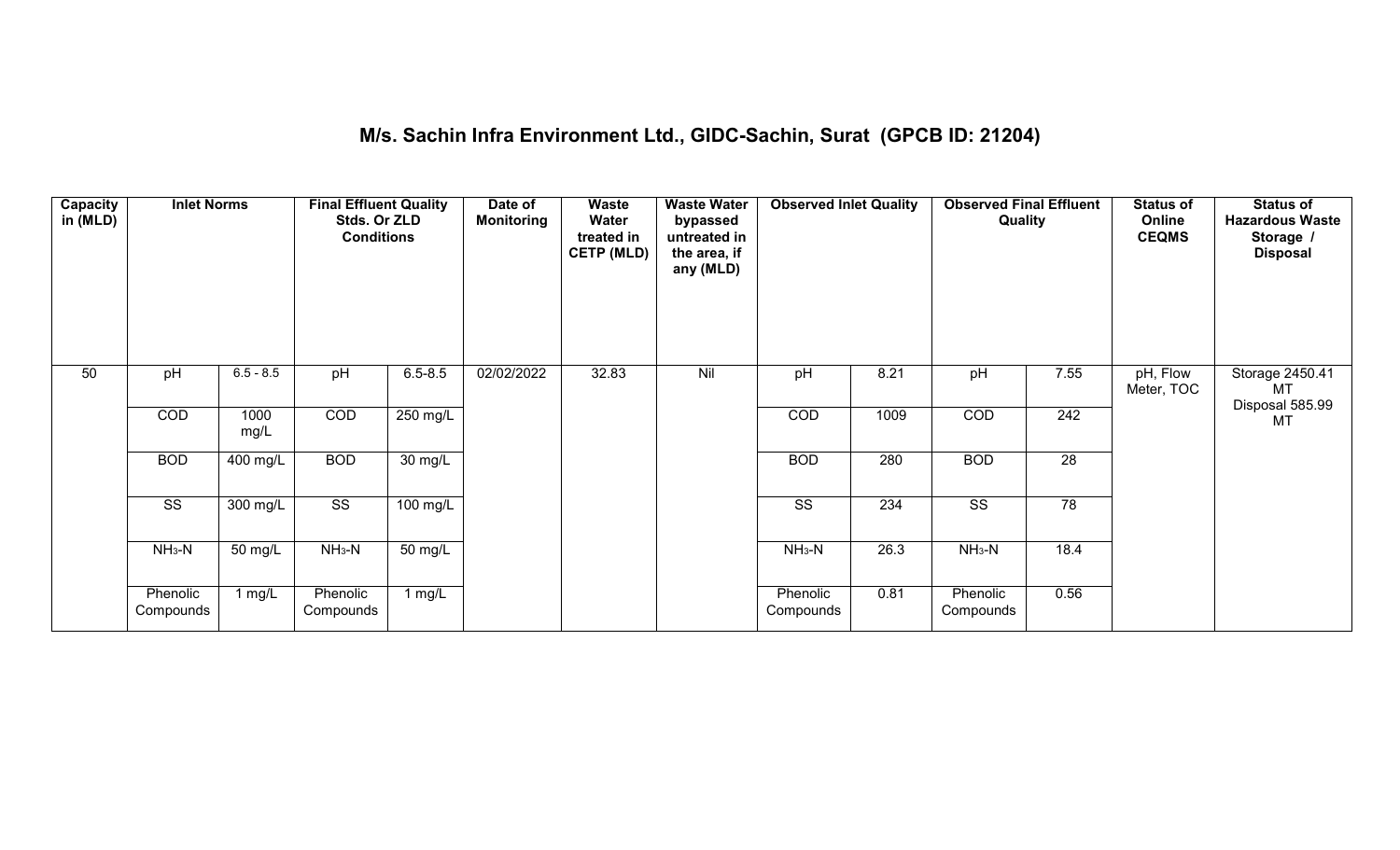#### **M/s. Sachin Infra Environment Ltd., GIDC-Sachin, Surat (GPCB ID: 21204)**

| Capacity<br>in (MLD) | <b>Inlet Norms</b>     |              | <b>Final Effluent Quality</b><br>Stds. Or ZLD<br><b>Conditions</b> |             | Date of<br><b>Monitoring</b> | Waste<br>Water<br>treated in<br><b>CETP (MLD)</b> | <b>Waste Water</b><br>bypassed<br>untreated in<br>the area, if<br>any (MLD) | <b>Observed Inlet Quality</b> |      | <b>Observed Final Effluent</b><br>Quality |                  | <b>Status of</b><br>Online<br><b>CEQMS</b> | <b>Status of</b><br><b>Hazardous Waste</b><br>Storage /<br><b>Disposal</b> |
|----------------------|------------------------|--------------|--------------------------------------------------------------------|-------------|------------------------------|---------------------------------------------------|-----------------------------------------------------------------------------|-------------------------------|------|-------------------------------------------|------------------|--------------------------------------------|----------------------------------------------------------------------------|
| 50                   | pH                     | $6.5 - 8.5$  | pH                                                                 | $6.5 - 8.5$ | 02/02/2022                   | 32.83                                             | Nil                                                                         | pH                            | 8.21 | pH                                        | 7.55             | pH, Flow<br>Meter, TOC                     | Storage 2450.41<br>MT<br>Disposal 585.99                                   |
|                      | COD                    | 1000<br>mg/L | COD                                                                | 250 mg/L    |                              |                                                   |                                                                             | COD                           | 1009 | COD                                       | $\overline{242}$ |                                            | <b>MT</b>                                                                  |
|                      | <b>BOD</b>             | 400 mg/L     | <b>BOD</b>                                                         | 30 mg/L     |                              |                                                   |                                                                             | <b>BOD</b>                    | 280  | <b>BOD</b>                                | $\overline{28}$  |                                            |                                                                            |
|                      | $\overline{\text{SS}}$ | 300 mg/L     | $\overline{\text{ss}}$                                             | 100 mg/L    |                              |                                                   |                                                                             | $\overline{\text{ss}}$        | 234  | $\overline{\text{ss}}$                    | $\overline{78}$  |                                            |                                                                            |
|                      | $NH_3-N$               | 50 mg/L      | $NH3-N$                                                            | 50 mg/L     |                              |                                                   |                                                                             | $NH3-N$                       | 26.3 | $NH3-N$                                   | 18.4             |                                            |                                                                            |
|                      | Phenolic<br>Compounds  | 1 mg/L       | Phenolic<br>Compounds                                              | 1 $mg/L$    |                              |                                                   |                                                                             | Phenolic<br>Compounds         | 0.81 | Phenolic<br>Compounds                     | 0.56             |                                            |                                                                            |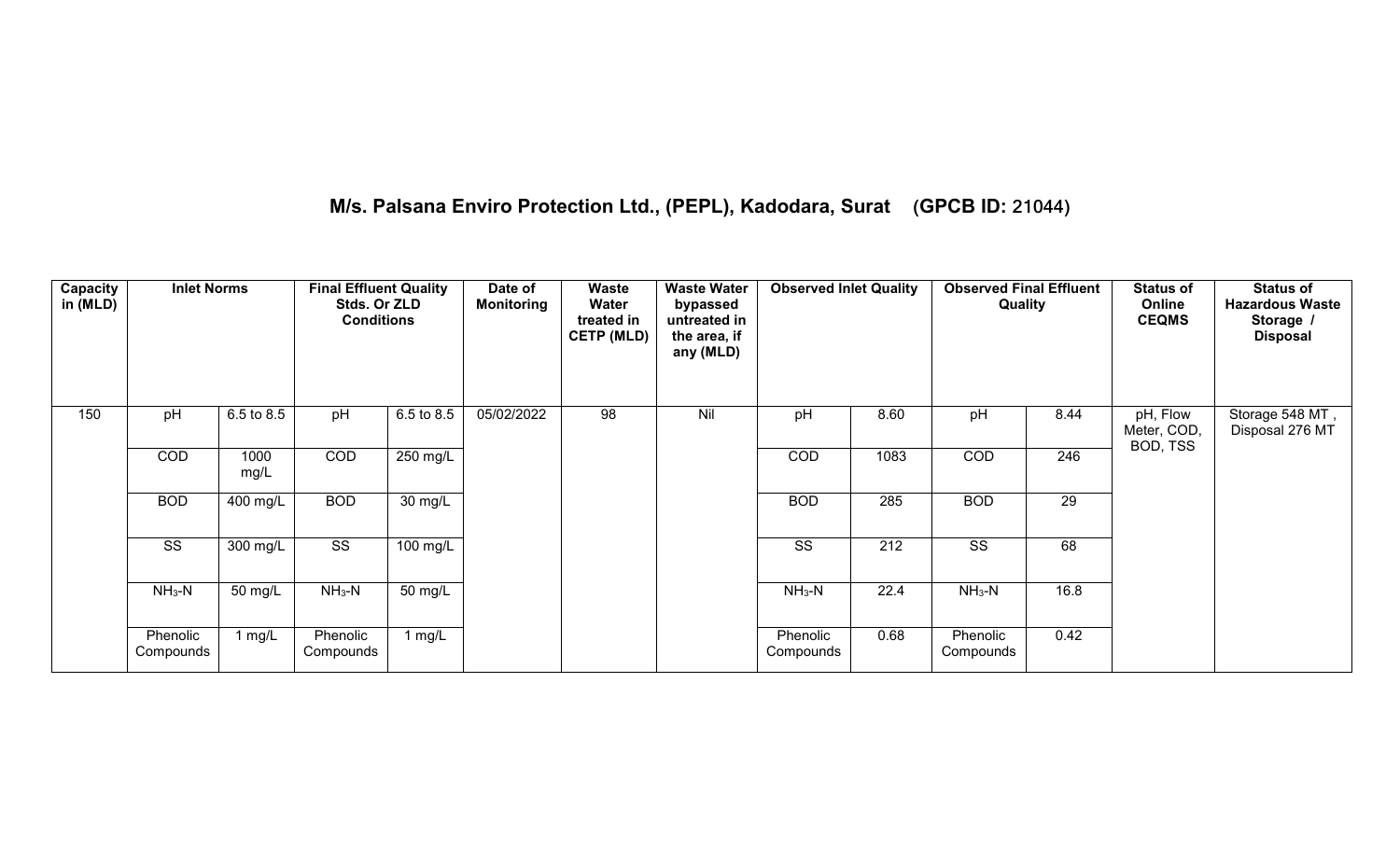# **M/s. Palsana Enviro Protection Ltd., (PEPL), Kadodara, Surat (GPCB ID: 21044)**

| Capacity<br>in (MLD) | <b>Inlet Norms</b>     |              | <b>Final Effluent Quality</b><br>Stds. Or ZLD<br><b>Conditions</b> |                   | Date of<br><b>Monitoring</b> | Waste<br>Water<br>treated in<br><b>CETP (MLD)</b> | <b>Waste Water</b><br>bypassed<br>untreated in<br>the area, if<br>any (MLD) | <b>Observed Inlet Quality</b> |                  | <b>Observed Final Effluent</b><br>Quality |                 | <b>Status of</b><br>Online<br><b>CEQMS</b> | <b>Status of</b><br><b>Hazardous Waste</b><br>Storage /<br><b>Disposal</b> |
|----------------------|------------------------|--------------|--------------------------------------------------------------------|-------------------|------------------------------|---------------------------------------------------|-----------------------------------------------------------------------------|-------------------------------|------------------|-------------------------------------------|-----------------|--------------------------------------------|----------------------------------------------------------------------------|
| 150                  | pH                     | 6.5 to 8.5   | pH                                                                 | 6.5 to 8.5        | 05/02/2022                   | 98                                                | Nil                                                                         | pH                            | 8.60             | pH                                        | 8.44            | pH, Flow<br>Meter, COD,                    | Storage 548 MT,<br>Disposal 276 MT                                         |
|                      | <b>COD</b>             | 1000<br>mg/L | COD                                                                | 250 mg/L          |                              |                                                   |                                                                             | COD                           | 1083             | COD                                       | 246             | BOD, TSS                                   |                                                                            |
|                      | <b>BOD</b>             | 400 mg/L     | <b>BOD</b>                                                         | $30 \text{ mg/L}$ |                              |                                                   |                                                                             | <b>BOD</b>                    | 285              | <b>BOD</b>                                | $\overline{29}$ |                                            |                                                                            |
|                      | $\overline{\text{SS}}$ | $300$ mg/L   | $\overline{\text{ss}}$                                             | $100$ mg/L        |                              |                                                   |                                                                             | $\overline{\text{ss}}$        | $\overline{212}$ | $\overline{\text{ss}}$                    | 68              |                                            |                                                                            |
|                      | $NH3-N$                | 50 mg/L      | $NH3-N$                                                            | 50 mg/L           |                              |                                                   |                                                                             | $NH3-N$                       | 22.4             | $NH3-N$                                   | 16.8            |                                            |                                                                            |
|                      | Phenolic<br>Compounds  | 1 $mg/L$     | Phenolic<br>Compounds                                              | 1 $mg/L$          |                              |                                                   |                                                                             | Phenolic<br>Compounds         | 0.68             | Phenolic<br>Compounds                     | 0.42            |                                            |                                                                            |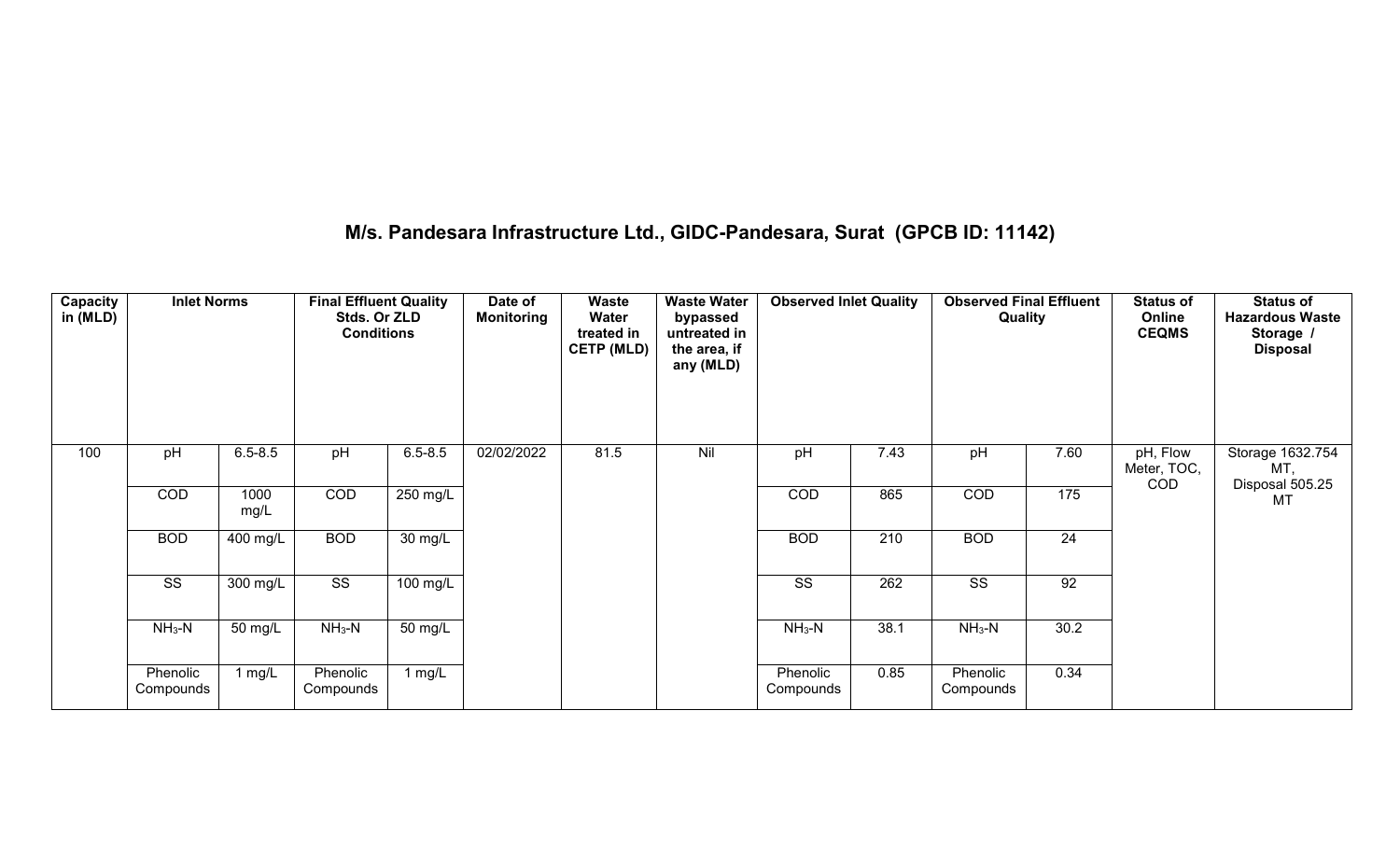#### **M/s. Pandesara Infrastructure Ltd., GIDC-Pandesara, Surat (GPCB ID: 11142)**

| Capacity<br>in (MLD) | <b>Inlet Norms</b>    |              | <b>Final Effluent Quality</b><br>Stds. Or ZLD<br><b>Conditions</b> |                   | Date of<br><b>Monitoring</b> | <b>Waste</b><br>Water<br>treated in<br><b>CETP (MLD)</b> | <b>Waste Water</b><br>bypassed<br>untreated in<br>the area, if<br>any (MLD) | <b>Observed Inlet Quality</b> |                  | <b>Observed Final Effluent</b><br>Quality |                 | <b>Status of</b><br>Online<br><b>CEQMS</b> | <b>Status of</b><br><b>Hazardous Waste</b><br>Storage /<br><b>Disposal</b> |
|----------------------|-----------------------|--------------|--------------------------------------------------------------------|-------------------|------------------------------|----------------------------------------------------------|-----------------------------------------------------------------------------|-------------------------------|------------------|-------------------------------------------|-----------------|--------------------------------------------|----------------------------------------------------------------------------|
| 100                  | pH                    | $6.5 - 8.5$  | pH                                                                 | $6.5 - 8.5$       | 02/02/2022                   | 81.5                                                     | Nil                                                                         | pH                            | 7.43             | pH                                        | 7.60            | pH, Flow<br>Meter, TOC,<br><b>COD</b>      | Storage 1632.754<br>MT,                                                    |
|                      | <b>COD</b>            | 1000<br>mg/L | COD                                                                | 250 mg/L          |                              |                                                          |                                                                             | COD                           | 865              | COD                                       | 175             |                                            | Disposal 505.25<br><b>MT</b>                                               |
|                      | <b>BOD</b>            | 400 mg/L     | <b>BOD</b>                                                         | $30 \text{ mg/L}$ |                              |                                                          |                                                                             | <b>BOD</b>                    | $\overline{210}$ | <b>BOD</b>                                | $\overline{24}$ |                                            |                                                                            |
|                      | SS                    | 300 mg/L     | $\overline{\text{ss}}$                                             | $100$ mg/L        |                              |                                                          |                                                                             | SS                            | 262              | SS                                        | 92              |                                            |                                                                            |
|                      | $NH3-N$               | 50 mg/L      | $NH3-N$                                                            | $50 \text{ mg/L}$ |                              |                                                          |                                                                             | $NH3-N$                       | 38.1             | $NH3-N$                                   | 30.2            |                                            |                                                                            |
|                      | Phenolic<br>Compounds | 1 mg/L       | Phenolic<br>Compounds                                              | l mg/L            |                              |                                                          |                                                                             | Phenolic<br>Compounds         | 0.85             | Phenolic<br>Compounds                     | 0.34            |                                            |                                                                            |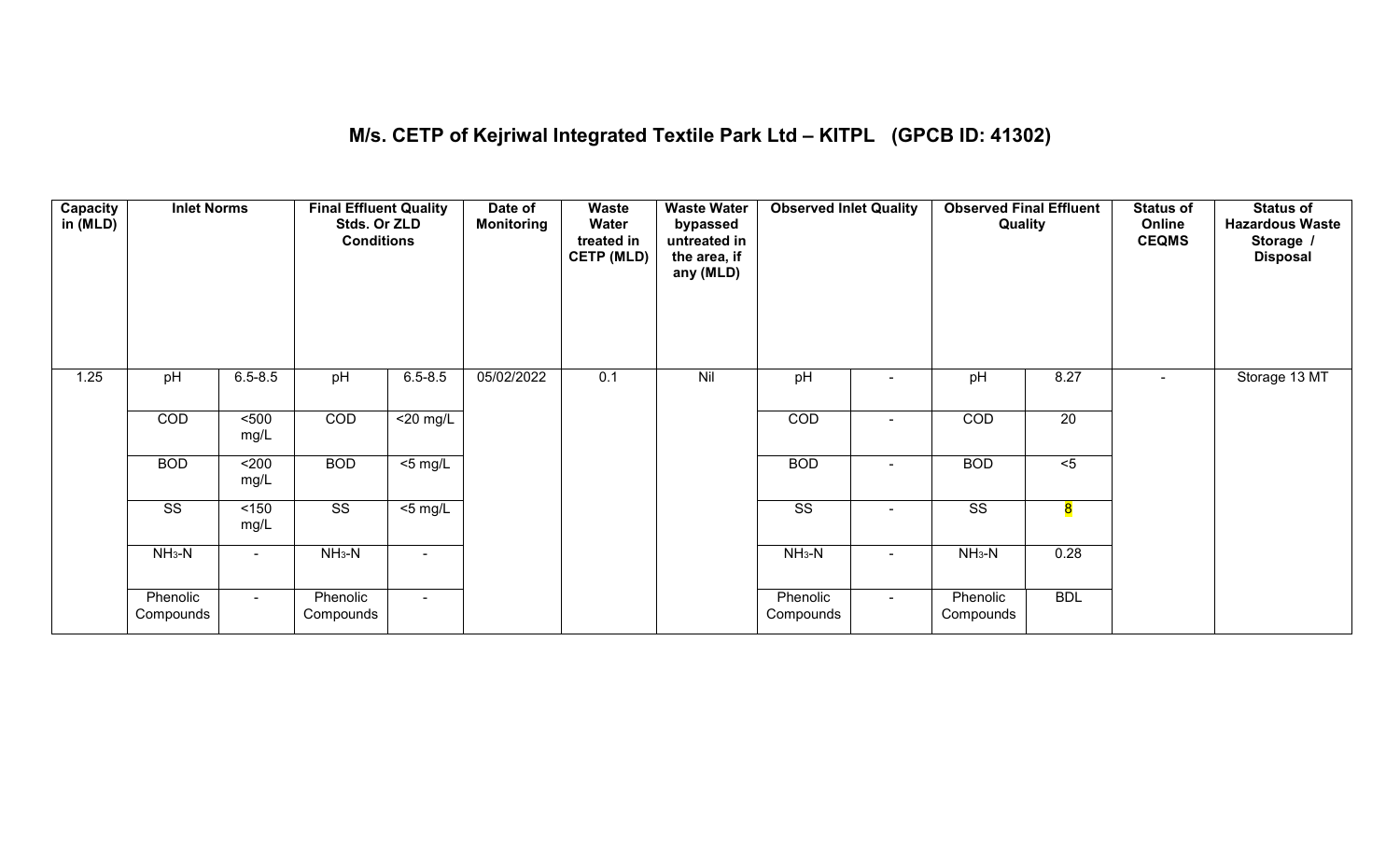# **M/s. CETP of Kejriwal Integrated Textile Park Ltd – KITPL (GPCB ID: 41302)**

| Capacity<br>in (MLD) | <b>Inlet Norms</b>     |               | <b>Final Effluent Quality</b><br>Stds. Or ZLD<br><b>Conditions</b> |                | Date of<br><b>Monitoring</b> | Waste<br>Water<br>treated in<br><b>CETP (MLD)</b> | <b>Waste Water</b><br>bypassed<br>untreated in<br>the area, if<br>any (MLD) | <b>Observed Inlet Quality</b> |        | <b>Observed Final Effluent</b><br>Quality |                 | <b>Status of</b><br>Online<br><b>CEQMS</b> | <b>Status of</b><br><b>Hazardous Waste</b><br>Storage /<br><b>Disposal</b> |
|----------------------|------------------------|---------------|--------------------------------------------------------------------|----------------|------------------------------|---------------------------------------------------|-----------------------------------------------------------------------------|-------------------------------|--------|-------------------------------------------|-----------------|--------------------------------------------|----------------------------------------------------------------------------|
| 1.25                 | pH                     | $6.5 - 8.5$   | pH                                                                 | $6.5 - 8.5$    | 05/02/2022                   | 0.1                                               | Nil                                                                         | pH                            |        | pH                                        | 8.27            | $\blacksquare$                             | Storage 13 MT                                                              |
|                      | COD                    | 500<br>mg/L   | COD                                                                | $<$ 20 mg/L    |                              |                                                   |                                                                             | COD                           |        | COD                                       | $\overline{20}$ |                                            |                                                                            |
|                      | <b>BOD</b>             | $200$<br>mg/L | <b>BOD</b>                                                         | $<$ 5 mg/L     |                              |                                                   |                                                                             | <b>BOD</b>                    | $\sim$ | <b>BOD</b>                                | $5$             |                                            |                                                                            |
|                      | $\overline{\text{SS}}$ | 150<br>mg/L   | $\overline{\text{ss}}$                                             | $<$ 5 mg/L     |                              |                                                   |                                                                             | $\overline{\text{SS}}$        |        | $\overline{\text{SS}}$                    | 8               |                                            |                                                                            |
|                      | $NH3-N$                |               | $NH3-N$                                                            | $\blacksquare$ |                              |                                                   |                                                                             | $NH3-N$                       |        | $NH3-N$                                   | 0.28            |                                            |                                                                            |
|                      | Phenolic<br>Compounds  | $\sim$ .      | Phenolic<br>Compounds                                              | $\sim$         |                              |                                                   |                                                                             | Phenolic<br>Compounds         | $\sim$ | Phenolic<br>Compounds                     | <b>BDL</b>      |                                            |                                                                            |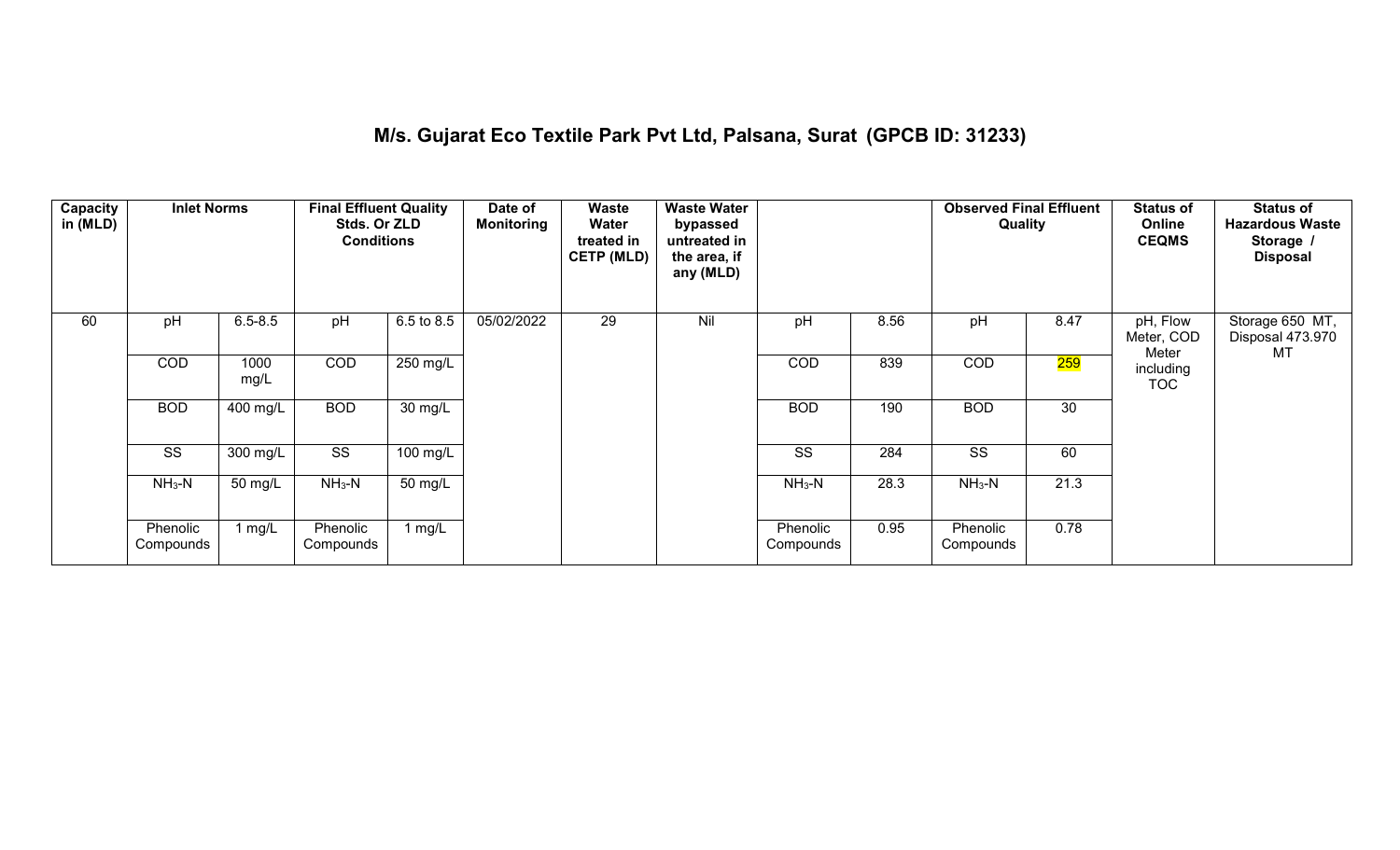### **M/s. Gujarat Eco Textile Park Pvt Ltd, Palsana, Surat (GPCB ID: 31233)**

| Capacity<br>in (MLD) | <b>Inlet Norms</b>     |              | <b>Final Effluent Quality</b><br>Stds. Or ZLD<br><b>Conditions</b> |            | Date of<br><b>Monitoring</b> | Waste<br>Water<br>treated in<br><b>CETP (MLD)</b> | <b>Waste Water</b><br>bypassed<br>untreated in<br>the area, if<br>any (MLD) |                        |      | <b>Observed Final Effluent</b><br>Quality |      | <b>Status of</b><br>Online<br><b>CEQMS</b> | <b>Status of</b><br><b>Hazardous Waste</b><br>Storage /<br><b>Disposal</b> |
|----------------------|------------------------|--------------|--------------------------------------------------------------------|------------|------------------------------|---------------------------------------------------|-----------------------------------------------------------------------------|------------------------|------|-------------------------------------------|------|--------------------------------------------|----------------------------------------------------------------------------|
| 60                   | pH                     | $6.5 - 8.5$  | pH                                                                 | 6.5 to 8.5 | 05/02/2022                   | 29                                                | Nil                                                                         | pH                     | 8.56 | pH                                        | 8.47 | pH, Flow<br>Meter, COD                     | Storage 650 MT,<br>Disposal 473.970                                        |
|                      | <b>COD</b>             | 1000<br>mg/L | <b>COD</b>                                                         | 250 mg/L   |                              |                                                   |                                                                             | <b>COD</b>             | 839  | COD                                       | 259  | Meter<br>including<br><b>TOC</b>           | MT                                                                         |
|                      | <b>BOD</b>             | 400 mg/L     | <b>BOD</b>                                                         | 30 mg/L    |                              |                                                   |                                                                             | <b>BOD</b>             | 190  | <b>BOD</b>                                | 30   |                                            |                                                                            |
|                      | $\overline{\text{ss}}$ | 300 mg/L     | SS                                                                 | 100 mg/L   |                              |                                                   |                                                                             | $\overline{\text{SS}}$ | 284  | $\overline{\text{ss}}$                    | 60   |                                            |                                                                            |
|                      | $NH3-N$                | 50 mg/L      | $NH3-N$                                                            | 50 mg/L    |                              |                                                   |                                                                             | $NH3-N$                | 28.3 | $NH3-N$                                   | 21.3 |                                            |                                                                            |
|                      | Phenolic<br>Compounds  | 1 $mg/L$     | Phenolic<br>Compounds                                              | 1 $mg/L$   |                              |                                                   |                                                                             | Phenolic<br>Compounds  | 0.95 | Phenolic<br>Compounds                     | 0.78 |                                            |                                                                            |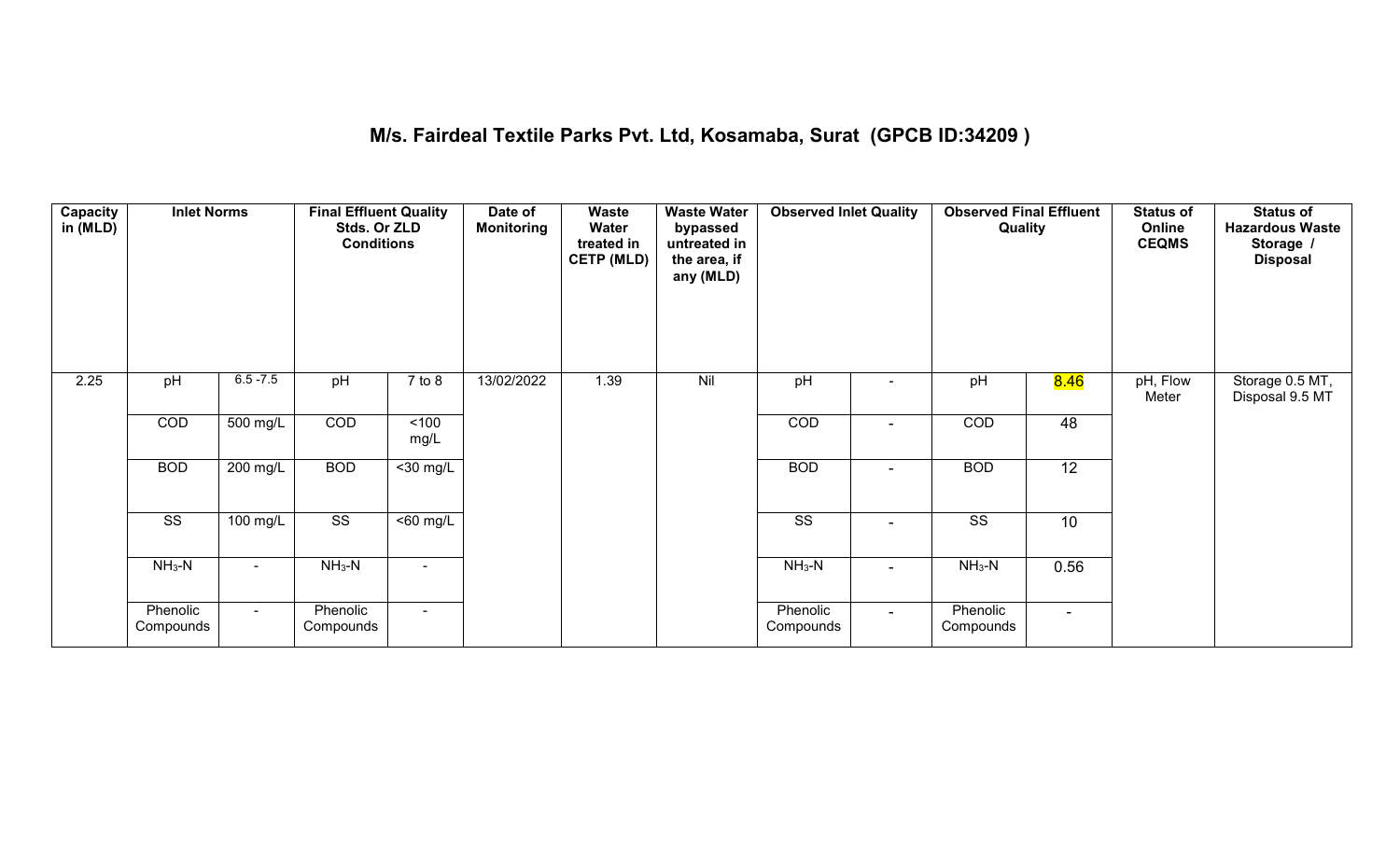#### **M/s. Fairdeal Textile Parks Pvt. Ltd, Kosamaba, Surat (GPCB ID:34209 )**

| <b>Capacity</b><br>in (MLD) | <b>Inlet Norms</b>     |                    | <b>Final Effluent Quality</b><br>Stds. Or ZLD<br><b>Conditions</b> |                              | Date of<br><b>Monitoring</b> | Waste<br>Water<br>treated in<br><b>CETP (MLD)</b> | <b>Waste Water</b><br>bypassed<br>untreated in<br>the area, if<br>any (MLD) | <b>Observed Inlet Quality</b> |                | <b>Observed Final Effluent</b><br>Quality |                   | <b>Status of</b><br>Online<br><b>CEQMS</b> | <b>Status of</b><br><b>Hazardous Waste</b><br>Storage /<br><b>Disposal</b> |
|-----------------------------|------------------------|--------------------|--------------------------------------------------------------------|------------------------------|------------------------------|---------------------------------------------------|-----------------------------------------------------------------------------|-------------------------------|----------------|-------------------------------------------|-------------------|--------------------------------------------|----------------------------------------------------------------------------|
| 2.25                        | pH                     | $6.5 - 7.5$        | pH                                                                 | $7$ to $8$                   | 13/02/2022                   | 1.39                                              | Nil                                                                         | pH                            |                | pH                                        | <mark>8.46</mark> | pH, Flow<br>Meter                          | Storage 0.5 MT,<br>Disposal 9.5 MT                                         |
|                             | COD                    | $500 \text{ mg/L}$ | COD                                                                | 5100<br>mg/L                 |                              |                                                   |                                                                             | COD                           | $\blacksquare$ | COD                                       | 48                |                                            |                                                                            |
|                             | <b>BOD</b>             | $200$ mg/L         | <b>BOD</b>                                                         | $\overline{30}$ mg/L         |                              |                                                   |                                                                             | <b>BOD</b>                    | $\sim$         | <b>BOD</b>                                | $\overline{12}$   |                                            |                                                                            |
|                             | $\overline{\text{ss}}$ | 100 mg/L           | $\overline{\text{ss}}$                                             | $\overline{50 \text{ mg}}$ L |                              |                                                   |                                                                             | $\overline{\text{ss}}$        |                | $\overline{\text{SS}}$                    | 10                |                                            |                                                                            |
|                             | $NH_3-N$               | $\sim$             | $NH3-N$                                                            | $\sim$                       |                              |                                                   |                                                                             | $NH3-N$                       | $\blacksquare$ | $NH3-N$                                   | 0.56              |                                            |                                                                            |
|                             | Phenolic<br>Compounds  | $\sim$             | Phenolic<br>Compounds                                              | $\sim$                       |                              |                                                   |                                                                             | Phenolic<br>Compounds         | $\sim$         | Phenolic<br>Compounds                     | $\sim$            |                                            |                                                                            |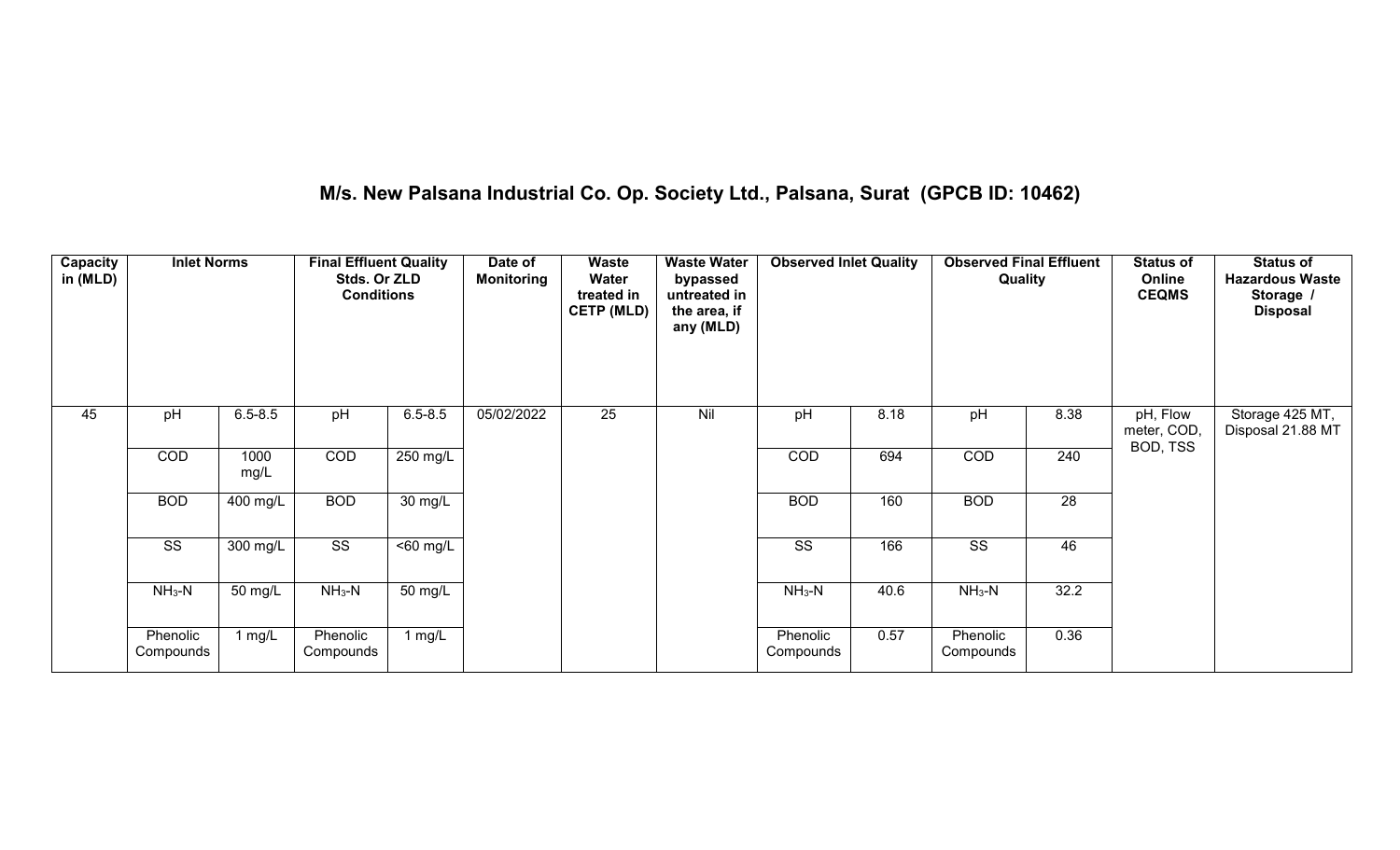# **M/s. New Palsana Industrial Co. Op. Society Ltd., Palsana, Surat (GPCB ID: 10462)**

| <b>Capacity</b><br>in (MLD) | <b>Inlet Norms</b>     |              | <b>Final Effluent Quality</b><br>Stds. Or ZLD<br><b>Conditions</b> |                   | Date of<br><b>Monitoring</b> | <b>Waste</b><br>Water<br>treated in<br><b>CETP (MLD)</b> | <b>Waste Water</b><br>bypassed<br>untreated in<br>the area, if<br>any (MLD) | <b>Observed Inlet Quality</b> |      | <b>Observed Final Effluent</b><br>Quality |                 | <b>Status of</b><br>Online<br><b>CEQMS</b> | <b>Status of</b><br><b>Hazardous Waste</b><br>Storage<br><b>Disposal</b> |
|-----------------------------|------------------------|--------------|--------------------------------------------------------------------|-------------------|------------------------------|----------------------------------------------------------|-----------------------------------------------------------------------------|-------------------------------|------|-------------------------------------------|-----------------|--------------------------------------------|--------------------------------------------------------------------------|
| 45                          | pH                     | $6.5 - 8.5$  | pH                                                                 | $6.5 - 8.5$       | 05/02/2022                   | $\overline{25}$                                          | Nil                                                                         | pH                            | 8.18 | pH                                        | 8.38            | pH, Flow<br>meter, COD,                    | Storage 425 MT,<br>Disposal 21.88 MT                                     |
|                             | COD                    | 1000<br>mg/L | COD                                                                | 250 mg/L          |                              |                                                          |                                                                             | COD                           | 694  | COD                                       | 240             | BOD, TSS                                   |                                                                          |
|                             | <b>BOD</b>             | 400 mg/L     | <b>BOD</b>                                                         | $30 \text{ mg/L}$ |                              |                                                          |                                                                             | <b>BOD</b>                    | 160  | <b>BOD</b>                                | $\overline{28}$ |                                            |                                                                          |
|                             | $\overline{\text{ss}}$ | 300 mg/L     | $\overline{\text{SS}}$                                             | $50$ mg/L         |                              |                                                          |                                                                             | $\overline{\text{ss}}$        | 166  | $\overline{\text{SS}}$                    | 46              |                                            |                                                                          |
|                             | $NH3-N$                | 50 mg/L      | $NH3-N$                                                            | 50 mg/L           |                              |                                                          |                                                                             | $NH3-N$                       | 40.6 | $NH3-N$                                   | 32.2            |                                            |                                                                          |
|                             | Phenolic<br>Compounds  | 1 mg/L       | Phenolic<br>Compounds                                              | 1 mg/L            |                              |                                                          |                                                                             | Phenolic<br>Compounds         | 0.57 | Phenolic<br>Compounds                     | 0.36            |                                            |                                                                          |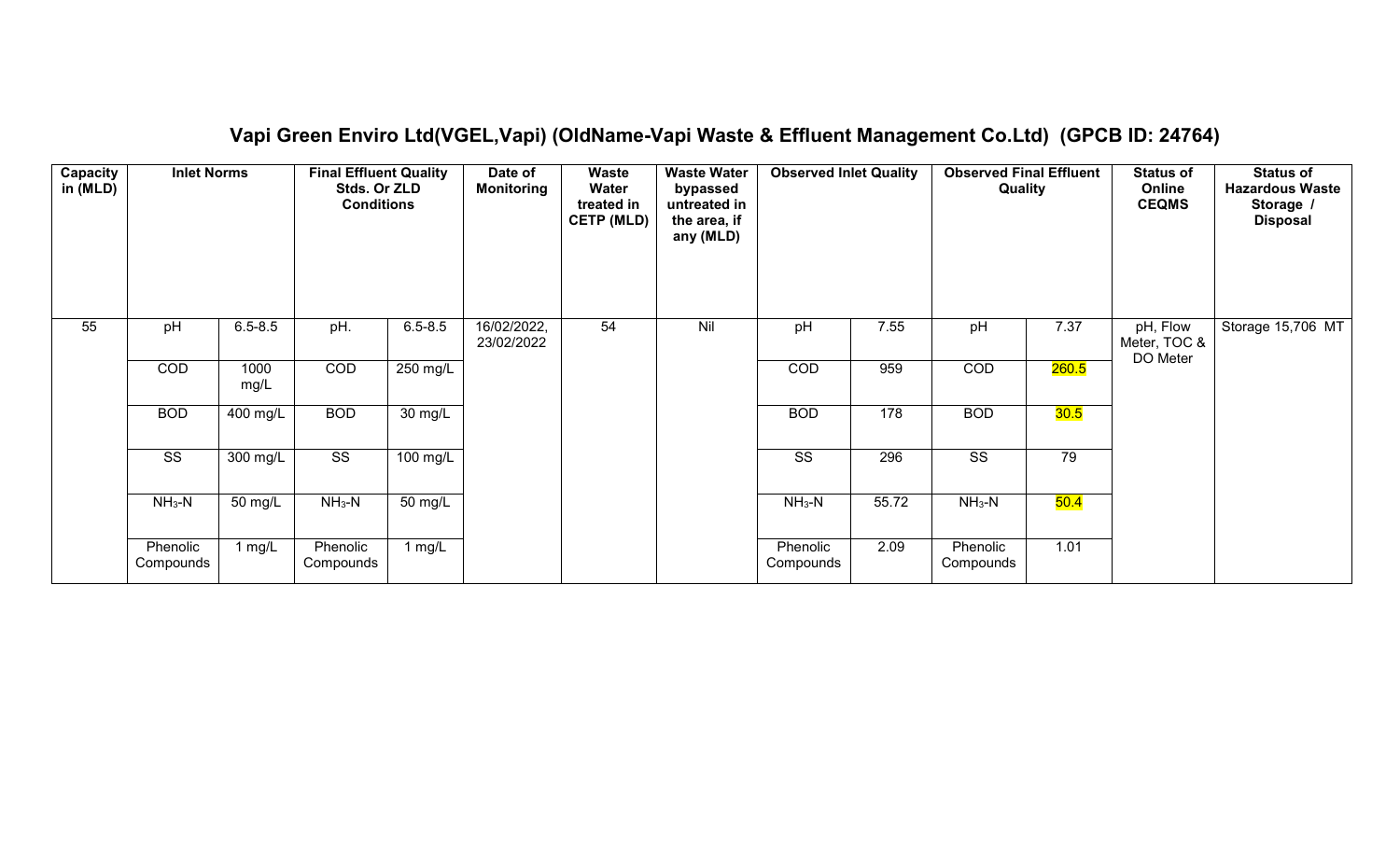| Capacity<br>in (MLD) | <b>Inlet Norms</b>     |              | <b>Final Effluent Quality</b><br>Stds. Or ZLD<br><b>Conditions</b> |             | Date of<br><b>Monitoring</b> | Waste<br>Water<br>treated in<br><b>CETP (MLD)</b> | <b>Waste Water</b><br>bypassed<br>untreated in<br>the area, if<br>any (MLD) | <b>Observed Inlet Quality</b> |       | <b>Observed Final Effluent</b><br>Quality |       | <b>Status of</b><br>Online<br><b>CEQMS</b> | <b>Status of</b><br><b>Hazardous Waste</b><br>Storage /<br><b>Disposal</b> |
|----------------------|------------------------|--------------|--------------------------------------------------------------------|-------------|------------------------------|---------------------------------------------------|-----------------------------------------------------------------------------|-------------------------------|-------|-------------------------------------------|-------|--------------------------------------------|----------------------------------------------------------------------------|
| 55                   | pH                     | $6.5 - 8.5$  | pH.                                                                | $6.5 - 8.5$ | 16/02/2022,<br>23/02/2022    | 54                                                | Nil                                                                         | pH                            | 7.55  | pH                                        | 7.37  | pH, Flow<br>Meter, TOC &<br>DO Meter       | Storage 15,706 MT                                                          |
|                      | COD                    | 1000<br>mg/L | COD                                                                | 250 mg/L    |                              |                                                   |                                                                             | COD                           | 959   | COD                                       | 260.5 |                                            |                                                                            |
|                      | <b>BOD</b>             | 400 mg/L     | <b>BOD</b>                                                         | 30 mg/L     |                              |                                                   |                                                                             | <b>BOD</b>                    | 178   | <b>BOD</b>                                | 30.5  |                                            |                                                                            |
|                      | $\overline{\text{ss}}$ | 300 mg/L     | $\overline{\text{ss}}$                                             | 100 mg/L    |                              |                                                   |                                                                             | $\overline{\text{ss}}$        | 296   | $\overline{\text{ss}}$                    | 79    |                                            |                                                                            |
|                      | $NH3-N$                | 50 mg/L      | $NH3-N$                                                            | 50 mg/L     |                              |                                                   |                                                                             | $NH3-N$                       | 55.72 | $NH_3-N$                                  | 50.4  |                                            |                                                                            |
|                      | Phenolic<br>Compounds  | 1 $mg/L$     | Phenolic<br>Compounds                                              | 1 mg/L      |                              |                                                   |                                                                             | Phenolic<br>Compounds         | 2.09  | Phenolic<br>Compounds                     | 1.01  |                                            |                                                                            |

### **Vapi Green Enviro Ltd(VGEL,Vapi) (OldName-Vapi Waste & Effluent Management Co.Ltd) (GPCB ID: 24764)**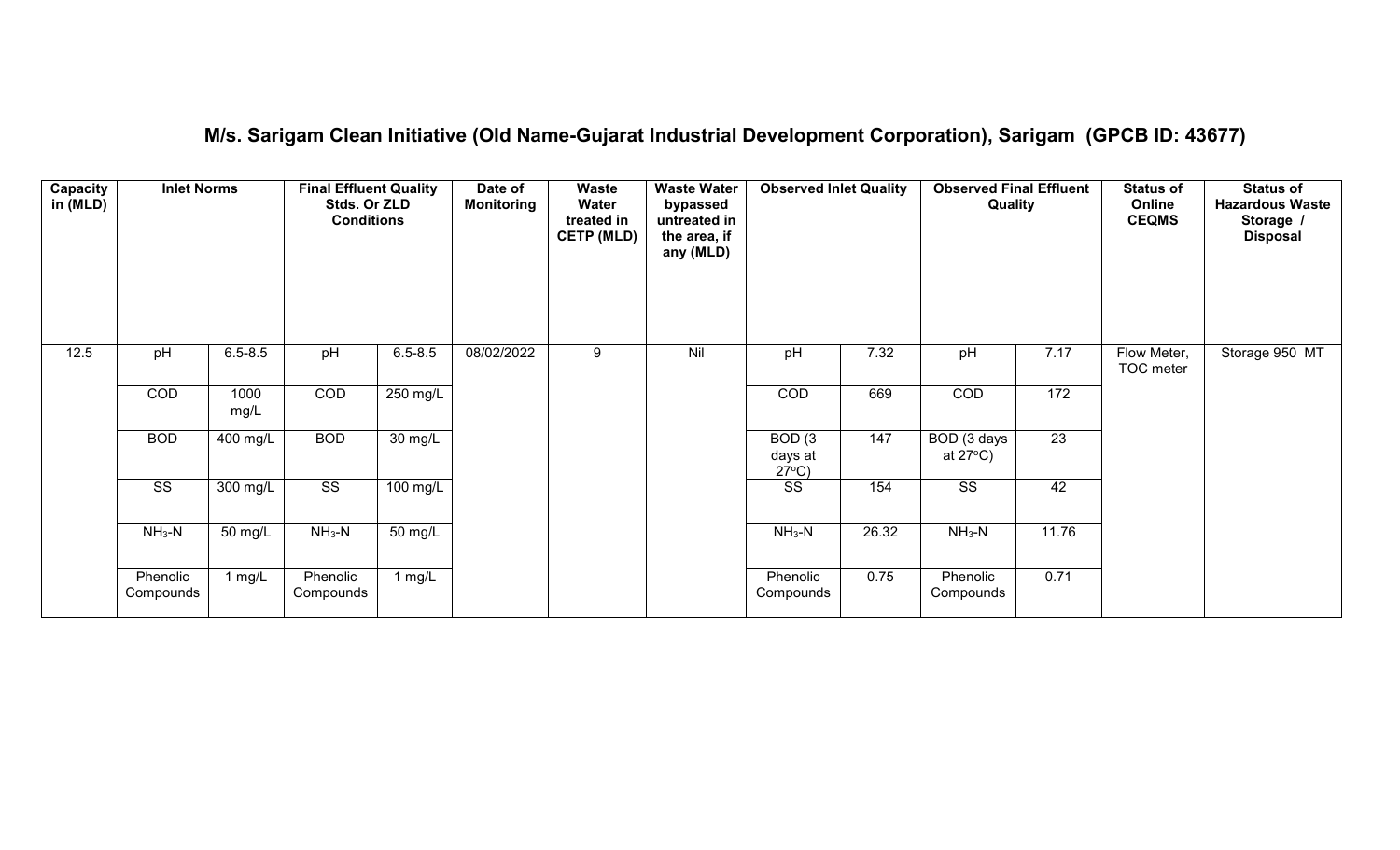# **M/s. Sarigam Clean Initiative (Old Name-Gujarat Industrial Development Corporation), Sarigam (GPCB ID: 43677)**

| Capacity<br>in (MLD) | <b>Inlet Norms</b>     |                   | <b>Final Effluent Quality</b><br>Stds. Or ZLD<br><b>Conditions</b> |                    | Date of<br><b>Monitoring</b> | Waste<br>Water<br>treated in<br><b>CETP (MLD)</b> | <b>Waste Water</b><br>bypassed<br>untreated in<br>the area, if<br>any (MLD) | <b>Observed Inlet Quality</b>        |       | <b>Observed Final Effluent</b><br>Quality |                 | <b>Status of</b><br>Online<br><b>CEQMS</b> | <b>Status of</b><br><b>Hazardous Waste</b><br>Storage /<br><b>Disposal</b> |
|----------------------|------------------------|-------------------|--------------------------------------------------------------------|--------------------|------------------------------|---------------------------------------------------|-----------------------------------------------------------------------------|--------------------------------------|-------|-------------------------------------------|-----------------|--------------------------------------------|----------------------------------------------------------------------------|
| 12.5                 | pH                     | $6.5 - 8.5$       | pH                                                                 | $6.5 - 8.5$        | 08/02/2022                   | 9                                                 | Nil                                                                         | pH                                   | 7.32  | pH                                        | 7.17            | Flow Meter,<br>TOC meter                   | Storage 950 MT                                                             |
|                      | COD                    | 1000<br>mg/L      | COD                                                                | 250 mg/L           |                              |                                                   |                                                                             | <b>COD</b>                           | 669   | COD                                       | 172             |                                            |                                                                            |
|                      | <b>BOD</b>             | 400 mg/L          | <b>BOD</b>                                                         | $30 \text{ mg/L}$  |                              |                                                   |                                                                             | BOD(3)<br>days at<br>$27^{\circ}C$ ) | 147   | BOD (3 days<br>at $27^{\circ}$ C)         | $\overline{23}$ |                                            |                                                                            |
|                      | $\overline{\text{ss}}$ | 300 mg/L          | $\overline{\text{ss}}$                                             | $100 \text{ mg/L}$ |                              |                                                   |                                                                             | $\overline{\text{ss}}$               | 154   | $\overline{\text{ss}}$                    | 42              |                                            |                                                                            |
|                      | $NH3-N$                | $50 \text{ mg/L}$ | $NH3-N$                                                            | 50 mg/L            |                              |                                                   |                                                                             | $NH3-N$                              | 26.32 | $NH3-N$                                   | 11.76           |                                            |                                                                            |
|                      | Phenolic<br>Compounds  | 1 $mg/L$          | Phenolic<br>Compounds                                              | 1 $mg/L$           |                              |                                                   |                                                                             | Phenolic<br>Compounds                | 0.75  | Phenolic<br>Compounds                     | 0.71            |                                            |                                                                            |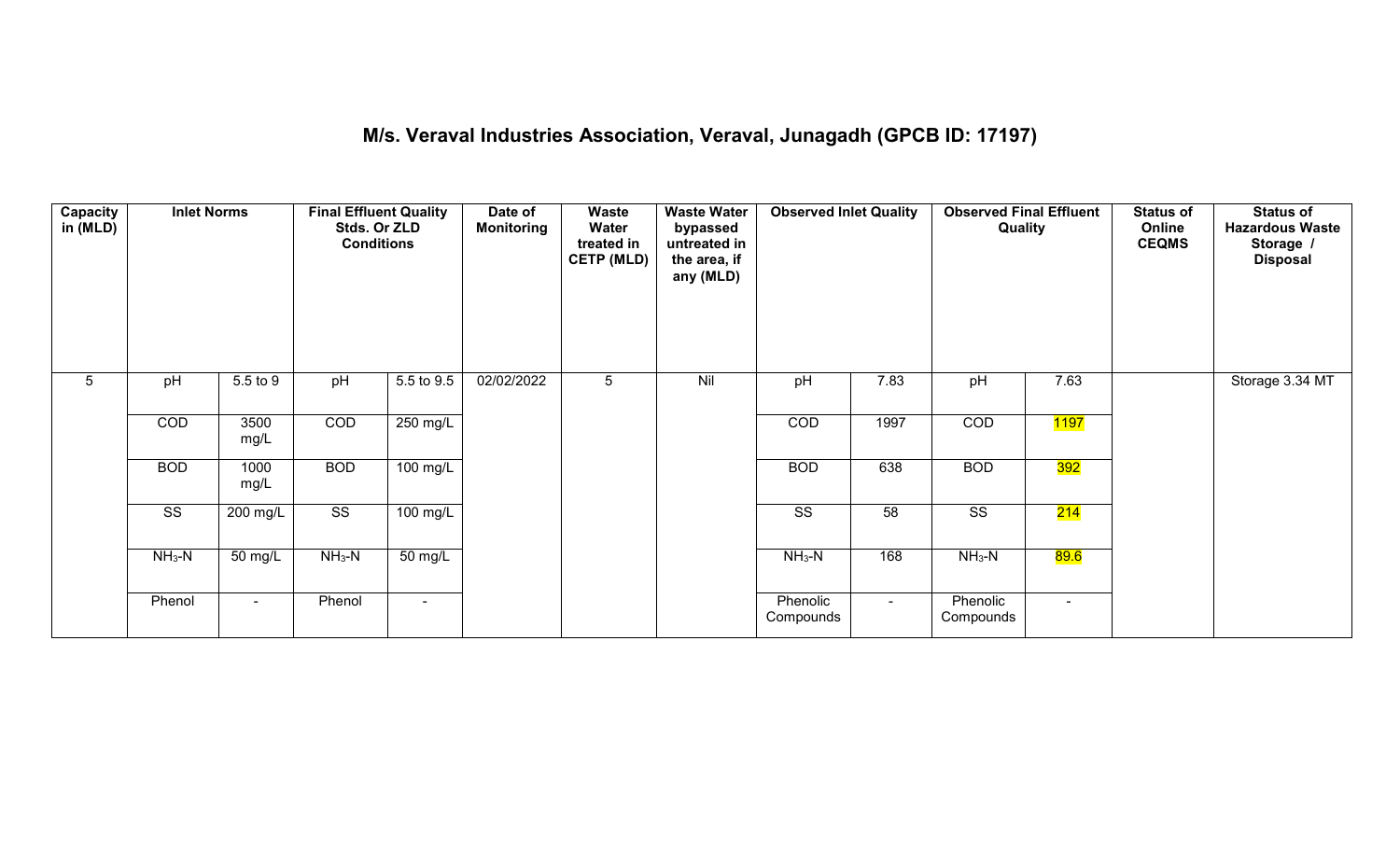#### **M/s. Veraval Industries Association, Veraval, Junagadh (GPCB ID: 17197)**

| <b>Capacity</b><br>in (MLD) | <b>Inlet Norms</b>     |              | <b>Final Effluent Quality</b><br>Stds. Or ZLD<br><b>Conditions</b> |                    | Date of<br><b>Monitoring</b> | Waste<br>Water<br>treated in<br><b>CETP (MLD)</b> | <b>Waste Water</b><br>bypassed<br>untreated in<br>the area, if<br>any (MLD) | <b>Observed Inlet Quality</b> |        | <b>Observed Final Effluent</b><br>Quality |                   | <b>Status of</b><br>Online<br><b>CEQMS</b> | <b>Status of</b><br><b>Hazardous Waste</b><br>Storage /<br><b>Disposal</b> |
|-----------------------------|------------------------|--------------|--------------------------------------------------------------------|--------------------|------------------------------|---------------------------------------------------|-----------------------------------------------------------------------------|-------------------------------|--------|-------------------------------------------|-------------------|--------------------------------------------|----------------------------------------------------------------------------|
| $5\phantom{.0}$             | pH                     | 5.5 to 9     | pH                                                                 | 5.5 to 9.5         | 02/02/2022                   | 5                                                 | Nil                                                                         | pH                            | 7.83   | pH                                        | 7.63              |                                            | Storage 3.34 MT                                                            |
|                             | COD                    | 3500<br>mg/L | COD                                                                | 250 mg/L           |                              |                                                   |                                                                             | COD                           | 1997   | COD                                       | <mark>1197</mark> |                                            |                                                                            |
|                             | <b>BOD</b>             | 1000<br>mg/L | <b>BOD</b>                                                         | $100 \text{ mg/L}$ |                              |                                                   |                                                                             | <b>BOD</b>                    | 638    | <b>BOD</b>                                | 392               |                                            |                                                                            |
|                             | $\overline{\text{ss}}$ | 200 mg/L     | $\overline{\text{ss}}$                                             | 100 mg/L           |                              |                                                   |                                                                             | $\overline{\text{ss}}$        | 58     | $\overline{\text{SS}}$                    | 214               |                                            |                                                                            |
|                             | $NH_3-N$               | 50 mg/L      | $NH3-N$                                                            | 50 mg/L            |                              |                                                   |                                                                             | $NH3-N$                       | 168    | $NH3-N$                                   | <mark>89.6</mark> |                                            |                                                                            |
|                             | Phenol                 | $\sim$       | Phenol                                                             | $\blacksquare$     |                              |                                                   |                                                                             | Phenolic<br>Compounds         | $\sim$ | Phenolic<br>Compounds                     | $\sim$            |                                            |                                                                            |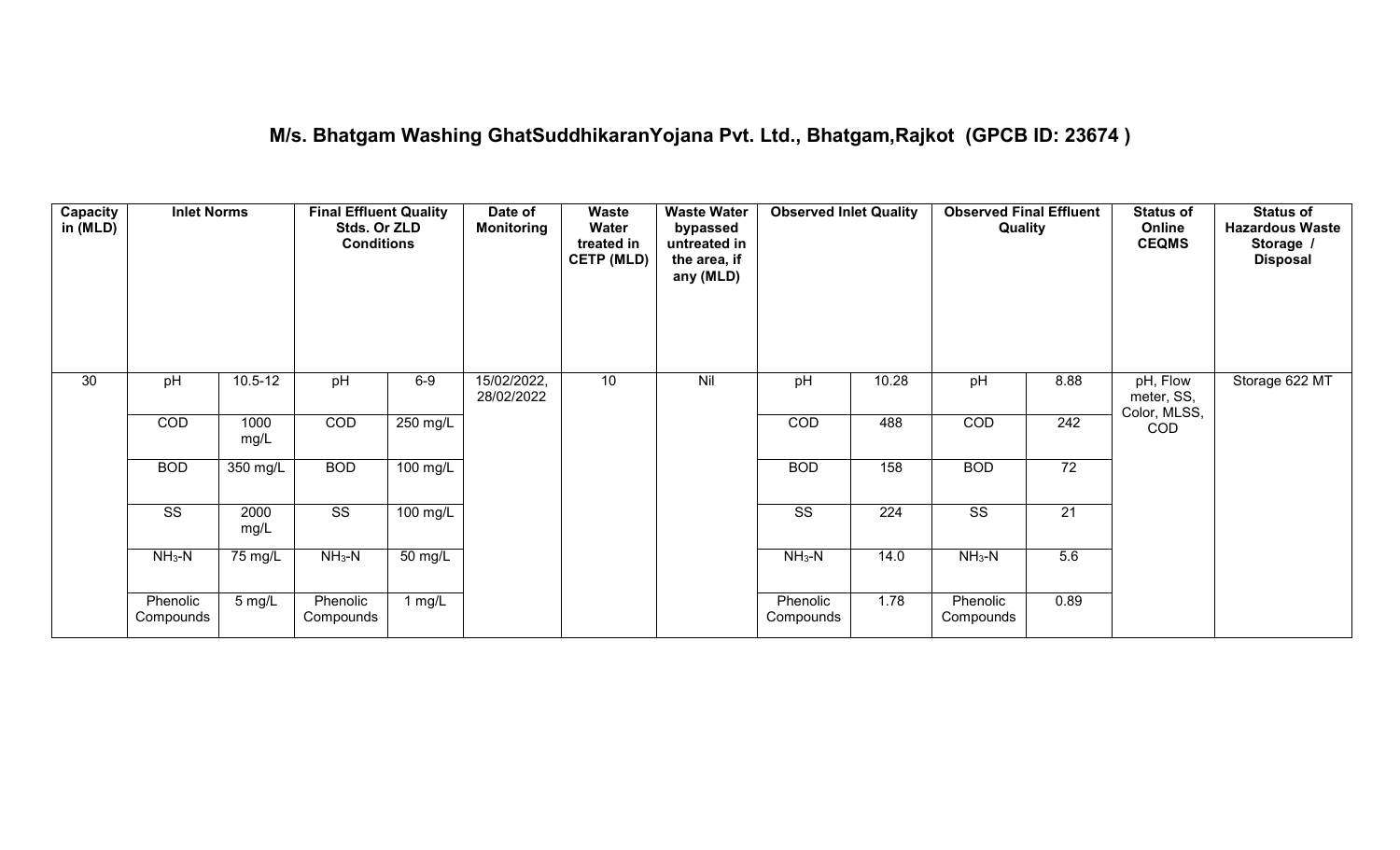# **M/s. Bhatgam Washing GhatSuddhikaranYojana Pvt. Ltd., Bhatgam,Rajkot (GPCB ID: 23674 )**

| Capacity<br>in (MLD) | <b>Inlet Norms</b>     |              | <b>Final Effluent Quality</b><br>Stds. Or ZLD<br><b>Conditions</b> |                    | Date of<br><b>Monitoring</b> | Waste<br>Water<br>treated in<br><b>CETP (MLD)</b> | <b>Waste Water</b><br>bypassed<br>untreated in<br>the area, if<br>any (MLD) | <b>Observed Inlet Quality</b> |       | <b>Observed Final Effluent</b><br>Quality |                 | <b>Status of</b><br>Online<br><b>CEQMS</b> | <b>Status of</b><br><b>Hazardous Waste</b><br>Storage<br><b>Disposal</b> |
|----------------------|------------------------|--------------|--------------------------------------------------------------------|--------------------|------------------------------|---------------------------------------------------|-----------------------------------------------------------------------------|-------------------------------|-------|-------------------------------------------|-----------------|--------------------------------------------|--------------------------------------------------------------------------|
| 30                   | pH                     | $10.5 - 12$  | pH                                                                 | $6-9$              | 15/02/2022,<br>28/02/2022    | 10                                                | Nil                                                                         | pH                            | 10.28 | pH                                        | 8.88            | pH, Flow<br>meter, SS,<br>Color, MLSS,     | Storage 622 MT                                                           |
|                      | COD                    | 1000<br>mg/L | COD                                                                | 250 mg/L           |                              |                                                   |                                                                             | COD                           | 488   | COD                                       | 242             | <b>COD</b>                                 |                                                                          |
|                      | <b>BOD</b>             | 350 mg/L     | <b>BOD</b>                                                         | $100 \text{ mg/L}$ |                              |                                                   |                                                                             | <b>BOD</b>                    | 158   | <b>BOD</b>                                | 72              |                                            |                                                                          |
|                      | $\overline{\text{ss}}$ | 2000<br>mg/L | $\overline{\text{ss}}$                                             | $100$ mg/L         |                              |                                                   |                                                                             | $\overline{\text{ss}}$        | 224   | $\overline{\text{ss}}$                    | $\overline{21}$ |                                            |                                                                          |
|                      | $NH_3-N$               | 75 mg/L      | $NH3-N$                                                            | 50 mg/L            |                              |                                                   |                                                                             | $NH3-N$                       | 14.0  | $NH3-N$                                   | 5.6             |                                            |                                                                          |
|                      | Phenolic<br>Compounds  | 5 mg/L       | Phenolic<br>Compounds                                              | 1 mg/L             |                              |                                                   |                                                                             | Phenolic<br>Compounds         | 1.78  | Phenolic<br>Compounds                     | 0.89            |                                            |                                                                          |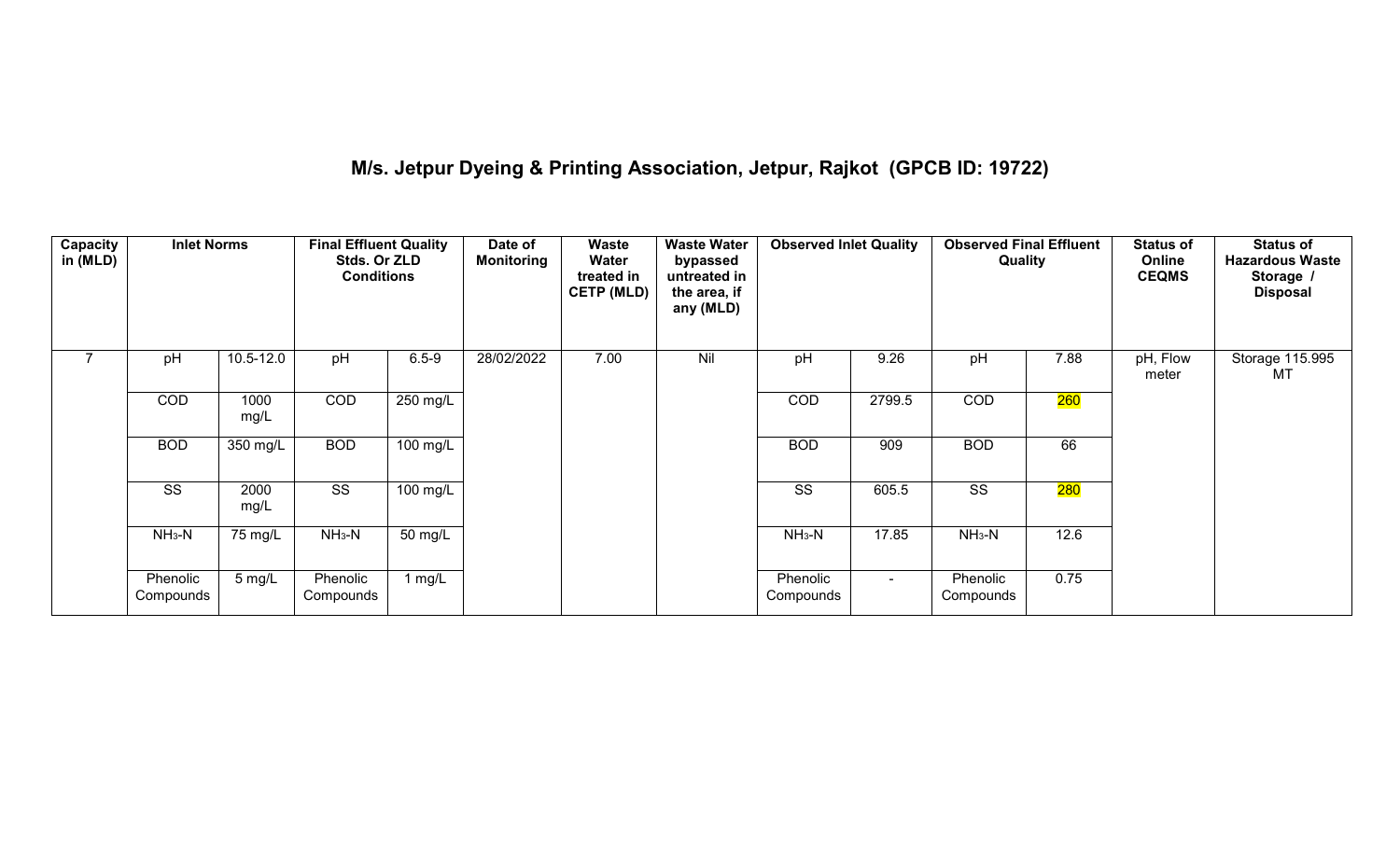# **M/s. Jetpur Dyeing & Printing Association, Jetpur, Rajkot (GPCB ID: 19722)**

| Capacity<br>in $(MLD)$ | <b>Inlet Norms</b>    |                  | <b>Final Effluent Quality</b><br>Stds. Or ZLD<br><b>Conditions</b> |                      | Date of<br><b>Monitoring</b> | Waste<br>Water<br>treated in<br><b>CETP (MLD)</b> | <b>Waste Water</b><br>bypassed<br>untreated in<br>the area, if<br>any (MLD) | <b>Observed Inlet Quality</b> |        | <b>Observed Final Effluent</b><br>Quality |      | <b>Status of</b><br>Online<br><b>CEQMS</b> | <b>Status of</b><br><b>Hazardous Waste</b><br>Storage /<br><b>Disposal</b> |
|------------------------|-----------------------|------------------|--------------------------------------------------------------------|----------------------|------------------------------|---------------------------------------------------|-----------------------------------------------------------------------------|-------------------------------|--------|-------------------------------------------|------|--------------------------------------------|----------------------------------------------------------------------------|
|                        | pH                    | 10.5-12.0        | pH                                                                 | $6.5 - 9$            | 28/02/2022                   | 7.00                                              | Nil                                                                         | pH                            | 9.26   | pH                                        | 7.88 | pH, Flow<br>meter                          | Storage 115.995<br>MT                                                      |
|                        | COD                   | 1000<br>mg/L     | COD                                                                | 250 mg/L             |                              |                                                   |                                                                             | COD                           | 2799.5 | COD                                       | 260  |                                            |                                                                            |
|                        | <b>BOD</b>            | 350 mg/L         | <b>BOD</b>                                                         | $100$ mg/L           |                              |                                                   |                                                                             | <b>BOD</b>                    | 909    | <b>BOD</b>                                | 66   |                                            |                                                                            |
|                        | SS                    | 2000<br>mg/L     | SS                                                                 | 100 mg/L             |                              |                                                   |                                                                             | SS                            | 605.5  | SS                                        | 280  |                                            |                                                                            |
|                        | $NH3-N$               | 75 mg/L          | $NH_3-N$                                                           | $\overline{50}$ mg/L |                              |                                                   |                                                                             | $NH3-N$                       | 17.85  | $NH3-N$                                   | 12.6 |                                            |                                                                            |
|                        | Phenolic<br>Compounds | $5 \text{ mg/L}$ | Phenolic<br>Compounds                                              | 1 $mg/L$             |                              |                                                   |                                                                             | Phenolic<br>Compounds         | $\sim$ | Phenolic<br>Compounds                     | 0.75 |                                            |                                                                            |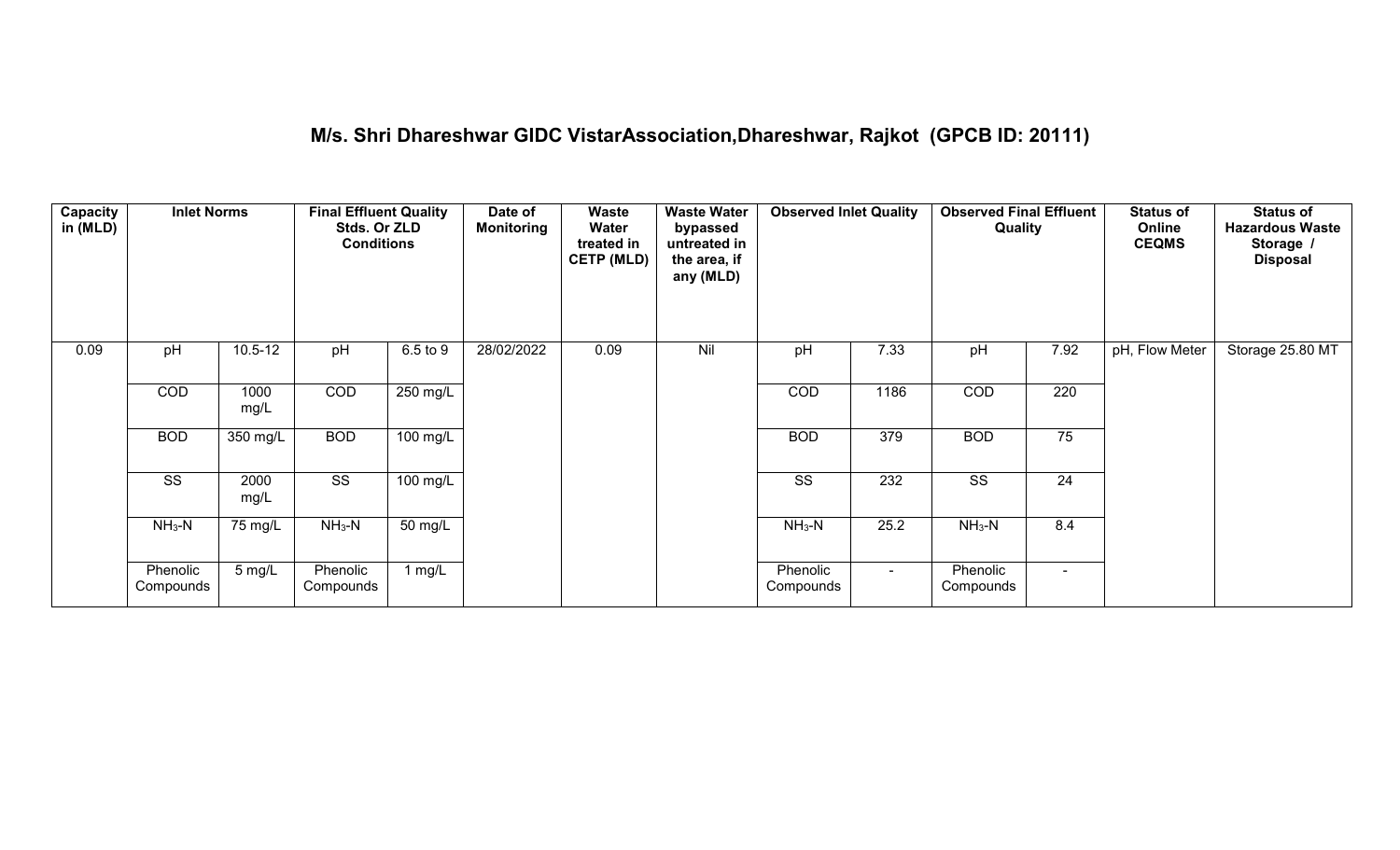# **M/s. Shri Dhareshwar GIDC VistarAssociation,Dhareshwar, Rajkot (GPCB ID: 20111)**

| <b>Capacity</b><br>in (MLD) | <b>Inlet Norms</b>     |              | <b>Final Effluent Quality</b><br>Stds. Or ZLD<br><b>Conditions</b> |            | Date of<br><b>Monitoring</b> | Waste<br>Water<br>treated in<br><b>CETP (MLD)</b> | <b>Waste Water</b><br>bypassed<br>untreated in<br>the area, if<br>any (MLD) | <b>Observed Inlet Quality</b> |        | <b>Observed Final Effluent</b><br>Quality |                 | <b>Status of</b><br>Online<br><b>CEQMS</b> | <b>Status of</b><br><b>Hazardous Waste</b><br>Storage /<br><b>Disposal</b> |
|-----------------------------|------------------------|--------------|--------------------------------------------------------------------|------------|------------------------------|---------------------------------------------------|-----------------------------------------------------------------------------|-------------------------------|--------|-------------------------------------------|-----------------|--------------------------------------------|----------------------------------------------------------------------------|
| 0.09                        | pH                     | $10.5 - 12$  | pH                                                                 | 6.5 to 9   | 28/02/2022                   | 0.09                                              | Nil                                                                         | pH                            | 7.33   | pH                                        | 7.92            | pH, Flow Meter                             | Storage 25.80 MT                                                           |
|                             | COD                    | 1000<br>mg/L | COD                                                                | 250 mg/L   |                              |                                                   |                                                                             | COD                           | 1186   | <b>COD</b>                                | 220             |                                            |                                                                            |
|                             | <b>BOD</b>             | 350 mg/L     | <b>BOD</b>                                                         | 100 mg/L   |                              |                                                   |                                                                             | <b>BOD</b>                    | 379    | <b>BOD</b>                                | 75              |                                            |                                                                            |
|                             | $\overline{\text{ss}}$ | 2000<br>mg/L | $\overline{\text{SS}}$                                             | $100$ mg/L |                              |                                                   |                                                                             | $\overline{\text{SS}}$        | 232    | $\overline{\text{SS}}$                    | $\overline{24}$ |                                            |                                                                            |
|                             | $NH_3-N$               | 75 mg/L      | $NH3-N$                                                            | 50 mg/L    |                              |                                                   |                                                                             | $NH3-N$                       | 25.2   | $NH_3-N$                                  | 8.4             |                                            |                                                                            |
|                             | Phenolic<br>Compounds  | 5 mg/L       | Phenolic<br>Compounds                                              | 1 mg/L     |                              |                                                   |                                                                             | Phenolic<br>Compounds         | $\sim$ | Phenolic<br>Compounds                     | $\blacksquare$  |                                            |                                                                            |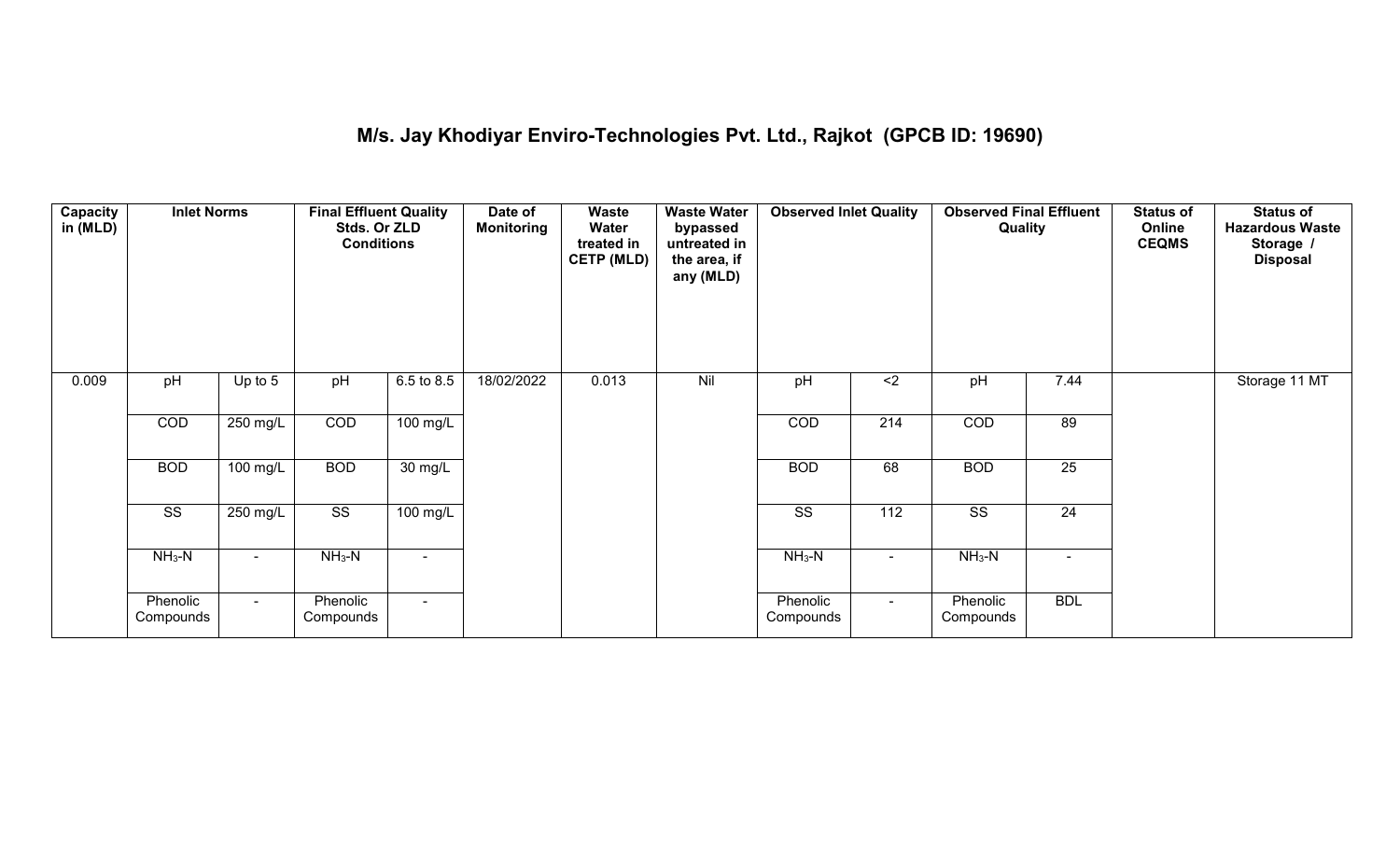#### **M/s. Jay Khodiyar Enviro-Technologies Pvt. Ltd., Rajkot (GPCB ID: 19690)**

| <b>Capacity</b><br>in (MLD) | <b>Inlet Norms</b>     |            | <b>Final Effluent Quality</b><br>Stds. Or ZLD<br><b>Conditions</b> |                    | Date of<br><b>Monitoring</b> | Waste<br>Water<br>treated in<br><b>CETP (MLD)</b> | <b>Waste Water</b><br>bypassed<br>untreated in<br>the area, if<br>any (MLD) | <b>Observed Inlet Quality</b> |                  | <b>Observed Final Effluent</b><br>Quality |                 | <b>Status of</b><br>Online<br><b>CEQMS</b> | <b>Status of</b><br><b>Hazardous Waste</b><br>Storage /<br><b>Disposal</b> |
|-----------------------------|------------------------|------------|--------------------------------------------------------------------|--------------------|------------------------------|---------------------------------------------------|-----------------------------------------------------------------------------|-------------------------------|------------------|-------------------------------------------|-----------------|--------------------------------------------|----------------------------------------------------------------------------|
| 0.009                       | pH                     | Up to $5$  | pH                                                                 | 6.5 to 8.5         | 18/02/2022                   | 0.013                                             | Nil                                                                         | pH                            | $2$              | pH                                        | 7.44            |                                            | Storage 11 MT                                                              |
|                             | COD                    | 250 mg/L   | COD                                                                | $100 \text{ mg/L}$ |                              |                                                   |                                                                             | COD                           | 214              | COD                                       | 89              |                                            |                                                                            |
|                             | <b>BOD</b>             | 100 mg/L   | <b>BOD</b>                                                         | 30 mg/L            |                              |                                                   |                                                                             | <b>BOD</b>                    | 68               | <b>BOD</b>                                | $\overline{25}$ |                                            |                                                                            |
|                             | $\overline{\text{ss}}$ | $250$ mg/L | $\overline{\text{ss}}$                                             | $100$ mg/L         |                              |                                                   |                                                                             | $\overline{\text{ss}}$        | $\overline{112}$ | $\overline{\text{ss}}$                    | $\overline{24}$ |                                            |                                                                            |
|                             | $NH3-N$                |            | $NH_3-N$                                                           | $\blacksquare$     |                              |                                                   |                                                                             | $NH3-N$                       |                  | $NH_3-N$                                  |                 |                                            |                                                                            |
|                             | Phenolic<br>Compounds  | $\sim$     | Phenolic<br>Compounds                                              | $\sim$             |                              |                                                   |                                                                             | Phenolic<br>Compounds         | $\sim$           | Phenolic<br>Compounds                     | <b>BDL</b>      |                                            |                                                                            |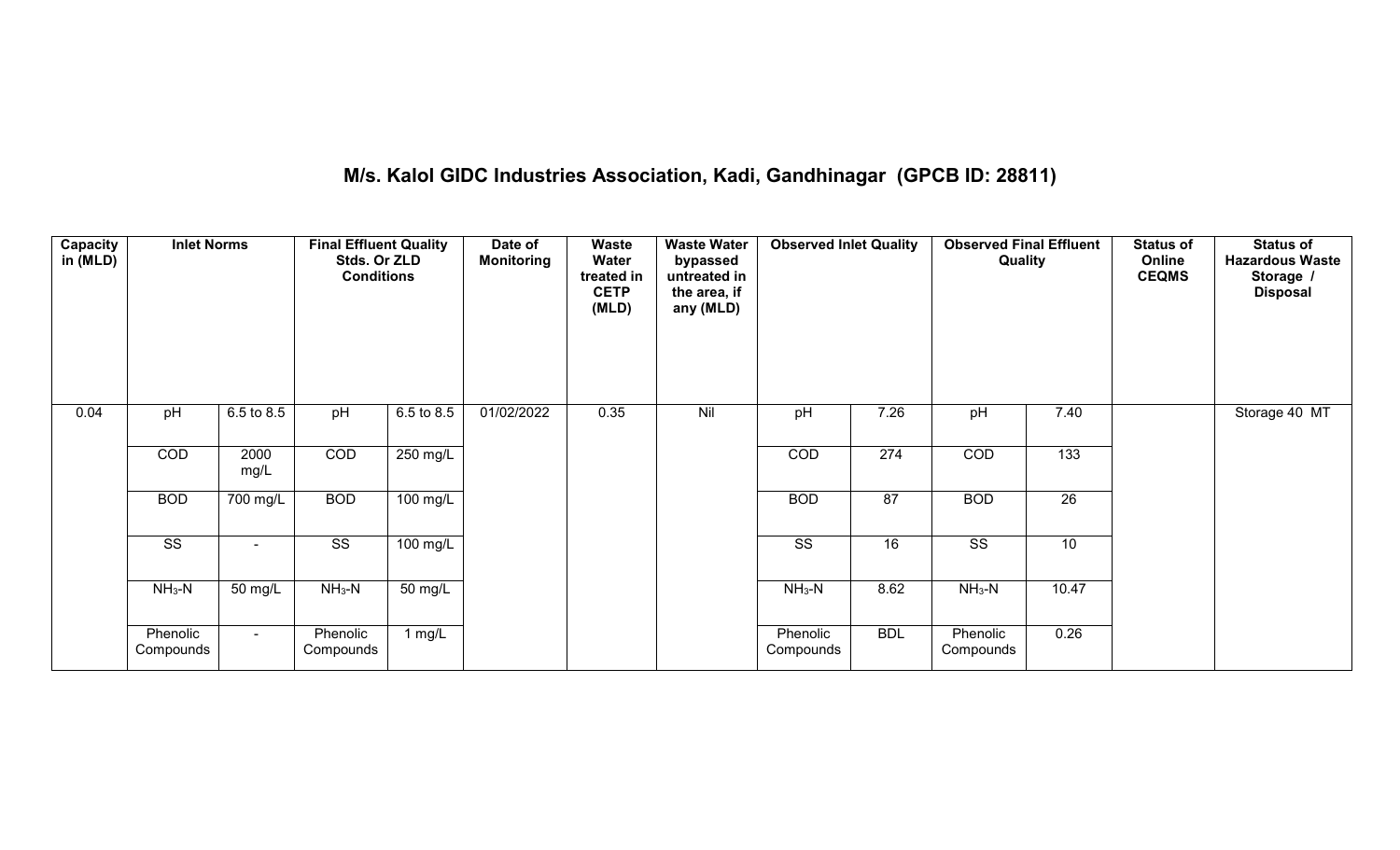# **M/s. Kalol GIDC Industries Association, Kadi, Gandhinagar (GPCB ID: 28811)**

| Capacity<br>in (MLD) | <b>Inlet Norms</b>     |              | <b>Final Effluent Quality</b><br>Stds. Or ZLD<br><b>Conditions</b> |            | Date of<br><b>Monitoring</b> | Waste<br>Water<br>treated in<br><b>CETP</b><br>(MLD) | <b>Waste Water</b><br>bypassed<br>untreated in<br>the area, if<br>any (MLD) | <b>Observed Inlet Quality</b> |            | <b>Observed Final Effluent</b><br>Quality |       | <b>Status of</b><br>Online<br><b>CEQMS</b> | <b>Status of</b><br><b>Hazardous Waste</b><br>Storage /<br><b>Disposal</b> |
|----------------------|------------------------|--------------|--------------------------------------------------------------------|------------|------------------------------|------------------------------------------------------|-----------------------------------------------------------------------------|-------------------------------|------------|-------------------------------------------|-------|--------------------------------------------|----------------------------------------------------------------------------|
| 0.04                 | pH                     | 6.5 to 8.5   | pH                                                                 | 6.5 to 8.5 | 01/02/2022                   | 0.35                                                 | Nil                                                                         | pH                            | 7.26       | pH                                        | 7.40  |                                            | Storage 40 MT                                                              |
|                      | COD                    | 2000<br>mg/L | COD                                                                | 250 mg/L   |                              |                                                      |                                                                             | COD                           | 274        | COD                                       | 133   |                                            |                                                                            |
|                      | <b>BOD</b>             | 700 mg/L     | <b>BOD</b>                                                         | $100$ mg/L |                              |                                                      |                                                                             | <b>BOD</b>                    | 87         | <b>BOD</b>                                | 26    |                                            |                                                                            |
|                      | $\overline{\text{ss}}$ | $\sim$       | $\overline{\text{ss}}$                                             | 100 mg/L   |                              |                                                      |                                                                             | $\overline{\text{ss}}$        | 16         | $\overline{\text{ss}}$                    | 10    |                                            |                                                                            |
|                      | $NH_3-N$               | 50 mg/L      | $NH3-N$                                                            | 50 mg/L    |                              |                                                      |                                                                             | $NH3-N$                       | 8.62       | $NH3-N$                                   | 10.47 |                                            |                                                                            |
|                      | Phenolic<br>Compounds  | $\sim$       | Phenolic<br>Compounds                                              | 1 mg/L     |                              |                                                      |                                                                             | Phenolic<br>Compounds         | <b>BDL</b> | Phenolic<br>Compounds                     | 0.26  |                                            |                                                                            |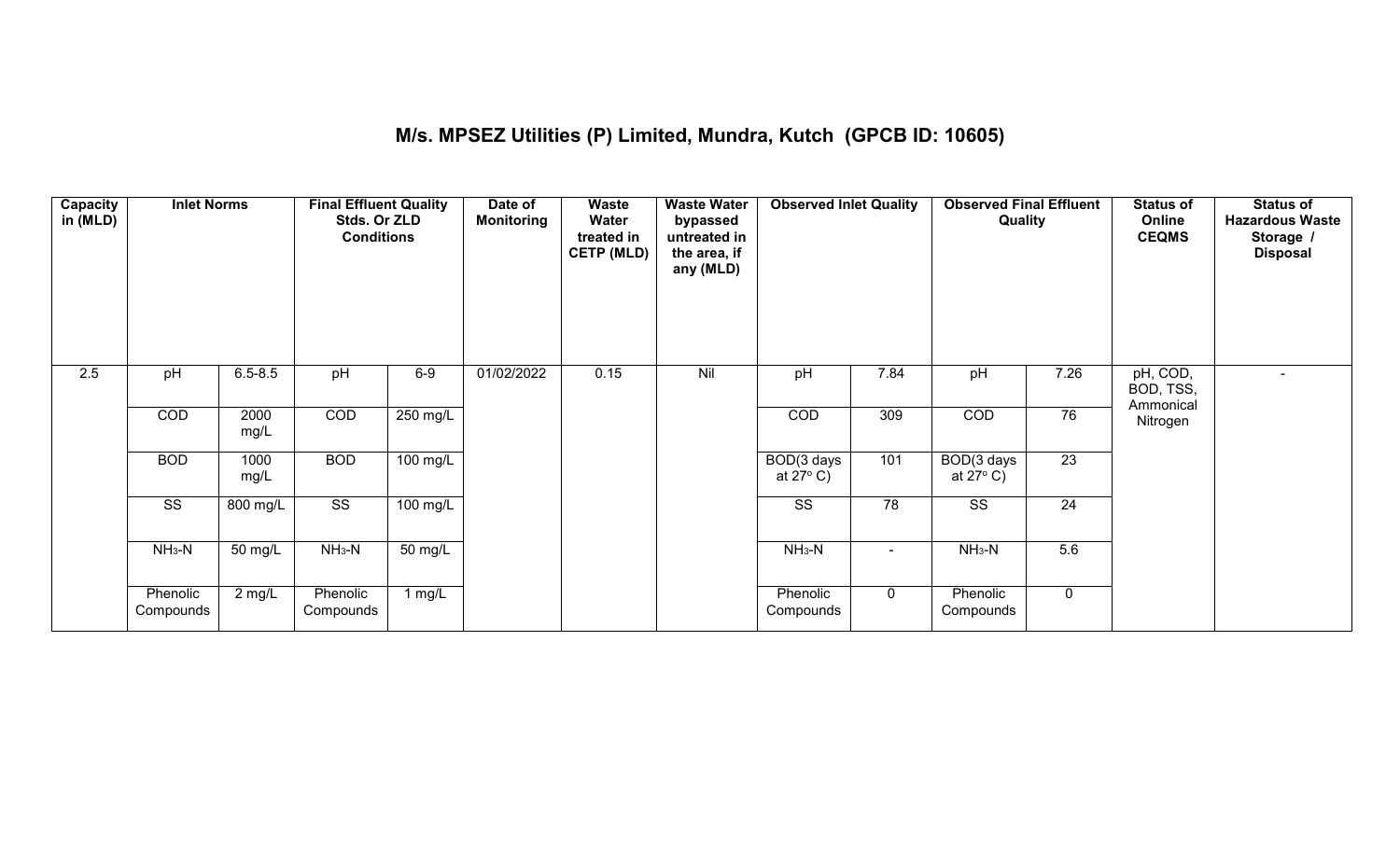### **M/s. MPSEZ Utilities (P) Limited, Mundra, Kutch (GPCB ID: 10605)**

| Capacity<br>in (MLD) | <b>Inlet Norms</b>     |                   | <b>Final Effluent Quality</b><br>Stds. Or ZLD<br><b>Conditions</b> |                    | Date of<br><b>Monitoring</b> | Waste<br>Water<br>treated in<br><b>CETP (MLD)</b> | <b>Waste Water</b><br>bypassed<br>untreated in<br>the area, if<br>any (MLD) | <b>Observed Inlet Quality</b>    |                 | <b>Observed Final Effluent</b><br>Quality |                 | <b>Status of</b><br>Online<br><b>CEQMS</b> | <b>Status of</b><br><b>Hazardous Waste</b><br>Storage /<br><b>Disposal</b> |
|----------------------|------------------------|-------------------|--------------------------------------------------------------------|--------------------|------------------------------|---------------------------------------------------|-----------------------------------------------------------------------------|----------------------------------|-----------------|-------------------------------------------|-----------------|--------------------------------------------|----------------------------------------------------------------------------|
| $\overline{2.5}$     | pH                     | $6.5 - 8.5$       | pH                                                                 | $6-9$              | 01/02/2022                   | 0.15                                              | Nil                                                                         | pH                               | 7.84            | pH                                        | 7.26            | pH, COD,<br>BOD, TSS,<br>Ammonical         |                                                                            |
|                      | COD                    | 2000<br>mg/L      | COD                                                                | 250 mg/L           |                              |                                                   |                                                                             | COD                              | 309             | COD                                       | 76              | Nitrogen                                   |                                                                            |
|                      | <b>BOD</b>             | 1000<br>mg/L      | <b>BOD</b>                                                         | $100$ mg/L         |                              |                                                   |                                                                             | BOD(3 days<br>at $27^{\circ}$ C) | 101             | BOD(3 days<br>at $27^{\circ}$ C)          | $\overline{23}$ |                                            |                                                                            |
|                      | $\overline{\text{ss}}$ | 800 mg/L          | $\overline{\text{ss}}$                                             | $100 \text{ mg/L}$ |                              |                                                   |                                                                             | $\overline{\text{ss}}$           | $\overline{78}$ | $\overline{\text{ss}}$                    | 24              |                                            |                                                                            |
|                      | $NH3-N$                | $50 \text{ mg/L}$ | $NH3-N$                                                            | 50 mg/L            |                              |                                                   |                                                                             | $NH_3-N$                         | ۰               | $NH3-N$                                   | 5.6             |                                            |                                                                            |
|                      | Phenolic<br>Compounds  | $2 \text{ mg/L}$  | Phenolic<br>Compounds                                              | 1 $mg/L$           |                              |                                                   |                                                                             | Phenolic<br>Compounds            | 0               | Phenolic<br>Compounds                     | $\mathbf 0$     |                                            |                                                                            |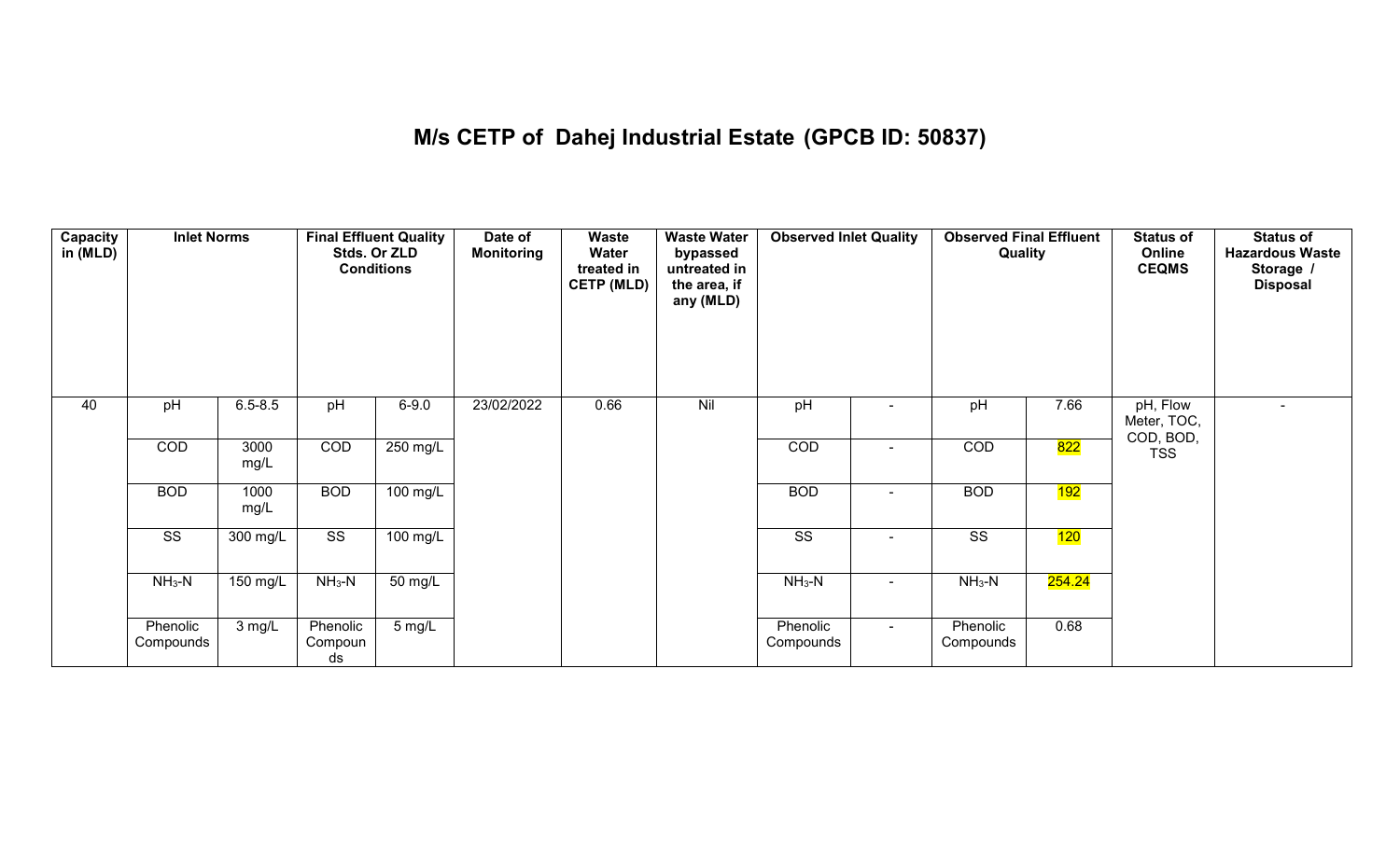# **M/s CETP of Dahej Industrial Estate (GPCB ID: 50837)**

| Capacity<br>in (MLD) | <b>Inlet Norms</b>     |              | <b>Conditions</b>         | <b>Final Effluent Quality</b><br>Stds. Or ZLD | Date of<br><b>Monitoring</b> | Waste<br>Water<br>treated in<br><b>CETP (MLD)</b> | <b>Waste Water</b><br>bypassed<br>untreated in<br>the area, if<br>any (MLD) | <b>Observed Inlet Quality</b> |                          | <b>Observed Final Effluent</b><br>Quality |        | <b>Status of</b><br>Online<br><b>CEQMS</b> | <b>Status of</b><br><b>Hazardous Waste</b><br>Storage /<br><b>Disposal</b> |
|----------------------|------------------------|--------------|---------------------------|-----------------------------------------------|------------------------------|---------------------------------------------------|-----------------------------------------------------------------------------|-------------------------------|--------------------------|-------------------------------------------|--------|--------------------------------------------|----------------------------------------------------------------------------|
| 40                   | pH                     | $6.5 - 8.5$  | pH                        | $6 - 9.0$                                     | 23/02/2022                   | 0.66                                              | Nil                                                                         | pH                            |                          | pH                                        | 7.66   | pH, Flow<br>Meter, TOC,                    | $\blacksquare$                                                             |
|                      | COD                    | 3000<br>mg/L | COD                       | 250 mg/L                                      |                              |                                                   |                                                                             | COD                           | $\sim$                   | COD                                       | 822    | COD, BOD,<br><b>TSS</b>                    |                                                                            |
|                      | <b>BOD</b>             | 1000<br>mg/L | <b>BOD</b>                | 100 mg/L                                      |                              |                                                   |                                                                             | <b>BOD</b>                    | $\overline{\phantom{0}}$ | <b>BOD</b>                                | 192    |                                            |                                                                            |
|                      | $\overline{\text{ss}}$ | 300 mg/L     | $\overline{\text{ss}}$    | $100 \text{ mg/L}$                            |                              |                                                   |                                                                             | $\overline{\text{ss}}$        |                          | $\overline{\text{ss}}$                    | 120    |                                            |                                                                            |
|                      | $NH3-N$                | 150 mg/L     | $NH3-N$                   | 50 mg/L                                       |                              |                                                   |                                                                             | $NH3-N$                       | $\sim$                   | $NH3-N$                                   | 254.24 |                                            |                                                                            |
|                      | Phenolic<br>Compounds  | 3 mg/L       | Phenolic<br>Compoun<br>ds | 5 mg/L                                        |                              |                                                   |                                                                             | Phenolic<br>Compounds         | $\sim$                   | Phenolic<br>Compounds                     | 0.68   |                                            |                                                                            |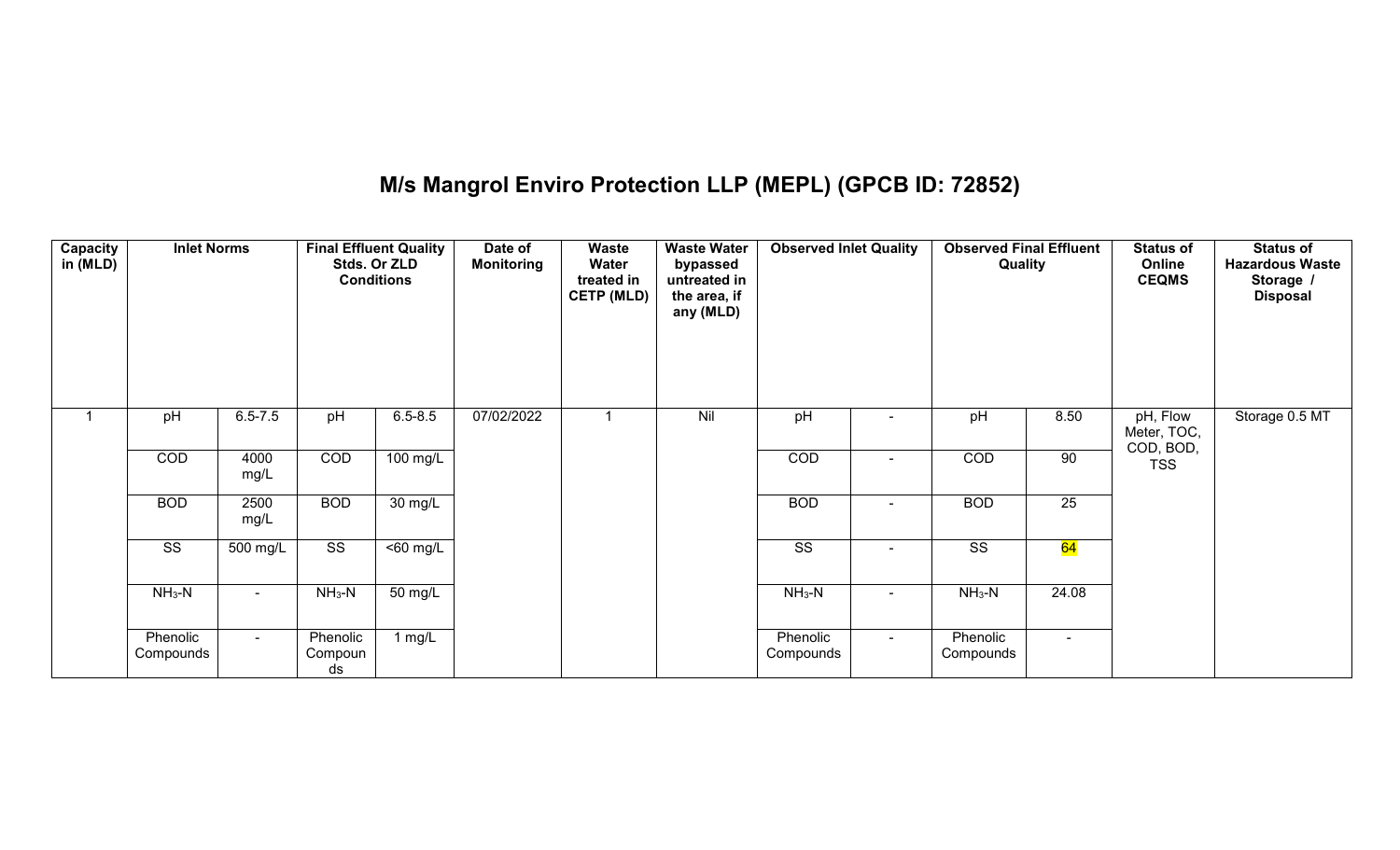# **M/s Mangrol Enviro Protection LLP (MEPL) (GPCB ID: 72852)**

| <b>Capacity</b><br>in (MLD) | <b>Inlet Norms</b>     |                 |                           | <b>Final Effluent Quality</b><br>Stds. Or ZLD<br><b>Conditions</b> | Date of<br><b>Monitoring</b> | <b>Waste</b><br>Water<br>treated in<br><b>CETP (MLD)</b> | <b>Waste Water</b><br>bypassed<br>untreated in<br>the area, if<br>any (MLD) | <b>Observed Inlet Quality</b> |        | <b>Observed Final Effluent</b><br>Quality |        | <b>Status of</b><br>Online<br><b>CEQMS</b> | <b>Status of</b><br><b>Hazardous Waste</b><br>Storage /<br><b>Disposal</b> |
|-----------------------------|------------------------|-----------------|---------------------------|--------------------------------------------------------------------|------------------------------|----------------------------------------------------------|-----------------------------------------------------------------------------|-------------------------------|--------|-------------------------------------------|--------|--------------------------------------------|----------------------------------------------------------------------------|
| 1                           | pH                     | $6.5 - 7.5$     | pH                        | $6.5 - 8.5$                                                        | 07/02/2022                   |                                                          | Nil                                                                         | pH                            |        | pH                                        | 8.50   | pH, Flow<br>Meter, TOC,<br>COD, BOD,       | Storage 0.5 MT                                                             |
|                             | COD                    | 4000<br>mg/L    | COD                       | 100 mg/L                                                           |                              |                                                          |                                                                             | COD                           | $\sim$ | COD                                       | 90     | <b>TSS</b>                                 |                                                                            |
|                             | <b>BOD</b>             | 2500<br>mg/L    | <b>BOD</b>                | 30 mg/L                                                            |                              |                                                          |                                                                             | <b>BOD</b>                    | $\sim$ | <b>BOD</b>                                | 25     |                                            |                                                                            |
|                             | $\overline{\text{ss}}$ | $500$ mg/L      | $\overline{\text{ss}}$    | $50$ mg/L                                                          |                              |                                                          |                                                                             | $\overline{\text{SS}}$        |        | $\overline{\text{SS}}$                    | 64     |                                            |                                                                            |
|                             | $NH3-N$                | $\sim$          | $NH_3-N$                  | 50 mg/L                                                            |                              |                                                          |                                                                             | $NH3-N$                       | $\sim$ | $NH3-N$                                   | 24.08  |                                            |                                                                            |
|                             | Phenolic<br>Compounds  | $\sim$ 10 $\pm$ | Phenolic<br>Compoun<br>ds | $1$ mg/L                                                           |                              |                                                          |                                                                             | Phenolic<br>Compounds         | $\sim$ | Phenolic<br>Compounds                     | $\sim$ |                                            |                                                                            |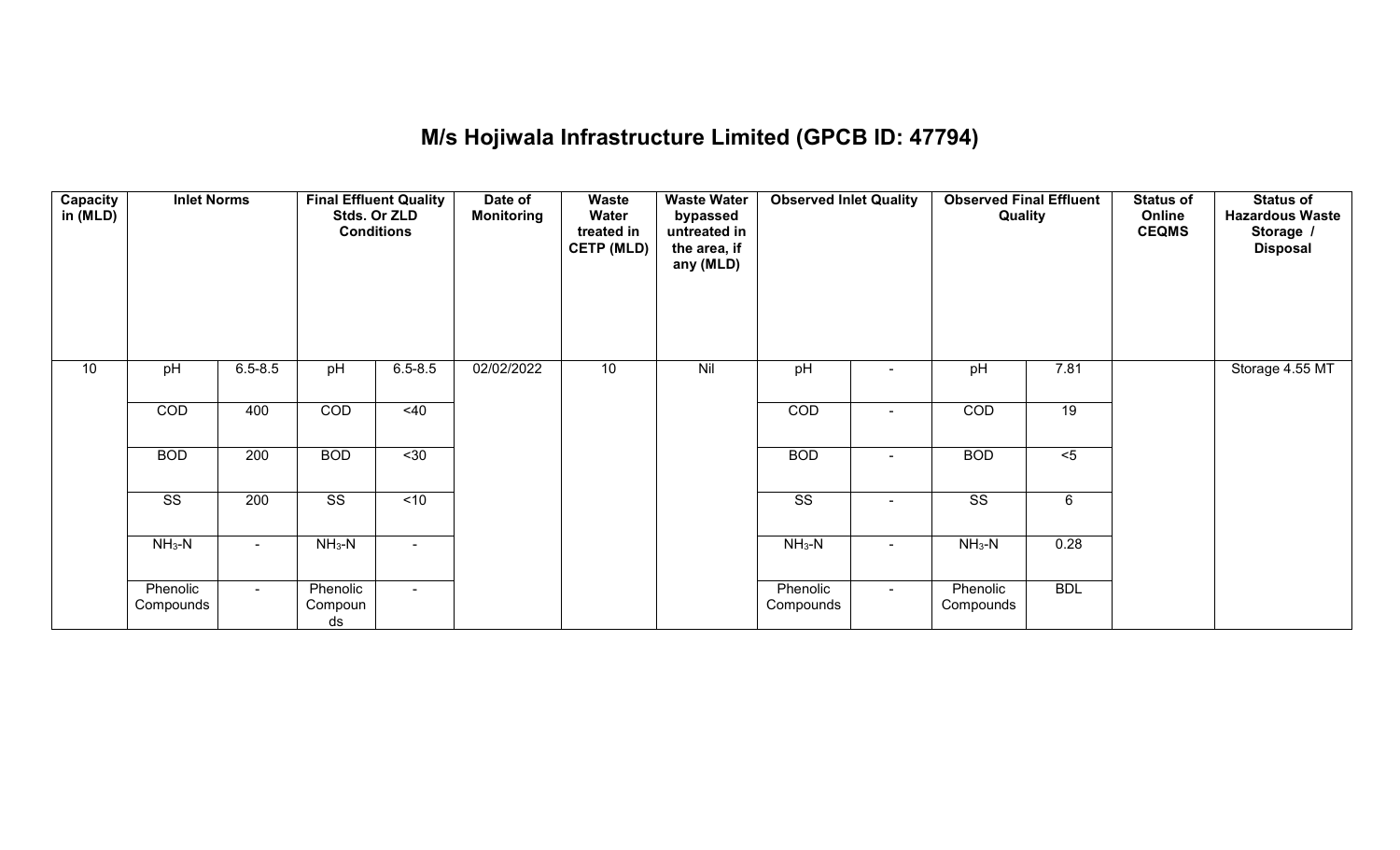# **M/s Hojiwala Infrastructure Limited (GPCB ID: 47794)**

| <b>Capacity</b><br>in (MLD) | <b>Inlet Norms</b>     |                 |                           | <b>Final Effluent Quality</b><br>Stds. Or ZLD<br><b>Conditions</b> | Date of<br><b>Monitoring</b> | <b>Waste</b><br>Water<br>treated in<br><b>CETP (MLD)</b> | <b>Waste Water</b><br>bypassed<br>untreated in<br>the area, if<br>any (MLD) | <b>Observed Inlet Quality</b> |        | <b>Observed Final Effluent</b><br>Quality |            | <b>Status of</b><br>Online<br><b>CEQMS</b> | <b>Status of</b><br><b>Hazardous Waste</b><br>Storage /<br><b>Disposal</b> |
|-----------------------------|------------------------|-----------------|---------------------------|--------------------------------------------------------------------|------------------------------|----------------------------------------------------------|-----------------------------------------------------------------------------|-------------------------------|--------|-------------------------------------------|------------|--------------------------------------------|----------------------------------------------------------------------------|
| 10                          | pH                     | $6.5 - 8.5$     | pH                        | $6.5 - 8.5$                                                        | 02/02/2022                   | 10                                                       | Nil                                                                         | pH                            | $\sim$ | pH                                        | 7.81       |                                            | Storage 4.55 MT                                                            |
|                             | COD                    | 400             | COD                       | $<$ 40                                                             |                              |                                                          |                                                                             | COD                           |        | COD                                       | 19         |                                            |                                                                            |
|                             | <b>BOD</b>             | 200             | <b>BOD</b>                | $\overline{30}$                                                    |                              |                                                          |                                                                             | <b>BOD</b>                    | $\sim$ | <b>BOD</b>                                | $5$        |                                            |                                                                            |
|                             | $\overline{\text{ss}}$ | 200             | $\overline{\text{ss}}$    | $\overline{5}$                                                     |                              |                                                          |                                                                             | $\overline{\text{ss}}$        |        | $\overline{\text{ss}}$                    | 6          |                                            |                                                                            |
|                             | $NH3-N$                | $\sim$          | $NH3-N$                   | $\sim$ 10 $\pm$                                                    |                              |                                                          |                                                                             | $NH3-N$                       | $\sim$ | $NH3-N$                                   | 0.28       |                                            |                                                                            |
|                             | Phenolic<br>Compounds  | $\sim$ 10 $\pm$ | Phenolic<br>Compoun<br>ds | $\sim$ 10 $\,$                                                     |                              |                                                          |                                                                             | Phenolic<br>Compounds         | $\sim$ | Phenolic<br>Compounds                     | <b>BDL</b> |                                            |                                                                            |